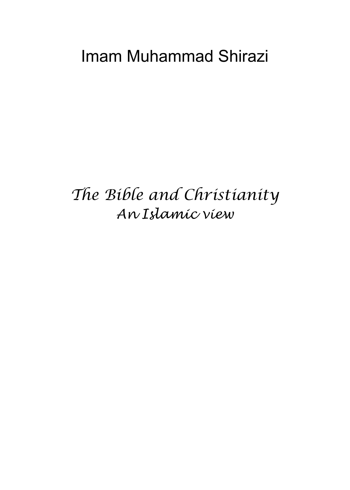# Imam Muhammad Shirazi

The Bible and Christianity An Islamic view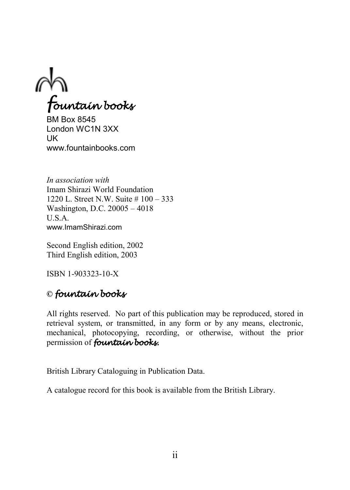

BM Box 8545 London WC1N 3XX UK www.fountainbooks.com

*In association with*  Imam Shirazi World Foundation 1220 L. Street N.W. Suite # 100 – 333 Washington, D.C. 20005 – 4018 U.S.A. www.ImamShirazi.com

Second English edition, 2002 Third English edition, 2003

ISBN 1-903323-10-X

# © fountain books

All rights reserved. No part of this publication may be reproduced, stored in retrieval system, or transmitted, in any form or by any means, electronic, mechanical, photocopying, recording, or otherwise, without the prior permission of **fountain** books.

British Library Cataloguing in Publication Data.

A catalogue record for this book is available from the British Library.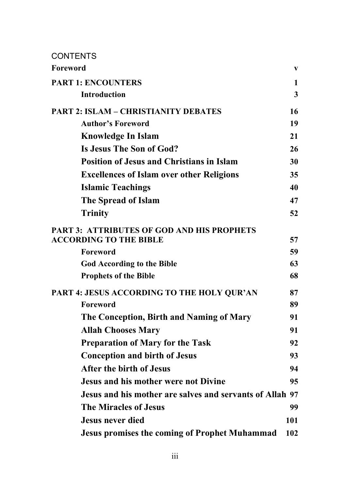**CONTENTS** 

| Foreword                                                 | V   |
|----------------------------------------------------------|-----|
| <b>PART 1: ENCOUNTERS</b>                                | 1   |
| <b>Introduction</b>                                      | 3   |
| <b>PART 2: ISLAM - CHRISTIANITY DEBATES</b>              | 16  |
| <b>Author's Foreword</b>                                 | 19  |
| <b>Knowledge In Islam</b>                                | 21  |
| Is Jesus The Son of God?                                 | 26  |
| <b>Position of Jesus and Christians in Islam</b>         | 30  |
| <b>Excellences of Islam over other Religions</b>         | 35  |
| <b>Islamic Teachings</b>                                 | 40  |
| The Spread of Islam                                      | 47  |
| <b>Trinity</b>                                           | 52  |
| <b>PART 3: ATTRIBUTES OF GOD AND HIS PROPHETS</b>        |     |
| <b>ACCORDING TO THE BIBLE</b>                            | 57  |
| Foreword                                                 | 59  |
| <b>God According to the Bible</b>                        | 63  |
| <b>Prophets of the Bible</b>                             | 68  |
| PART 4: JESUS ACCORDING TO THE HOLY QUR'AN               | 87  |
| Foreword                                                 | 89  |
| The Conception, Birth and Naming of Mary                 | 91  |
| <b>Allah Chooses Mary</b>                                | 91  |
| <b>Preparation of Mary for the Task</b>                  | 92  |
| <b>Conception and birth of Jesus</b>                     | 93  |
| <b>After the birth of Jesus</b>                          | 94  |
| <b>Jesus and his mother were not Divine</b>              | 95  |
| Jesus and his mother are salves and servants of Allah 97 |     |
| <b>The Miracles of Jesus</b>                             | 99  |
| Jesus never died                                         | 101 |
| <b>Jesus promises the coming of Prophet Muhammad</b>     | 102 |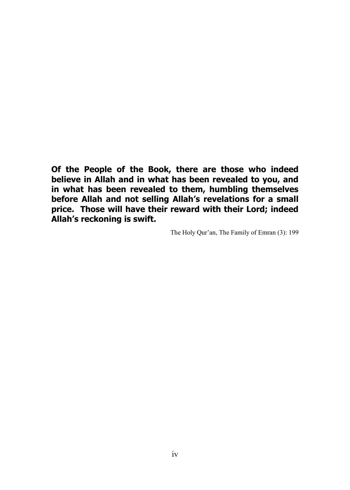**Of the People of the Book, there are those who indeed believe in Allah and in what has been revealed to you, and in what has been revealed to them, humbling themselves before Allah and not selling Allah's revelations for a small price. Those will have their reward with their Lord; indeed Allah's reckoning is swift.** 

The Holy Qur'an, The Family of Emran (3): 199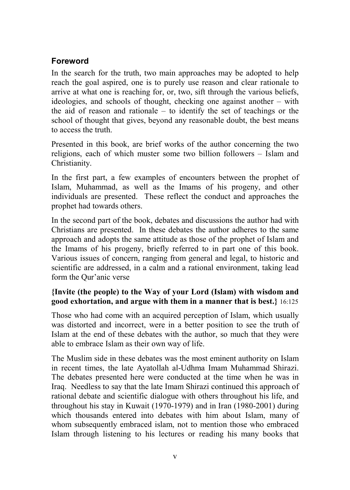## <span id="page-4-0"></span>**Foreword**

In the search for the truth, two main approaches may be adopted to help reach the goal aspired, one is to purely use reason and clear rationale to arrive at what one is reaching for, or, two, sift through the various beliefs, ideologies, and schools of thought, checking one against another – with the aid of reason and rationale – to identify the set of teachings or the school of thought that gives, beyond any reasonable doubt, the best means to access the truth.

Presented in this book, are brief works of the author concerning the two religions, each of which muster some two billion followers – Islam and Christianity.

In the first part, a few examples of encounters between the prophet of Islam, Muhammad, as well as the Imams of his progeny, and other individuals are presented. These reflect the conduct and approaches the prophet had towards others.

In the second part of the book, debates and discussions the author had with Christians are presented. In these debates the author adheres to the same approach and adopts the same attitude as those of the prophet of Islam and the Imams of his progeny, briefly referred to in part one of this book. Various issues of concern, ranging from general and legal, to historic and scientific are addressed, in a calm and a rational environment, taking lead form the Qur'anic verse

### **{Invite (the people) to the Way of your Lord (Islam) with wisdom and good exhortation, and argue with them in a manner that is best.}** 16:125

Those who had come with an acquired perception of Islam, which usually was distorted and incorrect, were in a better position to see the truth of Islam at the end of these debates with the author, so much that they were able to embrace Islam as their own way of life.

The Muslim side in these debates was the most eminent authority on Islam in recent times, the late Ayatollah al-Udhma Imam Muhammad Shirazi. The debates presented here were conducted at the time when he was in Iraq. Needless to say that the late Imam Shirazi continued this approach of rational debate and scientific dialogue with others throughout his life, and throughout his stay in Kuwait (1970-1979) and in Iran (1980-2001) during which thousands entered into debates with him about Islam, many of whom subsequently embraced islam, not to mention those who embraced Islam through listening to his lectures or reading his many books that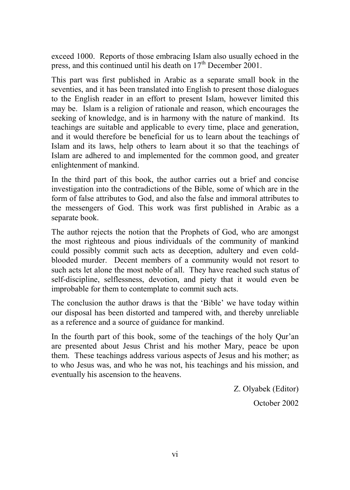exceed 1000. Reports of those embracing Islam also usually echoed in the press, and this continued until his death on  $17<sup>th</sup>$  December 2001.

This part was first published in Arabic as a separate small book in the seventies, and it has been translated into English to present those dialogues to the English reader in an effort to present Islam, however limited this may be. Islam is a religion of rationale and reason, which encourages the seeking of knowledge, and is in harmony with the nature of mankind. Its teachings are suitable and applicable to every time, place and generation, and it would therefore be beneficial for us to learn about the teachings of Islam and its laws, help others to learn about it so that the teachings of Islam are adhered to and implemented for the common good, and greater enlightenment of mankind.

In the third part of this book, the author carries out a brief and concise investigation into the contradictions of the Bible, some of which are in the form of false attributes to God, and also the false and immoral attributes to the messengers of God. This work was first published in Arabic as a separate book.

The author rejects the notion that the Prophets of God, who are amongst the most righteous and pious individuals of the community of mankind could possibly commit such acts as deception, adultery and even coldblooded murder. Decent members of a community would not resort to such acts let alone the most noble of all. They have reached such status of self-discipline, selflessness, devotion, and piety that it would even be improbable for them to contemplate to commit such acts.

The conclusion the author draws is that the 'Bible' we have today within our disposal has been distorted and tampered with, and thereby unreliable as a reference and a source of guidance for mankind.

In the fourth part of this book, some of the teachings of the holy Qur'an are presented about Jesus Christ and his mother Mary, peace be upon them. These teachings address various aspects of Jesus and his mother; as to who Jesus was, and who he was not, his teachings and his mission, and eventually his ascension to the heavens.

> Z. Olyabek (Editor) October 2002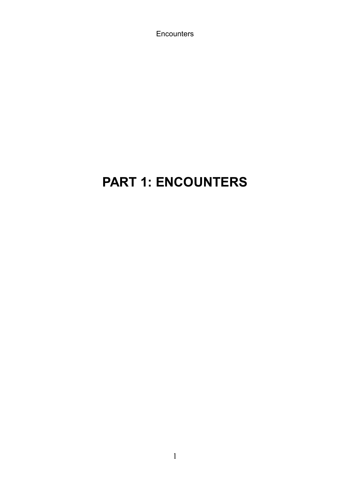<span id="page-6-0"></span>**Encounters** 

# **PART 1: ENCOUNTERS**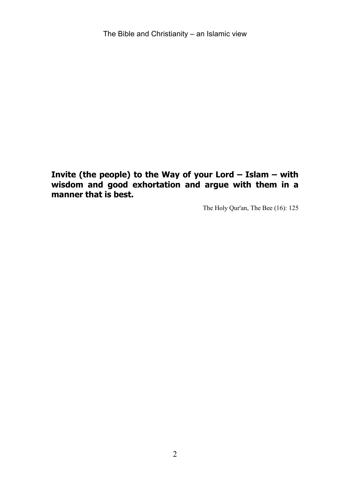The Bible and Christianity – an Islamic view

**Invite (the people) to the Way of your Lord – Islam – with wisdom and good exhortation and argue with them in a manner that is best.** 

The Holy Qur'an, The Bee (16): 125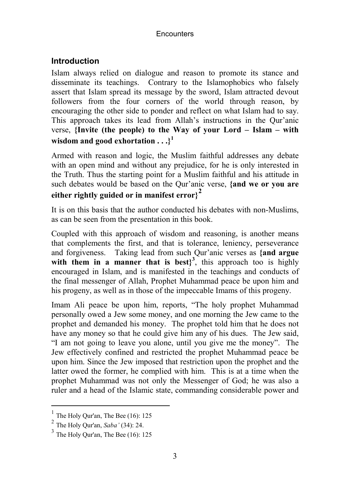#### **Encounters**

## <span id="page-8-0"></span>**Introduction**

Islam always relied on dialogue and reason to promote its stance and disseminate its teachings. Contrary to the Islamophobics who falsely assert that Islam spread its message by the sword, Islam attracted devout followers from the four corners of the world through reason, by encouraging the other side to ponder and reflect on what Islam had to say. This approach takes its lead from Allah's instructions in the Qur'anic verse, **{Invite (the people) to the Way of your Lord – Islam – with wisdom and good exhortation ...**}<sup>1</sup>

Armed with reason and logic, the Muslim faithful addresses any debate with an open mind and without any prejudice, for he is only interested in the Truth. Thus the starting point for a Muslim faithful and his attitude in such debates would be based on the Qur'anic verse, **{and we or you are either rightly guided or in manifest error}<sup>2</sup>**

It is on this basis that the author conducted his debates with non-Muslims, as can be seen from the presentation in this book.

Coupled with this approach of wisdom and reasoning, is another means that complements the first, and that is tolerance, leniency, perseverance and forgiveness. Taking lead from such Qur'anic verses as **{and argue**  with them in a manner that is best $3^3$ , this approach too is highly encouraged in Islam, and is manifested in the teachings and conducts of the final messenger of Allah, Prophet Muhammad peace be upon him and his progeny, as well as in those of the impeccable Imams of this progeny.

Imam Ali peace be upon him, reports, "The holy prophet Muhammad personally owed a Jew some money, and one morning the Jew came to the prophet and demanded his money. The prophet told him that he does not have any money so that he could give him any of his dues. The Jew said, "I am not going to leave you alone, until you give me the money". The Jew effectively confined and restricted the prophet Muhammad peace be upon him. Since the Jew imposed that restriction upon the prophet and the latter owed the former, he complied with him. This is at a time when the prophet Muhammad was not only the Messenger of God; he was also a ruler and a head of the Islamic state, commanding considerable power and

 $<sup>1</sup>$  The Holy Our'an, The Bee (16): 125</sup>

<sup>2</sup> The Holy Qur'an, *Saba'* (34): 24.

 $3$  The Holy Qur'an, The Bee (16): 125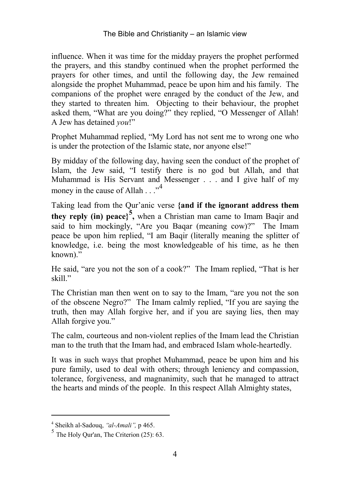influence. When it was time for the midday prayers the prophet performed the prayers, and this standby continued when the prophet performed the prayers for other times, and until the following day, the Jew remained alongside the prophet Muhammad, peace be upon him and his family. The companions of the prophet were enraged by the conduct of the Jew, and they started to threaten him. Objecting to their behaviour, the prophet asked them, "What are you doing?" they replied, "O Messenger of Allah! A Jew has detained *you*!"

Prophet Muhammad replied, "My Lord has not sent me to wrong one who is under the protection of the Islamic state, nor anyone else!"

By midday of the following day, having seen the conduct of the prophet of Islam, the Jew said, "I testify there is no god but Allah, and that Muhammad is His Servant and Messenger . . . and I give half of my money in the cause of Allah  $\ldots$ <sup>4</sup>

Taking lead from the Qur'anic verse **{and if the ignorant address them they reply (in) peace}<sup>5</sup>**, when a Christian man came to Imam Baqir and said to him mockingly, "Are you Baqar (meaning cow)?" The Imam peace be upon him replied, "I am Baqir (literally meaning the splitter of knowledge, i.e. being the most knowledgeable of his time, as he then known)."

He said, "are you not the son of a cook?" The Imam replied, "That is her skill<sup>"</sup>

The Christian man then went on to say to the Imam, "are you not the son of the obscene Negro?" The Imam calmly replied, "If you are saying the truth, then may Allah forgive her, and if you are saying lies, then may Allah forgive you."

The calm, courteous and non-violent replies of the Imam lead the Christian man to the truth that the Imam had, and embraced Islam whole-heartedly.

It was in such ways that prophet Muhammad, peace be upon him and his pure family, used to deal with others; through leniency and compassion, tolerance, forgiveness, and magnanimity, such that he managed to attract the hearts and minds of the people. In this respect Allah Almighty states,

<sup>&</sup>lt;sup>4</sup> Sheikh al-Sadouq, "al-Amali", p 465.

 $<sup>5</sup>$  The Holy Our'an, The Criterion (25): 63.</sup>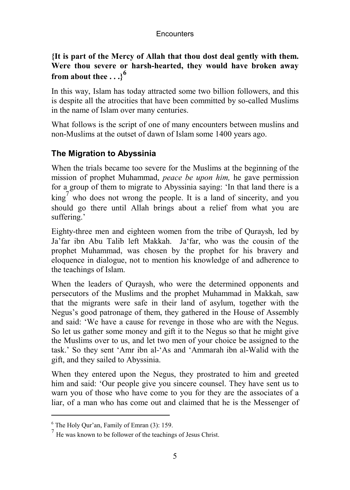### **{It is part of the Mercy of Allah that thou dost deal gently with them. Were thou severe or harsh-hearted, they would have broken away from about thee . . .}<sup>6</sup>**

In this way, Islam has today attracted some two billion followers, and this is despite all the atrocities that have been committed by so-called Muslims in the name of Islam over many centuries.

What follows is the script of one of many encounters between muslins and non-Muslims at the outset of dawn of Islam some 1400 years ago.

## **The Migration to Abyssinia**

When the trials became too severe for the Muslims at the beginning of the mission of prophet Muhammad, *peace be upon him,* he gave permission for a group of them to migrate to Abyssinia saying: 'In that land there is a  $\lim_{h \to 0}$  who does not wrong the people. It is a land of sincerity, and you should go there until Allah brings about a relief from what you are suffering.'

Eighty-three men and eighteen women from the tribe of Quraysh, led by Ja'far ibn Abu Talib left Makkah. Ja'far, who was the cousin of the prophet Muhammad, was chosen by the prophet for his bravery and eloquence in dialogue, not to mention his knowledge of and adherence to the teachings of Islam.

When the leaders of Quraysh, who were the determined opponents and persecutors of the Muslims and the prophet Muhammad in Makkah, saw that the migrants were safe in their land of asylum, together with the Negus's good patronage of them, they gathered in the House of Assembly and said: 'We have a cause for revenge in those who are with the Negus. So let us gather some money and gift it to the Negus so that he might give the Muslims over to us, and let two men of your choice be assigned to the task.' So they sent 'Amr ibn al-'As and 'Ammarah ibn al-Walid with the gift, and they sailed to Abyssinia.

When they entered upon the Negus, they prostrated to him and greeted him and said: 'Our people give you sincere counsel. They have sent us to warn you of those who have come to you for they are the associates of a liar, of a man who has come out and claimed that he is the Messenger of

<sup>6</sup> The Holy Qur'an, Family of Emran (3): 159.

 $<sup>7</sup>$  He was known to be follower of the teachings of Jesus Christ.</sup>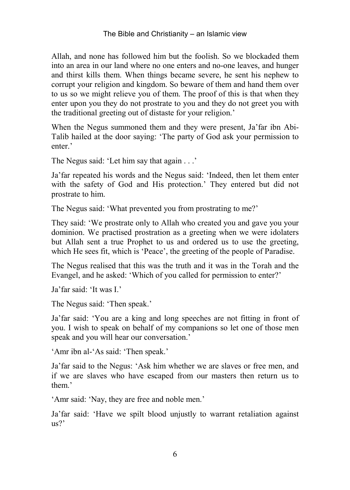Allah, and none has followed him but the foolish. So we blockaded them into an area in our land where no one enters and no-one leaves, and hunger and thirst kills them. When things became severe, he sent his nephew to corrupt your religion and kingdom. So beware of them and hand them over to us so we might relieve you of them. The proof of this is that when they enter upon you they do not prostrate to you and they do not greet you with the traditional greeting out of distaste for your religion.'

When the Negus summoned them and they were present, Ja'far ibn Abi-Talib hailed at the door saying: 'The party of God ask your permission to enter<sup>'</sup>

The Negus said: 'Let him say that again . . .'

Ja'far repeated his words and the Negus said: 'Indeed, then let them enter with the safety of God and His protection.' They entered but did not prostrate to him.

The Negus said: 'What prevented you from prostrating to me?'

They said: 'We prostrate only to Allah who created you and gave you your dominion. We practised prostration as a greeting when we were idolaters but Allah sent a true Prophet to us and ordered us to use the greeting, which He sees fit, which is 'Peace', the greeting of the people of Paradise.

The Negus realised that this was the truth and it was in the Torah and the Evangel, and he asked: 'Which of you called for permission to enter?'

Ja'far said: 'It was I.'

The Negus said: 'Then speak.'

Ja'far said: 'You are a king and long speeches are not fitting in front of you. I wish to speak on behalf of my companions so let one of those men speak and you will hear our conversation.'

'Amr ibn al-'As said: 'Then speak.'

Ja'far said to the Negus: 'Ask him whether we are slaves or free men, and if we are slaves who have escaped from our masters then return us to them<sup>3</sup>

'Amr said: 'Nay, they are free and noble men.'

Ja'far said: 'Have we spilt blood unjustly to warrant retaliation against us?'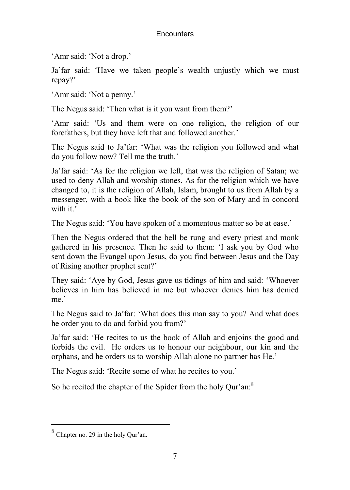#### **Encounters**

'Amr said: 'Not a drop.'

Ja'far said: 'Have we taken people's wealth unjustly which we must repay?'

'Amr said: 'Not a penny.'

The Negus said: 'Then what is it you want from them?'

'Amr said: 'Us and them were on one religion, the religion of our forefathers, but they have left that and followed another.'

The Negus said to Ja'far: 'What was the religion you followed and what do you follow now? Tell me the truth.'

Ja'far said: 'As for the religion we left, that was the religion of Satan; we used to deny Allah and worship stones. As for the religion which we have changed to, it is the religion of Allah, Islam, brought to us from Allah by a messenger, with a book like the book of the son of Mary and in concord with it.'

The Negus said: 'You have spoken of a momentous matter so be at ease.'

Then the Negus ordered that the bell be rung and every priest and monk gathered in his presence. Then he said to them: 'I ask you by God who sent down the Evangel upon Jesus, do you find between Jesus and the Day of Rising another prophet sent?'

They said: 'Aye by God, Jesus gave us tidings of him and said: 'Whoever believes in him has believed in me but whoever denies him has denied me.'

The Negus said to Ja'far: 'What does this man say to you? And what does he order you to do and forbid you from?'

Ja'far said: 'He recites to us the book of Allah and enjoins the good and forbids the evil. He orders us to honour our neighbour, our kin and the orphans, and he orders us to worship Allah alone no partner has He.'

The Negus said: 'Recite some of what he recites to you.'

So he recited the chapter of the Spider from the holy Our'an:<sup>8</sup>

<sup>8</sup> Chapter no. 29 in the holy Qur'an.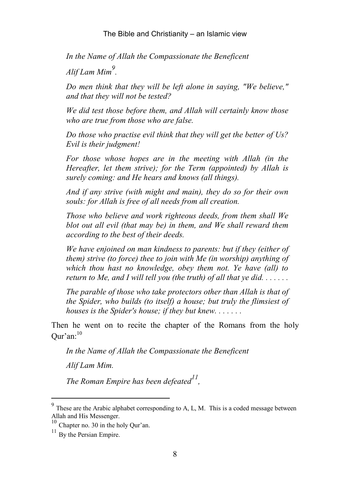*In the Name of Allah the Compassionate the Beneficent* 

*Alif Lam Mim<sup>9</sup> .* 

*Do men think that they will be left alone in saying, "We believe," and that they will not be tested?* 

*We did test those before them, and Allah will certainly know those who are true from those who are false.* 

*Do those who practise evil think that they will get the better of Us? Evil is their judgment!* 

*For those whose hopes are in the meeting with Allah (in the Hereafter, let them strive); for the Term (appointed) by Allah is surely coming: and He hears and knows (all things).* 

*And if any strive (with might and main), they do so for their own souls: for Allah is free of all needs from all creation.* 

*Those who believe and work righteous deeds, from them shall We blot out all evil (that may be) in them, and We shall reward them according to the best of their deeds.* 

*We have enjoined on man kindness to parents: but if they (either of them) strive (to force) thee to join with Me (in worship) anything of which thou hast no knowledge, obey them not. Ye have (all) to return to Me, and I will tell you (the truth) of all that ye did. . . . . . .* 

*The parable of those who take protectors other than Allah is that of the Spider, who builds (to itself) a house; but truly the flimsiest of houses is the Spider's house; if they but knew. . . . . . .* 

Then he went on to recite the chapter of the Romans from the holy Our'an: $10$ 

*In the Name of Allah the Compassionate the Beneficent* 

*Alif Lam Mim.* 

*The Roman Empire has been defeated11,* 

 $9$  These are the Arabic alphabet corresponding to A, L, M. This is a coded message between Allah and His Messenger.

<sup>&</sup>lt;sup>10</sup> Chapter no. 30 in the holy Qur'an.

 $11$  By the Persian Empire.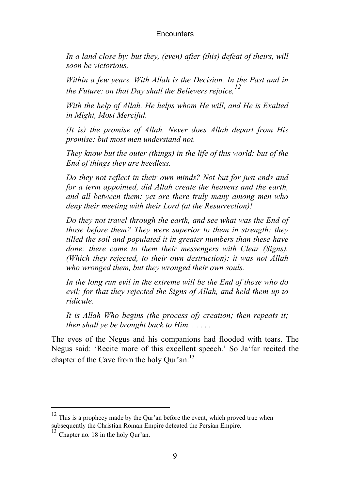#### **Encounters**

*In a land close by: but they, (even) after (this) defeat of theirs, will soon be victorious,* 

*Within a few years. With Allah is the Decision. In the Past and in the Future: on that Day shall the Believers rejoice,<sup>12</sup>*

*With the help of Allah. He helps whom He will, and He is Exalted in Might, Most Merciful.* 

*(It is) the promise of Allah. Never does Allah depart from His promise: but most men understand not.* 

*They know but the outer (things) in the life of this world: but of the End of things they are heedless.* 

*Do they not reflect in their own minds? Not but for just ends and for a term appointed, did Allah create the heavens and the earth, and all between them: yet are there truly many among men who deny their meeting with their Lord (at the Resurrection)!* 

*Do they not travel through the earth, and see what was the End of those before them? They were superior to them in strength: they tilled the soil and populated it in greater numbers than these have done: there came to them their messengers with Clear (Signs). (Which they rejected, to their own destruction): it was not Allah who wronged them, but they wronged their own souls.* 

*In the long run evil in the extreme will be the End of those who do evil; for that they rejected the Signs of Allah, and held them up to ridicule.* 

*It is Allah Who begins (the process of) creation; then repeats it; then shall ye be brought back to Him. . . . . .* 

The eyes of the Negus and his companions had flooded with tears. The Negus said: 'Recite more of this excellent speech.' So Ja'far recited the chapter of the Cave from the holy Qur'an:<sup>13</sup>

 $12$  This is a prophecy made by the Qur'an before the event, which proved true when subsequently the Christian Roman Empire defeated the Persian Empire.

<sup>&</sup>lt;sup>13</sup> Chapter no. 18 in the holy Qur'an.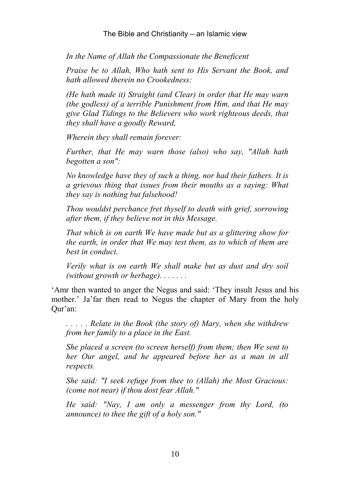*In the Name of Allah the Compassionate the Beneficent* 

*Praise be to Allah, Who hath sent to His Servant the Book, and hath allowed therein no Crookedness:* 

*(He hath made it) Straight (and Clear) in order that He may warn (the godless) of a terrible Punishment from Him, and that He may give Glad Tidings to the Believers who work righteous deeds, that they shall have a goodly Reward,* 

*Wherein they shall remain forever:* 

*Further, that He may warn those (also) who say, "Allah hath begotten a son":* 

*No knowledge have they of such a thing, nor had their fathers. It is a grievous thing that issues from their mouths as a saying: What they say is nothing but falsehood!* 

*Thou wouldst perchance fret thyself to death with grief, sorrowing after them, if they believe not in this Message.* 

*That which is on earth We have made but as a glittering show for the earth, in order that We may test them, as to which of them are best in conduct.* 

*Verily what is on earth We shall make but as dust and dry soil (without growth or herbage). . . . . . .* 

'Amr then wanted to anger the Negus and said: 'They insult Jesus and his mother.' Ja'far then read to Negus the chapter of Mary from the holy Qur'an:

*. . . . . Relate in the Book (the story of) Mary, when she withdrew from her family to a place in the East.* 

*She placed a screen (to screen herself) from them; then We sent to her Our angel, and he appeared before her as a man in all respects.* 

*She said: "I seek refuge from thee to (Allah) the Most Gracious: (come not near) if thou dost fear Allah."* 

*He said: "Nay, I am only a messenger from thy Lord, (to announce) to thee the gift of a holy son."*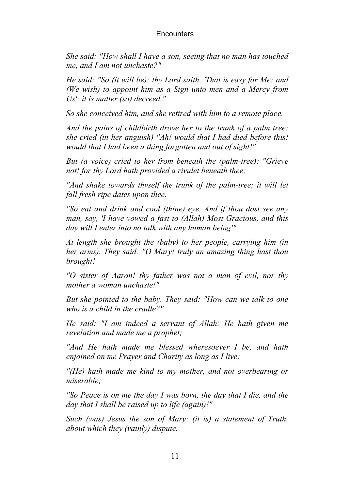#### **Encounters**

*She said: "How shall I have a son, seeing that no man has touched me, and I am not unchaste?"* 

*He said: "So (it will be): thy Lord saith, 'That is easy for Me: and (We wish) to appoint him as a Sign unto men and a Mercy from Us': it is matter (so) decreed."* 

*So she conceived him, and she retired with him to a remote place.* 

*And the pains of childbirth drove her to the trunk of a palm tree: she cried (in her anguish) "Ah! would that I had died before this! would that I had been a thing forgotten and out of sight!"* 

*But (a voice) cried to her from beneath the (palm-tree): "Grieve not! for thy Lord hath provided a rivulet beneath thee;* 

*"And shake towards thyself the trunk of the palm-tree; it will let fall fresh ripe dates upon thee.* 

*"So eat and drink and cool (thine) eye. And if thou dost see any man, say, 'I have vowed a fast to (Allah) Most Gracious, and this day will I enter into no talk with any human being'"* 

*At length she brought the (baby) to her people, carrying him (in her arms). They said: "O Mary! truly an amazing thing hast thou brought!* 

*"O sister of Aaron! thy father was not a man of evil, nor thy mother a woman unchaste!"* 

*But she pointed to the baby. They said: "How can we talk to one who is a child in the cradle?"* 

*He said: "I am indeed a servant of Allah: He hath given me revelation and made me a prophet;* 

*"And He hath made me blessed wheresoever I be, and hath enjoined on me Prayer and Charity as long as I live:* 

*"(He) hath made me kind to my mother, and not overbearing or miserable;* 

*"So Peace is on me the day I was born, the day that I die, and the day that I shall be raised up to life (again)!"* 

*Such (was) Jesus the son of Mary: (it is) a statement of Truth, about which they (vainly) dispute.*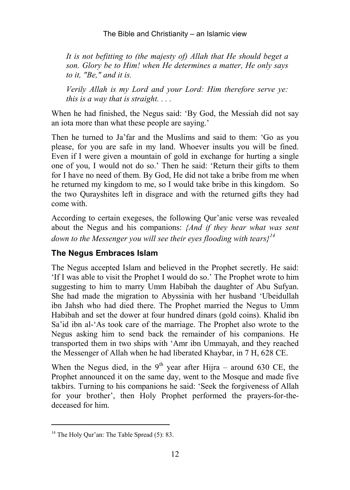The Bible and Christianity – an Islamic view

*It is not befitting to (the majesty of) Allah that He should beget a son. Glory be to Him! when He determines a matter, He only says to it, "Be," and it is.* 

*Verily Allah is my Lord and your Lord: Him therefore serve ye: this is a way that is straight. . . .* 

When he had finished, the Negus said: 'By God, the Messiah did not say an iota more than what these people are saying.'

Then he turned to Ja'far and the Muslims and said to them: 'Go as you please, for you are safe in my land. Whoever insults you will be fined. Even if I were given a mountain of gold in exchange for hurting a single one of you, I would not do so.' Then he said: 'Return their gifts to them for I have no need of them. By God, He did not take a bribe from me when he returned my kingdom to me, so I would take bribe in this kingdom. So the two Qurayshites left in disgrace and with the returned gifts they had come with.

According to certain exegeses, the following Qur'anic verse was revealed about the Negus and his companions: *{And if they hear what was sent down to the Messenger you will see their eyes flooding with tears}14*

## **The Negus Embraces Islam**

The Negus accepted Islam and believed in the Prophet secretly. He said: 'If I was able to visit the Prophet I would do so.' The Prophet wrote to him suggesting to him to marry Umm Habibah the daughter of Abu Sufyan. She had made the migration to Abyssinia with her husband 'Ubeidullah ibn Jahsh who had died there. The Prophet married the Negus to Umm Habibah and set the dower at four hundred dinars (gold coins). Khalid ibn Sa'id ibn al-'As took care of the marriage. The Prophet also wrote to the Negus asking him to send back the remainder of his companions. He transported them in two ships with 'Amr ibn Ummayah, and they reached the Messenger of Allah when he had liberated Khaybar, in 7 H, 628 CE.

When the Negus died, in the  $9<sup>th</sup>$  year after Hijra – around 630 CE, the Prophet announced it on the same day, went to the Mosque and made five takbirs. Turning to his companions he said: 'Seek the forgiveness of Allah for your brother', then Holy Prophet performed the prayers-for-thedeceased for him.

<sup>&</sup>lt;sup>14</sup> The Holy Qur'an: The Table Spread (5): 83.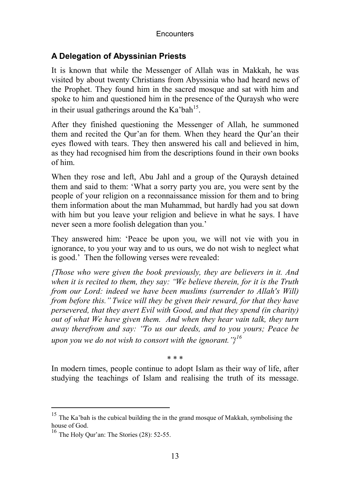## **A Delegation of Abyssinian Priests**

It is known that while the Messenger of Allah was in Makkah, he was visited by about twenty Christians from Abyssinia who had heard news of the Prophet. They found him in the sacred mosque and sat with him and spoke to him and questioned him in the presence of the Quraysh who were in their usual gatherings around the  $Ka^2$ bah<sup>15</sup>.

After they finished questioning the Messenger of Allah, he summoned them and recited the Qur'an for them. When they heard the Qur'an their eyes flowed with tears. They then answered his call and believed in him, as they had recognised him from the descriptions found in their own books of him.

When they rose and left, Abu Jahl and a group of the Quraysh detained them and said to them: 'What a sorry party you are, you were sent by the people of your religion on a reconnaissance mission for them and to bring them information about the man Muhammad, but hardly had you sat down with him but you leave your religion and believe in what he says. I have never seen a more foolish delegation than you.'

They answered him: 'Peace be upon you, we will not vie with you in ignorance, to you your way and to us ours, we do not wish to neglect what is good.' Then the following verses were revealed:

*{Those who were given the book previously, they are believers in it. And when it is recited to them, they say: "We believe therein, for it is the Truth from our Lord: indeed we have been muslims (surrender to Allah's Will) from before this." Twice will they be given their reward, for that they have persevered, that they avert Evil with Good, and that they spend (in charity) out of what We have given them. And when they hear vain talk, they turn away therefrom and say: "To us our deeds, and to you yours; Peace be upon you we do not wish to consort with the ignorant."}<sup>16</sup>*

\* \* \*

In modern times, people continue to adopt Islam as their way of life, after studying the teachings of Islam and realising the truth of its message.

<sup>&</sup>lt;sup>15</sup> The Ka'bah is the cubical building the in the grand mosque of Makkah, symbolising the house of God.

<sup>16</sup> The Holy Qur'an: The Stories (28): 52-55.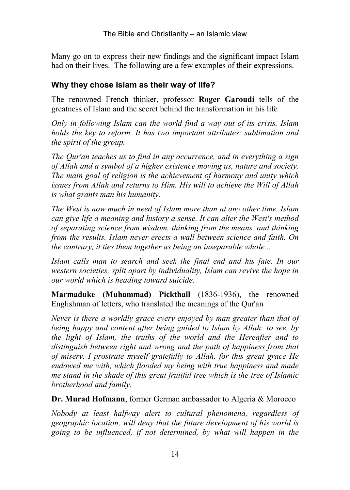Many go on to express their new findings and the significant impact Islam had on their lives. The following are a few examples of their expressions.

## **Why they chose Islam as their way of life?**

The renowned French thinker, professor **Roger Garoudi** tells of the greatness of Islam and the secret behind the transformation in his life

*Only in following Islam can the world find a way out of its crisis. Islam holds the key to reform. It has two important attributes: sublimation and the spirit of the group.* 

*The Qur'an teaches us to find in any occurrence, and in everything a sign of Allah and a symbol of a higher existence moving us, nature and society. The main goal of religion is the achievement of harmony and unity which issues from Allah and returns to Him. His will to achieve the Will of Allah is what grants man his humanity.* 

*The West is now much in need of Islam more than at any other time. Islam can give life a meaning and history a sense. It can alter the West's method of separating science from wisdom, thinking from the means, and thinking from the results. Islam never erects a wall between science and faith. On the contrary, it ties them together as being an inseparable whole...* 

*Islam calls man to search and seek the final end and his fate. In our western societies, split apart by individuality, Islam can revive the hope in our world which is heading toward suicide.*

**Marmaduke (Muhammad) Pickthall** (1836-1936), the renowned Englishman of letters, who translated the meanings of the Qur'an

*Never is there a worldly grace every enjoyed by man greater than that of being happy and content after being guided to Islam by Allah: to see, by the light of Islam, the truths of the world and the Hereafter and to distinguish between right and wrong and the path of happiness from that of misery. I prostrate myself gratefully to Allah, for this great grace He endowed me with, which flooded my being with true happiness and made me stand in the shade of this great fruitful tree which is the tree of Islamic brotherhood and family.* 

**Dr. Murad Hofmann**, former German ambassador to Algeria & Morocco

*Nobody at least halfway alert to cultural phenomena, regardless of geographic location, will deny that the future development of his world is going to be influenced, if not determined, by what will happen in the*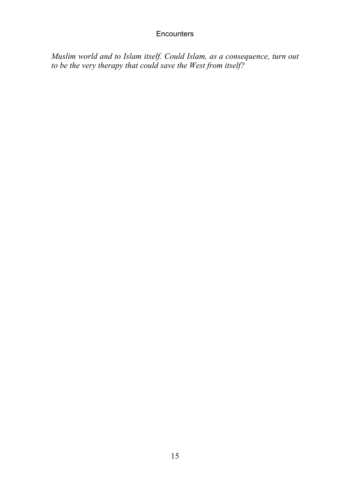### **Encounters**

*Muslim world and to Islam itself. Could Islam, as a consequence, turn out to be the very therapy that could save the West from itself?*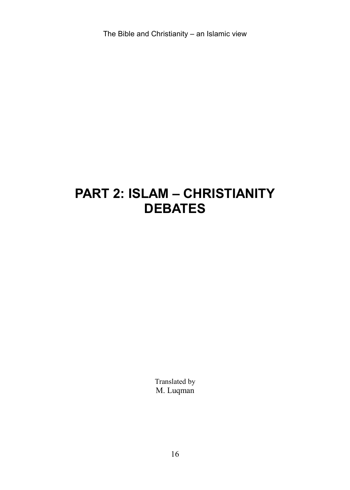<span id="page-21-0"></span>The Bible and Christianity – an Islamic view

# **PART 2: ISLAM – CHRISTIANITY DEBATES**

Translated by M. Luqman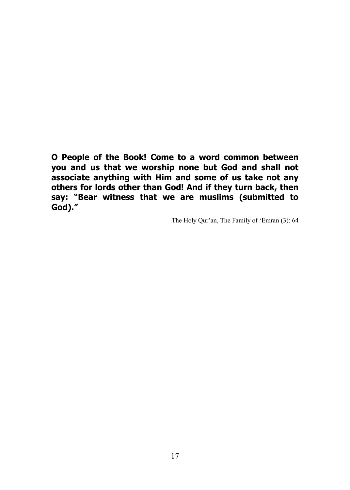**O People of the Book! Come to a word common between you and us that we worship none but God and shall not associate anything with Him and some of us take not any others for lords other than God! And if they turn back, then say: "Bear witness that we are muslims (submitted to God)."** 

The Holy Qur'an, The Family of 'Emran (3): 64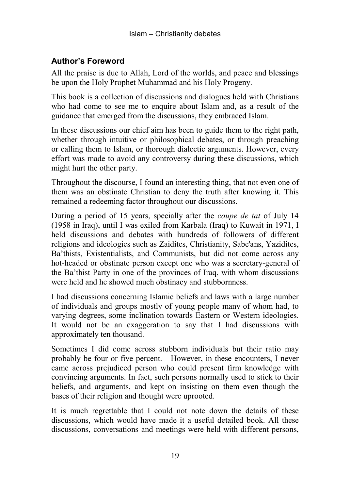# <span id="page-24-0"></span>**Author's Foreword**

All the praise is due to Allah, Lord of the worlds, and peace and blessings be upon the Holy Prophet Muhammad and his Holy Progeny.

This book is a collection of discussions and dialogues held with Christians who had come to see me to enquire about Islam and, as a result of the guidance that emerged from the discussions, they embraced Islam.

In these discussions our chief aim has been to guide them to the right path, whether through intuitive or philosophical debates, or through preaching or calling them to Islam, or thorough dialectic arguments. However, every effort was made to avoid any controversy during these discussions, which might hurt the other party.

Throughout the discourse, I found an interesting thing, that not even one of them was an obstinate Christian to deny the truth after knowing it. This remained a redeeming factor throughout our discussions.

During a period of 15 years, specially after the *coupe de tat* of July 14 (1958 in Iraq), until I was exiled from Karbala (Iraq) to Kuwait in 1971, I held discussions and debates with hundreds of followers of different religions and ideologies such as Zaidites, Christianity, Sabe'ans, Yazidites, Ba'thists, Existentialists, and Communists, but did not come across any hot-headed or obstinate person except one who was a secretary-general of the Ba'thist Party in one of the provinces of Iraq, with whom discussions were held and he showed much obstinacy and stubbornness.

I had discussions concerning Islamic beliefs and laws with a large number of individuals and groups mostly of young people many of whom had, to varying degrees, some inclination towards Eastern or Western ideologies. It would not be an exaggeration to say that I had discussions with approximately ten thousand.

Sometimes I did come across stubborn individuals but their ratio may probably be four or five percent. However, in these encounters, I never came across prejudiced person who could present firm knowledge with convincing arguments. In fact, such persons normally used to stick to their beliefs, and arguments, and kept on insisting on them even though the bases of their religion and thought were uprooted.

It is much regrettable that I could not note down the details of these discussions, which would have made it a useful detailed book. All these discussions, conversations and meetings were held with different persons,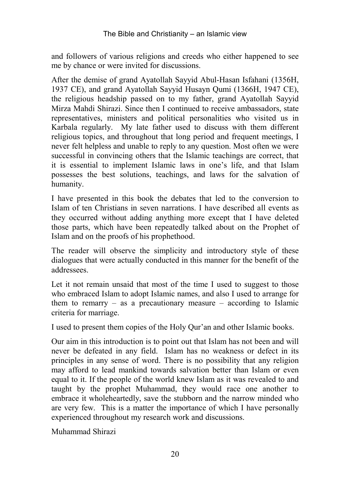and followers of various religions and creeds who either happened to see me by chance or were invited for discussions.

After the demise of grand Ayatollah Sayyid Abul-Hasan Isfahani (1356H, 1937 CE), and grand Ayatollah Sayyid Husayn Qumi (1366H, 1947 CE), the religious headship passed on to my father, grand Ayatollah Sayyid Mirza Mahdi Shirazi. Since then I continued to receive ambassadors, state representatives, ministers and political personalities who visited us in Karbala regularly. My late father used to discuss with them different religious topics, and throughout that long period and frequent meetings, I never felt helpless and unable to reply to any question. Most often we were successful in convincing others that the Islamic teachings are correct, that it is essential to implement Islamic laws in one's life, and that Islam possesses the best solutions, teachings, and laws for the salvation of humanity.

I have presented in this book the debates that led to the conversion to Islam of ten Christians in seven narrations. I have described all events as they occurred without adding anything more except that I have deleted those parts, which have been repeatedly talked about on the Prophet of Islam and on the proofs of his prophethood.

The reader will observe the simplicity and introductory style of these dialogues that were actually conducted in this manner for the benefit of the addressees.

Let it not remain unsaid that most of the time I used to suggest to those who embraced Islam to adopt Islamic names, and also I used to arrange for them to remarry  $-$  as a precautionary measure  $-$  according to Islamic criteria for marriage.

I used to present them copies of the Holy Qur'an and other Islamic books.

Our aim in this introduction is to point out that Islam has not been and will never be defeated in any field. Islam has no weakness or defect in its principles in any sense of word. There is no possibility that any religion may afford to lead mankind towards salvation better than Islam or even equal to it. If the people of the world knew Islam as it was revealed to and taught by the prophet Muhammad, they would race one another to embrace it wholeheartedly, save the stubborn and the narrow minded who are very few. This is a matter the importance of which I have personally experienced throughout my research work and discussions.

Muhammad Shirazi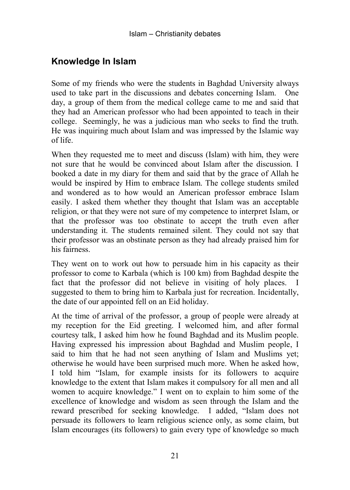# <span id="page-26-0"></span>**Knowledge In Islam**

Some of my friends who were the students in Baghdad University always used to take part in the discussions and debates concerning Islam. One day, a group of them from the medical college came to me and said that they had an American professor who had been appointed to teach in their college. Seemingly, he was a judicious man who seeks to find the truth. He was inquiring much about Islam and was impressed by the Islamic way of life.

When they requested me to meet and discuss (Islam) with him, they were not sure that he would be convinced about Islam after the discussion. I booked a date in my diary for them and said that by the grace of Allah he would be inspired by Him to embrace Islam. The college students smiled and wondered as to how would an American professor embrace Islam easily. I asked them whether they thought that Islam was an acceptable religion, or that they were not sure of my competence to interpret Islam, or that the professor was too obstinate to accept the truth even after understanding it. The students remained silent. They could not say that their professor was an obstinate person as they had already praised him for his fairness.

They went on to work out how to persuade him in his capacity as their professor to come to Karbala (which is 100 km) from Baghdad despite the fact that the professor did not believe in visiting of holy places. I suggested to them to bring him to Karbala just for recreation. Incidentally, the date of our appointed fell on an Eid holiday.

At the time of arrival of the professor, a group of people were already at my reception for the Eid greeting. I welcomed him, and after formal courtesy talk, I asked him how he found Baghdad and its Muslim people. Having expressed his impression about Baghdad and Muslim people, I said to him that he had not seen anything of Islam and Muslims yet; otherwise he would have been surprised much more. When he asked how, I told him "Islam, for example insists for its followers to acquire knowledge to the extent that Islam makes it compulsory for all men and all women to acquire knowledge." I went on to explain to him some of the excellence of knowledge and wisdom as seen through the Islam and the reward prescribed for seeking knowledge. I added, "Islam does not persuade its followers to learn religious science only, as some claim, but Islam encourages (its followers) to gain every type of knowledge so much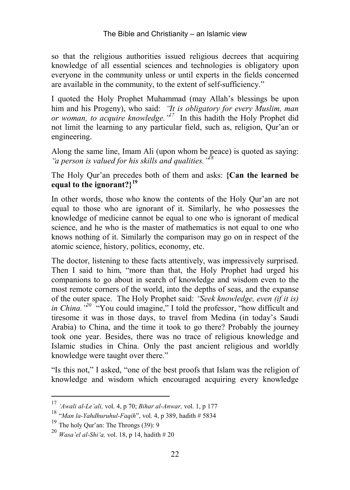so that the religious authorities issued religious decrees that acquiring knowledge of all essential sciences and technologies is obligatory upon everyone in the community unless or until experts in the fields concerned are available in the community, to the extent of self-sufficiency."

I quoted the Holy Prophet Muhammad (may Allah's blessings be upon him and his Progeny), who said: *"It is obligatory for every Muslim, man or woman, to acquire knowledge."17* In this hadith the Holy Prophet did not limit the learning to any particular field, such as, religion, Qur'an or engineering.

Along the same line, Imam Ali (upon whom be peace) is quoted as saying: *"a person is valued for his skills and qualities."18*

The Holy Qur'an precedes both of them and asks: **{Can the learned be equal to the ignorant?}<sup>19</sup>**

In other words, those who know the contents of the Holy Qur'an are not equal to those who are ignorant of it. Similarly, he who possesses the knowledge of medicine cannot be equal to one who is ignorant of medical science, and he who is the master of mathematics is not equal to one who knows nothing of it. Similarly the comparison may go on in respect of the atomic science, history, politics, economy, etc.

The doctor, listening to these facts attentively, was impressively surprised. Then I said to him, "more than that, the Holy Prophet had urged his companions to go about in search of knowledge and wisdom even to the most remote corners of the world, into the depths of seas, and the expanse of the outer space. The Holy Prophet said: *"Seek knowledge, even (if it is) in China.*<sup>20</sup> "You could imagine," I told the professor, "how difficult and tiresome it was in those days, to travel from Medina (in today's Saudi Arabia) to China, and the time it took to go there? Probably the journey took one year. Besides, there was no trace of religious knowledge and Islamic studies in China. Only the past ancient religious and worldly knowledge were taught over there."

"Is this not," I asked, "one of the best proofs that Islam was the religion of knowledge and wisdom which encouraged acquiring every knowledge

<sup>17</sup> *'Awali al-Le'ali,* vol. 4, p 70; *Bihar al-Anwar,* vol. 1, p 177

<sup>18</sup> "*Man la-Yahdhuruhul-Faqih*", vol. 4, p 389, hadith # 5834

<sup>19</sup> The holy Qur'an: The Throngs (39): 9

<sup>20</sup> *Wasa'el al-Shi'a,* vol. 18, p 14, hadith # 20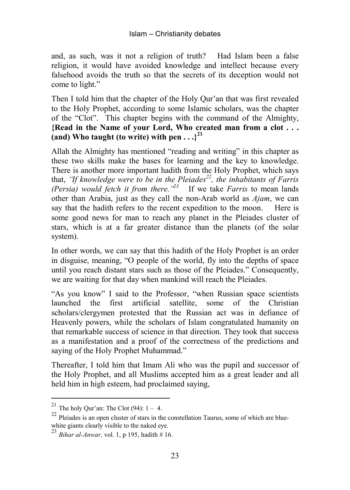and, as such, was it not a religion of truth? Had Islam been a false religion, it would have avoided knowledge and intellect because every falsehood avoids the truth so that the secrets of its deception would not come to light."

Then I told him that the chapter of the Holy Qur'an that was first revealed to the Holy Prophet, according to some Islamic scholars, was the chapter of the "Clot". This chapter begins with the command of the Almighty, **{Read in the Name of your Lord, Who created man from a clot . . . (and) Who taught (to write) with pen . . .}<sup>21</sup>**

Allah the Almighty has mentioned "reading and writing" in this chapter as these two skills make the bases for learning and the key to knowledge. There is another more important hadith from the Holy Prophet, which says that, *"If knowledge were to be in the Pleiades22, the inhabitants of Farris (Persia) would fetch it from there."23* If we take *Farris* to mean lands other than Arabia, just as they call the non-Arab world as *Ajam*, we can say that the hadith refers to the recent expedition to the moon. Here is some good news for man to reach any planet in the Pleiades cluster of stars, which is at a far greater distance than the planets (of the solar system).

In other words, we can say that this hadith of the Holy Prophet is an order in disguise, meaning, "O people of the world, fly into the depths of space until you reach distant stars such as those of the Pleiades." Consequently, we are waiting for that day when mankind will reach the Pleiades.

"As you know" I said to the Professor, "when Russian space scientists launched the first artificial satellite, some of the Christian scholars/clergymen protested that the Russian act was in defiance of Heavenly powers, while the scholars of Islam congratulated humanity on that remarkable success of science in that direction. They took that success as a manifestation and a proof of the correctness of the predictions and saying of the Holy Prophet Muhammad."

Thereafter, I told him that Imam Ali who was the pupil and successor of the Holy Prophet, and all Muslims accepted him as a great leader and all held him in high esteem, had proclaimed saying,

<sup>&</sup>lt;sup>21</sup> The holy Our'an: The Clot (94):  $1 - 4$ .

 $22$  Pleiades is an open cluster of stars in the constellation Taurus, some of which are bluewhite giants clearly visible to the naked eye.

 $\frac{23}{B}$ *Bihar al-Anwar*, vol. 1, p 195, hadith # 16.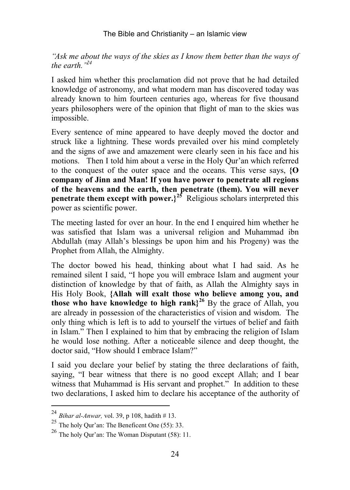*"Ask me about the ways of the skies as I know them better than the ways of the earth."24*

I asked him whether this proclamation did not prove that he had detailed knowledge of astronomy, and what modern man has discovered today was already known to him fourteen centuries ago, whereas for five thousand years philosophers were of the opinion that flight of man to the skies was impossible.

Every sentence of mine appeared to have deeply moved the doctor and struck like a lightning. These words prevailed over his mind completely and the signs of awe and amazement were clearly seen in his face and his motions. Then I told him about a verse in the Holy Qur'an which referred to the conquest of the outer space and the oceans. This verse says, **{O company of Jinn and Man! If you have power to penetrate all regions of the heavens and the earth, then penetrate (them). You will never penetrate them except with power.}<sup>25</sup>** Religious scholars interpreted this power as scientific power.

The meeting lasted for over an hour. In the end I enquired him whether he was satisfied that Islam was a universal religion and Muhammad ibn Abdullah (may Allah's blessings be upon him and his Progeny) was the Prophet from Allah, the Almighty.

The doctor bowed his head, thinking about what I had said. As he remained silent I said, "I hope you will embrace Islam and augment your distinction of knowledge by that of faith, as Allah the Almighty says in His Holy Book, **{Allah will exalt those who believe among you, and those who have knowledge to high rank}<sup>26</sup>** By the grace of Allah, you are already in possession of the characteristics of vision and wisdom. The only thing which is left is to add to yourself the virtues of belief and faith in Islam." Then I explained to him that by embracing the religion of Islam he would lose nothing. After a noticeable silence and deep thought, the doctor said, "How should I embrace Islam?"

I said you declare your belief by stating the three declarations of faith, saying, "I bear witness that there is no good except Allah; and I bear witness that Muhammad is His servant and prophet." In addition to these two declarations, I asked him to declare his acceptance of the authority of

<sup>&</sup>lt;sup>24</sup> *Bihar al-Anwar*, vol. 39, p 108, hadith  $\#$  13.

<sup>25</sup> The holy Qur'an: The Beneficent One (55): 33.

<sup>26</sup> The holy Qur'an: The Woman Disputant (58): 11.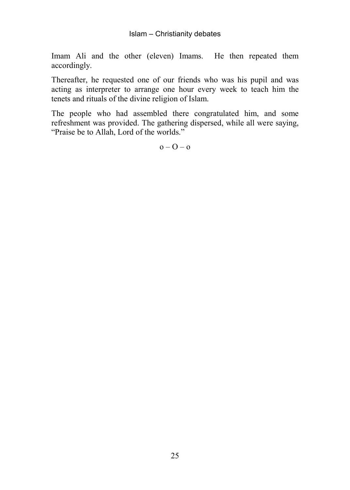Imam Ali and the other (eleven) Imams. He then repeated them accordingly.

Thereafter, he requested one of our friends who was his pupil and was acting as interpreter to arrange one hour every week to teach him the tenets and rituals of the divine religion of Islam.

The people who had assembled there congratulated him, and some refreshment was provided. The gathering dispersed, while all were saying, "Praise be to Allah, Lord of the worlds."

 $0 - 0 - 0$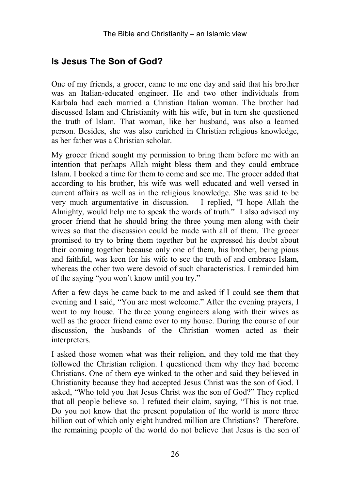# <span id="page-31-0"></span>**Is Jesus The Son of God?**

One of my friends, a grocer, came to me one day and said that his brother was an Italian-educated engineer. He and two other individuals from Karbala had each married a Christian Italian woman. The brother had discussed Islam and Christianity with his wife, but in turn she questioned the truth of Islam. That woman, like her husband, was also a learned person. Besides, she was also enriched in Christian religious knowledge, as her father was a Christian scholar.

My grocer friend sought my permission to bring them before me with an intention that perhaps Allah might bless them and they could embrace Islam. I booked a time for them to come and see me. The grocer added that according to his brother, his wife was well educated and well versed in current affairs as well as in the religious knowledge. She was said to be very much argumentative in discussion. I replied, "I hope Allah the Almighty, would help me to speak the words of truth." I also advised my grocer friend that he should bring the three young men along with their wives so that the discussion could be made with all of them. The grocer promised to try to bring them together but he expressed his doubt about their coming together because only one of them, his brother, being pious and faithful, was keen for his wife to see the truth of and embrace Islam, whereas the other two were devoid of such characteristics. I reminded him of the saying "you won't know until you try."

After a few days he came back to me and asked if I could see them that evening and I said, "You are most welcome." After the evening prayers, I went to my house. The three young engineers along with their wives as well as the grocer friend came over to my house. During the course of our discussion, the husbands of the Christian women acted as their interpreters.

I asked those women what was their religion, and they told me that they followed the Christian religion. I questioned them why they had become Christians. One of them eye winked to the other and said they believed in Christianity because they had accepted Jesus Christ was the son of God. I asked, "Who told you that Jesus Christ was the son of God?" They replied that all people believe so. I refuted their claim, saying, "This is not true. Do you not know that the present population of the world is more three billion out of which only eight hundred million are Christians? Therefore, the remaining people of the world do not believe that Jesus is the son of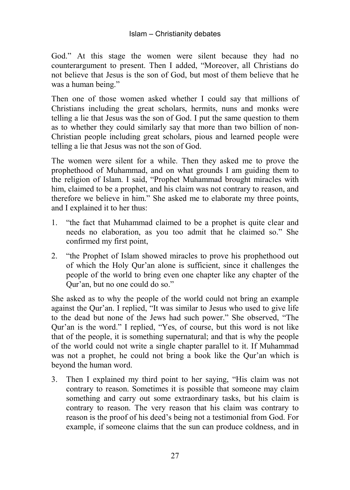God." At this stage the women were silent because they had no counterargument to present. Then I added, "Moreover, all Christians do not believe that Jesus is the son of God, but most of them believe that he was a human being."

Then one of those women asked whether I could say that millions of Christians including the great scholars, hermits, nuns and monks were telling a lie that Jesus was the son of God. I put the same question to them as to whether they could similarly say that more than two billion of non-Christian people including great scholars, pious and learned people were telling a lie that Jesus was not the son of God.

The women were silent for a while. Then they asked me to prove the prophethood of Muhammad, and on what grounds I am guiding them to the religion of Islam. I said, "Prophet Muhammad brought miracles with him, claimed to be a prophet, and his claim was not contrary to reason, and therefore we believe in him." She asked me to elaborate my three points, and I explained it to her thus:

- 1. "the fact that Muhammad claimed to be a prophet is quite clear and needs no elaboration, as you too admit that he claimed so." She confirmed my first point,
- 2. "the Prophet of Islam showed miracles to prove his prophethood out of which the Holy Qur'an alone is sufficient, since it challenges the people of the world to bring even one chapter like any chapter of the Qur'an, but no one could do so."

She asked as to why the people of the world could not bring an example against the Qur'an. I replied, "It was similar to Jesus who used to give life to the dead but none of the Jews had such power." She observed, "The Qur'an is the word." I replied, "Yes, of course, but this word is not like that of the people, it is something supernatural; and that is why the people of the world could not write a single chapter parallel to it. If Muhammad was not a prophet, he could not bring a book like the Qur'an which is beyond the human word.

3. Then I explained my third point to her saying, "His claim was not contrary to reason. Sometimes it is possible that someone may claim something and carry out some extraordinary tasks, but his claim is contrary to reason. The very reason that his claim was contrary to reason is the proof of his deed's being not a testimonial from God. For example, if someone claims that the sun can produce coldness, and in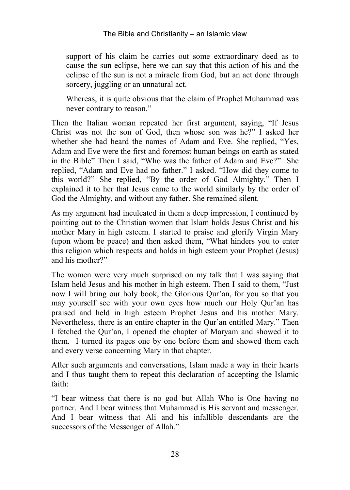support of his claim he carries out some extraordinary deed as to cause the sun eclipse, here we can say that this action of his and the eclipse of the sun is not a miracle from God, but an act done through sorcery, juggling or an unnatural act.

Whereas, it is quite obvious that the claim of Prophet Muhammad was never contrary to reason."

Then the Italian woman repeated her first argument, saying, "If Jesus Christ was not the son of God, then whose son was he?" I asked her whether she had heard the names of Adam and Eve. She replied, "Yes, Adam and Eve were the first and foremost human beings on earth as stated in the Bible" Then I said, "Who was the father of Adam and Eve?" She replied, "Adam and Eve had no father." I asked. "How did they come to this world?" She replied, "By the order of God Almighty." Then I explained it to her that Jesus came to the world similarly by the order of God the Almighty, and without any father. She remained silent.

As my argument had inculcated in them a deep impression, I continued by pointing out to the Christian women that Islam holds Jesus Christ and his mother Mary in high esteem. I started to praise and glorify Virgin Mary (upon whom be peace) and then asked them, "What hinders you to enter this religion which respects and holds in high esteem your Prophet (Jesus) and his mother?"

The women were very much surprised on my talk that I was saying that Islam held Jesus and his mother in high esteem. Then I said to them, "Just now I will bring our holy book, the Glorious Qur'an, for you so that you may yourself see with your own eyes how much our Holy Qur'an has praised and held in high esteem Prophet Jesus and his mother Mary. Nevertheless, there is an entire chapter in the Qur'an entitled Mary." Then I fetched the Qur'an, I opened the chapter of Maryam and showed it to them. I turned its pages one by one before them and showed them each and every verse concerning Mary in that chapter.

After such arguments and conversations, Islam made a way in their hearts and I thus taught them to repeat this declaration of accepting the Islamic faith:

"I bear witness that there is no god but Allah Who is One having no partner. And I bear witness that Muhammad is His servant and messenger. And I bear witness that Ali and his infallible descendants are the successors of the Messenger of Allah."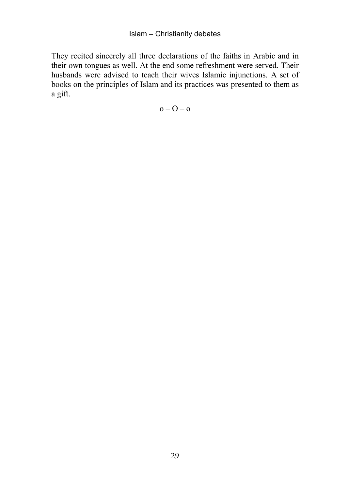They recited sincerely all three declarations of the faiths in Arabic and in their own tongues as well. At the end some refreshment were served. Their husbands were advised to teach their wives Islamic injunctions. A set of books on the principles of Islam and its practices was presented to them as a gift.

 $0 - 0 - 0$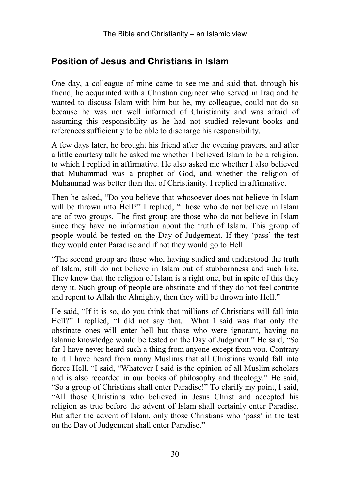## <span id="page-35-0"></span>**Position of Jesus and Christians in Islam**

One day, a colleague of mine came to see me and said that, through his friend, he acquainted with a Christian engineer who served in Iraq and he wanted to discuss Islam with him but he, my colleague, could not do so because he was not well informed of Christianity and was afraid of assuming this responsibility as he had not studied relevant books and references sufficiently to be able to discharge his responsibility.

A few days later, he brought his friend after the evening prayers, and after a little courtesy talk he asked me whether I believed Islam to be a religion, to which I replied in affirmative. He also asked me whether I also believed that Muhammad was a prophet of God, and whether the religion of Muhammad was better than that of Christianity. I replied in affirmative.

Then he asked, "Do you believe that whosoever does not believe in Islam will be thrown into Hell?" I replied, "Those who do not believe in Islam are of two groups. The first group are those who do not believe in Islam since they have no information about the truth of Islam. This group of people would be tested on the Day of Judgement. If they 'pass' the test they would enter Paradise and if not they would go to Hell.

"The second group are those who, having studied and understood the truth of Islam, still do not believe in Islam out of stubbornness and such like. They know that the religion of Islam is a right one, but in spite of this they deny it. Such group of people are obstinate and if they do not feel contrite and repent to Allah the Almighty, then they will be thrown into Hell."

He said, "If it is so, do you think that millions of Christians will fall into Hell?" I replied, "I did not say that. What I said was that only the obstinate ones will enter hell but those who were ignorant, having no Islamic knowledge would be tested on the Day of Judgment." He said, "So far I have never heard such a thing from anyone except from you. Contrary to it I have heard from many Muslims that all Christians would fall into fierce Hell. "I said, "Whatever I said is the opinion of all Muslim scholars and is also recorded in our books of philosophy and theology." He said, "So a group of Christians shall enter Paradise!" To clarify my point, I said, "All those Christians who believed in Jesus Christ and accepted his religion as true before the advent of Islam shall certainly enter Paradise. But after the advent of Islam, only those Christians who 'pass' in the test on the Day of Judgement shall enter Paradise."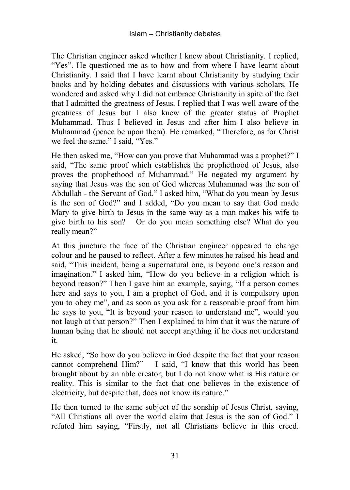The Christian engineer asked whether I knew about Christianity. I replied, "Yes". He questioned me as to how and from where I have learnt about Christianity. I said that I have learnt about Christianity by studying their books and by holding debates and discussions with various scholars. He wondered and asked why I did not embrace Christianity in spite of the fact that I admitted the greatness of Jesus. I replied that I was well aware of the greatness of Jesus but I also knew of the greater status of Prophet Muhammad. Thus I believed in Jesus and after him I also believe in Muhammad (peace be upon them). He remarked, "Therefore, as for Christ we feel the same." I said, "Yes."

He then asked me, "How can you prove that Muhammad was a prophet?" I said, "The same proof which establishes the prophethood of Jesus, also proves the prophethood of Muhammad." He negated my argument by saying that Jesus was the son of God whereas Muhammad was the son of Abdullah - the Servant of God." I asked him, "What do you mean by Jesus is the son of God?" and I added, "Do you mean to say that God made Mary to give birth to Jesus in the same way as a man makes his wife to give birth to his son? Or do you mean something else? What do you really mean?"

At this juncture the face of the Christian engineer appeared to change colour and he paused to reflect. After a few minutes he raised his head and said, "This incident, being a supernatural one, is beyond one's reason and imagination." I asked him, "How do you believe in a religion which is beyond reason?" Then I gave him an example, saying, "If a person comes here and says to you, I am a prophet of God, and it is compulsory upon you to obey me", and as soon as you ask for a reasonable proof from him he says to you, "It is beyond your reason to understand me", would you not laugh at that person?" Then I explained to him that it was the nature of human being that he should not accept anything if he does not understand it.

He asked, "So how do you believe in God despite the fact that your reason cannot comprehend Him?" I said, "I know that this world has been brought about by an able creator, but I do not know what is His nature or reality. This is similar to the fact that one believes in the existence of electricity, but despite that, does not know its nature."

He then turned to the same subject of the sonship of Jesus Christ, saying, "All Christians all over the world claim that Jesus is the son of God." I refuted him saying, "Firstly, not all Christians believe in this creed.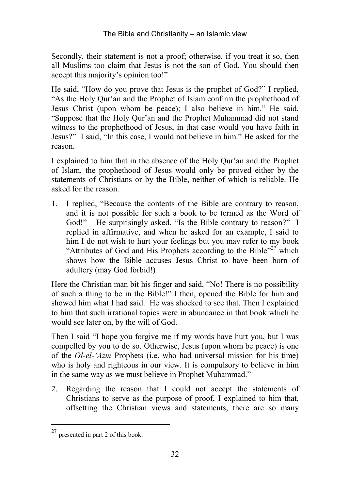Secondly, their statement is not a proof; otherwise, if you treat it so, then all Muslims too claim that Jesus is not the son of God. You should then accept this majority's opinion too!"

He said, "How do you prove that Jesus is the prophet of God?" I replied, "As the Holy Qur'an and the Prophet of Islam confirm the prophethood of Jesus Christ (upon whom be peace); I also believe in him." He said, "Suppose that the Holy Qur'an and the Prophet Muhammad did not stand witness to the prophethood of Jesus, in that case would you have faith in Jesus?" I said, "In this case, I would not believe in him." He asked for the reason.

I explained to him that in the absence of the Holy Qur'an and the Prophet of Islam, the prophethood of Jesus would only be proved either by the statements of Christians or by the Bible, neither of which is reliable. He asked for the reason.

1. I replied, "Because the contents of the Bible are contrary to reason, and it is not possible for such a book to be termed as the Word of God!" He surprisingly asked, "Is the Bible contrary to reason?" I replied in affirmative, and when he asked for an example, I said to him I do not wish to hurt your feelings but you may refer to my book "Attributes of God and His Prophets according to the Bible"<sup>27</sup> which shows how the Bible accuses Jesus Christ to have been born of adultery (may God forbid!)

Here the Christian man bit his finger and said, "No! There is no possibility of such a thing to be in the Bible!" I then, opened the Bible for him and showed him what I had said. He was shocked to see that. Then I explained to him that such irrational topics were in abundance in that book which he would see later on, by the will of God.

Then I said "I hope you forgive me if my words have hurt you, but I was compelled by you to do so. Otherwise, Jesus (upon whom be peace) is one of the *Ol-el-'Azm* Prophets (i.e. who had universal mission for his time) who is holy and righteous in our view. It is compulsory to believe in him in the same way as we must believe in Prophet Muhammad."

2. Regarding the reason that I could not accept the statements of Christians to serve as the purpose of proof, I explained to him that, offsetting the Christian views and statements, there are so many

 $27$  presented in part 2 of this book.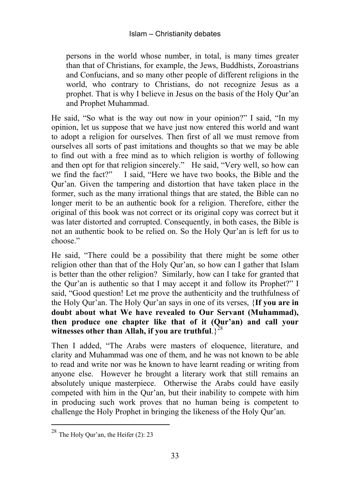persons in the world whose number, in total, is many times greater than that of Christians, for example, the Jews, Buddhists, Zoroastrians and Confucians, and so many other people of different religions in the world, who contrary to Christians, do not recognize Jesus as a prophet. That is why I believe in Jesus on the basis of the Holy Qur'an and Prophet Muhammad.

He said, "So what is the way out now in your opinion?" I said, "In my opinion, let us suppose that we have just now entered this world and want to adopt a religion for ourselves. Then first of all we must remove from ourselves all sorts of past imitations and thoughts so that we may be able to find out with a free mind as to which religion is worthy of following and then opt for that religion sincerely." He said, "Very well, so how can we find the fact?" I said, "Here we have two books, the Bible and the Qur'an. Given the tampering and distortion that have taken place in the former, such as the many irrational things that are stated, the Bible can no longer merit to be an authentic book for a religion. Therefore, either the original of this book was not correct or its original copy was correct but it was later distorted and corrupted. Consequently, in both cases, the Bible is not an authentic book to be relied on. So the Holy Qur'an is left for us to choose."

He said, "There could be a possibility that there might be some other religion other than that of the Holy Qur'an, so how can I gather that Islam is better than the other religion? Similarly, how can I take for granted that the Qur'an is authentic so that I may accept it and follow its Prophet?" I said, "Good question! Let me prove the authenticity and the truthfulness of the Holy Qur'an. The Holy Qur'an says in one of its verses, {**If you are in doubt about what We have revealed to Our Servant (Muhammad), then produce one chapter like that of it (Qur'an) and call your witnesses other than Allah, if you are truthful**.}<sup>28</sup>

Then I added, "The Arabs were masters of eloquence, literature, and clarity and Muhammad was one of them, and he was not known to be able to read and write nor was he known to have learnt reading or writing from anyone else. However he brought a literary work that still remains an absolutely unique masterpiece. Otherwise the Arabs could have easily competed with him in the Qur'an, but their inability to compete with him in producing such work proves that no human being is competent to challenge the Holy Prophet in bringing the likeness of the Holy Qur'an.

 $28$  The Holy Qur'an, the Heifer (2): 23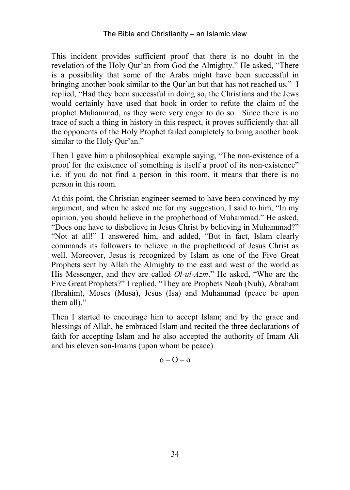This incident provides sufficient proof that there is no doubt in the revelation of the Holy Qur'an from God the Almighty." He asked, "There is a possibility that some of the Arabs might have been successful in bringing another book similar to the Qur'an but that has not reached us." I replied, "Had they been successful in doing so, the Christians and the Jews would certainly have used that book in order to refute the claim of the prophet Muhammad, as they were very eager to do so. Since there is no trace of such a thing in history in this respect, it proves sufficiently that all the opponents of the Holy Prophet failed completely to bring another book similar to the Holy Our'an."

Then I gave him a philosophical example saying, "The non-existence of a proof for the existence of something is itself a proof of its non-existence" i.e. if you do not find a person in this room, it means that there is no person in this room.

At this point, the Christian engineer seemed to have been convinced by my argument, and when he asked me for my suggestion, I said to him, "In my opinion, you should believe in the prophethood of Muhammad." He asked, "Does one have to disbelieve in Jesus Christ by believing in Muhammad?" "Not at all!" I answered him, and added, "But in fact, Islam clearly commands its followers to believe in the prophethood of Jesus Christ as well. Moreover, Jesus is recognized by Islam as one of the Five Great Prophets sent by Allah the Almighty to the east and west of the world as His Messenger, and they are called *Ol-ul-Azm*." He asked, "Who are the Five Great Prophets?" I replied, "They are Prophets Noah (Nuh), Abraham (Ibrahim), Moses (Musa), Jesus (Isa) and Muhammad (peace be upon them all)."

Then I started to encourage him to accept Islam; and by the grace and blessings of Allah, he embraced Islam and recited the three declarations of faith for accepting Islam and he also accepted the authority of Imam Ali and his eleven son-Imams (upon whom be peace).

 $0 - 0 - 0$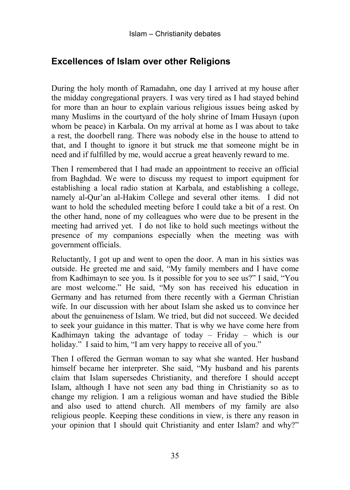# **Excellences of Islam over other Religions**

During the holy month of Ramadahn, one day I arrived at my house after the midday congregational prayers. I was very tired as I had stayed behind for more than an hour to explain various religious issues being asked by many Muslims in the courtyard of the holy shrine of Imam Husayn (upon whom be peace) in Karbala. On my arrival at home as I was about to take a rest, the doorbell rang. There was nobody else in the house to attend to that, and I thought to ignore it but struck me that someone might be in need and if fulfilled by me, would accrue a great heavenly reward to me.

Then I remembered that I had made an appointment to receive an official from Baghdad. We were to discuss my request to import equipment for establishing a local radio station at Karbala, and establishing a college, namely al-Qur'an al-Hakim College and several other items. I did not want to hold the scheduled meeting before I could take a bit of a rest. On the other hand, none of my colleagues who were due to be present in the meeting had arrived yet. I do not like to hold such meetings without the presence of my companions especially when the meeting was with government officials.

Reluctantly, I got up and went to open the door. A man in his sixties was outside. He greeted me and said, "My family members and I have come from Kadhimayn to see you. Is it possible for you to see us?" I said, "You are most welcome." He said, "My son has received his education in Germany and has returned from there recently with a German Christian wife. In our discussion with her about Islam she asked us to convince her about the genuineness of Islam. We tried, but did not succeed. We decided to seek your guidance in this matter. That is why we have come here from Kadhimayn taking the advantage of today – Friday – which is our holiday." I said to him, "I am very happy to receive all of you."

Then I offered the German woman to say what she wanted. Her husband himself became her interpreter. She said, "My husband and his parents claim that Islam supersedes Christianity, and therefore I should accept Islam, although I have not seen any bad thing in Christianity so as to change my religion. I am a religious woman and have studied the Bible and also used to attend church. All members of my family are also religious people. Keeping these conditions in view, is there any reason in your opinion that I should quit Christianity and enter Islam? and why?"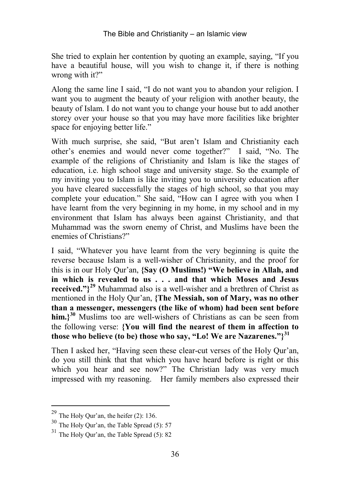She tried to explain her contention by quoting an example, saying, "If you have a beautiful house, will you wish to change it, if there is nothing wrong with it?"

Along the same line I said, "I do not want you to abandon your religion. I want you to augment the beauty of your religion with another beauty, the beauty of Islam. I do not want you to change your house but to add another storey over your house so that you may have more facilities like brighter space for enjoying better life."

With much surprise, she said, "But aren't Islam and Christianity each other's enemies and would never come together?" I said, "No. The example of the religions of Christianity and Islam is like the stages of education, i.e. high school stage and university stage. So the example of my inviting you to Islam is like inviting you to university education after you have cleared successfully the stages of high school, so that you may complete your education." She said, "How can I agree with you when I have learnt from the very beginning in my home, in my school and in my environment that Islam has always been against Christianity, and that Muhammad was the sworn enemy of Christ, and Muslims have been the enemies of Christians?"

I said, "Whatever you have learnt from the very beginning is quite the reverse because Islam is a well-wisher of Christianity, and the proof for this is in our Holy Qur'an, **{Say (O Muslims!) "We believe in Allah, and in which is revealed to us . . . and that which Moses and Jesus received."}<sup>29</sup>** Muhammad also is a well-wisher and a brethren of Christ as mentioned in the Holy Qur'an, **{The Messiah, son of Mary, was no other than a messenger, messengers (the like of whom) had been sent before him.}<sup>30</sup>** Muslims too are well-wishers of Christians as can be seen from the following verse: **{You will find the nearest of them in affection to those who believe (to be) those who say, "Lo! We are Nazarenes."}<sup>31</sup>**

Then I asked her, "Having seen these clear-cut verses of the Holy Qur'an, do you still think that that which you have heard before is right or this which you hear and see now?" The Christian lady was very much impressed with my reasoning. Her family members also expressed their

<sup>&</sup>lt;sup>29</sup> The Holy Our'an, the heifer  $(2)$ : 136.

<sup>30</sup> The Holy Qur'an, the Table Spread (5): 57

<sup>31</sup> The Holy Qur'an, the Table Spread (5): 82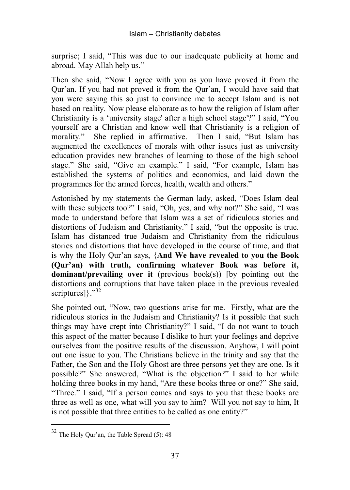surprise; I said, "This was due to our inadequate publicity at home and abroad. May Allah help us."

Then she said, "Now I agree with you as you have proved it from the Qur'an. If you had not proved it from the Qur'an, I would have said that you were saying this so just to convince me to accept Islam and is not based on reality. Now please elaborate as to how the religion of Islam after Christianity is a 'university stage' after a high school stage'?" I said, "You yourself are a Christian and know well that Christianity is a religion of morality." She replied in affirmative. Then I said, "But Islam has augmented the excellences of morals with other issues just as university education provides new branches of learning to those of the high school stage." She said, "Give an example." I said, "For example, Islam has established the systems of politics and economics, and laid down the programmes for the armed forces, health, wealth and others."

Astonished by my statements the German lady, asked, "Does Islam deal with these subjects too?" I said, "Oh, yes, and why not?" She said, "I was made to understand before that Islam was a set of ridiculous stories and distortions of Judaism and Christianity." I said, "but the opposite is true. Islam has distanced true Judaism and Christianity from the ridiculous stories and distortions that have developed in the course of time, and that is why the Holy Qur'an says, {**And We have revealed to you the Book (Qur'an) with truth, confirming whatever Book was before it, dominant/prevailing over it** (previous book(s)) [by pointing out the distortions and corruptions that have taken place in the previous revealed scriptures]}."<sup>32</sup>

She pointed out, "Now, two questions arise for me. Firstly, what are the ridiculous stories in the Judaism and Christianity? Is it possible that such things may have crept into Christianity?" I said, "I do not want to touch this aspect of the matter because I dislike to hurt your feelings and deprive ourselves from the positive results of the discussion. Anyhow, I will point out one issue to you. The Christians believe in the trinity and say that the Father, the Son and the Holy Ghost are three persons yet they are one. Is it possible?" She answered, "What is the objection?" I said to her while holding three books in my hand, "Are these books three or one?" She said, "Three." I said, "If a person comes and says to you that these books are three as well as one, what will you say to him? Will you not say to him, It is not possible that three entities to be called as one entity?"

 $32$  The Holy Qur'an, the Table Spread (5): 48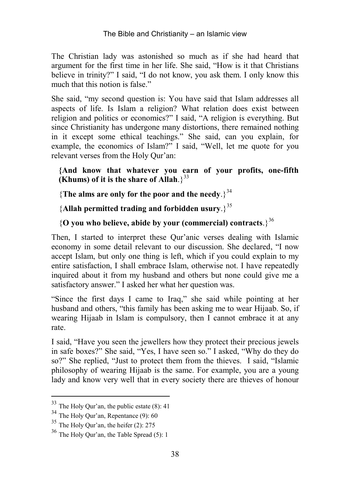The Christian lady was astonished so much as if she had heard that argument for the first time in her life. She said, "How is it that Christians believe in trinity?" I said, "I do not know, you ask them. I only know this much that this notion is false."

She said, "my second question is: You have said that Islam addresses all aspects of life. Is Islam a religion? What relation does exist between religion and politics or economics?" I said, "A religion is everything. But since Christianity has undergone many distortions, there remained nothing in it except some ethical teachings." She said, can you explain, for example, the economics of Islam?" I said, "Well, let me quote for you relevant verses from the Holy Qur'an:

**{And know that whatever you earn of your profits, one-fifth (Khums) of it is the share of Allah**.}33

{The alms are only for the poor and the needy.}<sup>34</sup>

 ${$  {Allah permitted trading and forbidden usury.}<sup>35</sup>

{**O you who believe, abide by your (commercial) contracts**.}36

Then, I started to interpret these Qur'anic verses dealing with Islamic economy in some detail relevant to our discussion. She declared, "I now accept Islam, but only one thing is left, which if you could explain to my entire satisfaction, I shall embrace Islam, otherwise not. I have repeatedly inquired about it from my husband and others but none could give me a satisfactory answer." I asked her what her question was.

"Since the first days I came to Iraq," she said while pointing at her husband and others, "this family has been asking me to wear Hijaab. So, if wearing Hijaab in Islam is compulsory, then I cannot embrace it at any rate.

I said, "Have you seen the jewellers how they protect their precious jewels in safe boxes?" She said, "Yes, I have seen so." I asked, "Why do they do so?" She replied, "Just to protect them from the thieves. I said, "Islamic philosophy of wearing Hijaab is the same. For example, you are a young lady and know very well that in every society there are thieves of honour

 $33$  The Holy Our'an, the public estate (8): 41

<sup>34</sup> The Holy Qur'an, Repentance (9): 60

<sup>35</sup> The Holy Qur'an, the heifer (2): 275

<sup>36</sup> The Holy Qur'an, the Table Spread (5): 1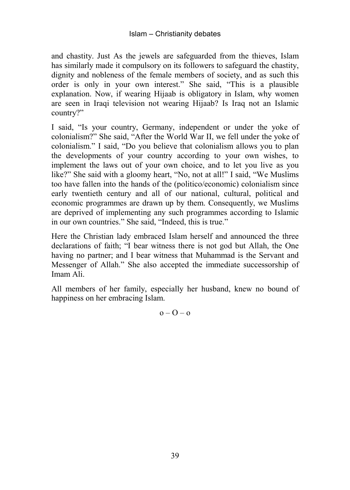and chastity. Just As the jewels are safeguarded from the thieves, Islam has similarly made it compulsory on its followers to safeguard the chastity, dignity and nobleness of the female members of society, and as such this order is only in your own interest." She said, "This is a plausible explanation. Now, if wearing Hijaab is obligatory in Islam, why women are seen in Iraqi television not wearing Hijaab? Is Iraq not an Islamic country?"

I said, "Is your country, Germany, independent or under the yoke of colonialism?" She said, "After the World War II, we fell under the yoke of colonialism." I said, "Do you believe that colonialism allows you to plan the developments of your country according to your own wishes, to implement the laws out of your own choice, and to let you live as you like?" She said with a gloomy heart, "No, not at all!" I said, "We Muslims too have fallen into the hands of the (politico/economic) colonialism since early twentieth century and all of our national, cultural, political and economic programmes are drawn up by them. Consequently, we Muslims are deprived of implementing any such programmes according to Islamic in our own countries." She said, "Indeed, this is true."

Here the Christian lady embraced Islam herself and announced the three declarations of faith; "I bear witness there is not god but Allah, the One having no partner; and I bear witness that Muhammad is the Servant and Messenger of Allah." She also accepted the immediate successorship of Imam Ali.

All members of her family, especially her husband, knew no bound of happiness on her embracing Islam.

 $o - O - o$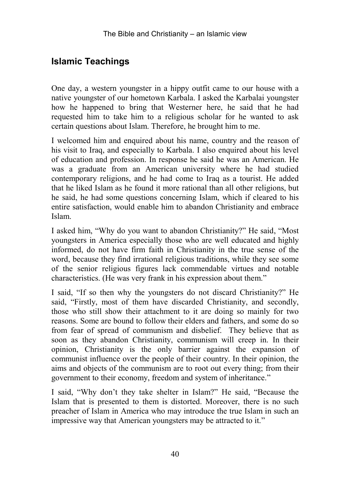# **Islamic Teachings**

One day, a western youngster in a hippy outfit came to our house with a native youngster of our hometown Karbala. I asked the Karbalai youngster how he happened to bring that Westerner here, he said that he had requested him to take him to a religious scholar for he wanted to ask certain questions about Islam. Therefore, he brought him to me.

I welcomed him and enquired about his name, country and the reason of his visit to Iraq, and especially to Karbala. I also enquired about his level of education and profession. In response he said he was an American. He was a graduate from an American university where he had studied contemporary religions, and he had come to Iraq as a tourist. He added that he liked Islam as he found it more rational than all other religions, but he said, he had some questions concerning Islam, which if cleared to his entire satisfaction, would enable him to abandon Christianity and embrace Islam.

I asked him, "Why do you want to abandon Christianity?" He said, "Most youngsters in America especially those who are well educated and highly informed, do not have firm faith in Christianity in the true sense of the word, because they find irrational religious traditions, while they see some of the senior religious figures lack commendable virtues and notable characteristics. (He was very frank in his expression about them."

I said, "If so then why the youngsters do not discard Christianity?" He said, "Firstly, most of them have discarded Christianity, and secondly, those who still show their attachment to it are doing so mainly for two reasons. Some are bound to follow their elders and fathers, and some do so from fear of spread of communism and disbelief. They believe that as soon as they abandon Christianity, communism will creep in. In their opinion, Christianity is the only barrier against the expansion of communist influence over the people of their country. In their opinion, the aims and objects of the communism are to root out every thing; from their government to their economy, freedom and system of inheritance."

I said, "Why don't they take shelter in Islam?" He said, "Because the Islam that is presented to them is distorted. Moreover, there is no such preacher of Islam in America who may introduce the true Islam in such an impressive way that American youngsters may be attracted to it."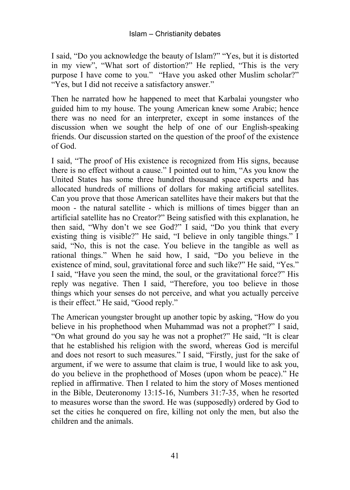I said, "Do you acknowledge the beauty of Islam?" "Yes, but it is distorted in my view", "What sort of distortion?" He replied, "This is the very purpose I have come to you." "Have you asked other Muslim scholar?" "Yes, but I did not receive a satisfactory answer."

Then he narrated how he happened to meet that Karbalai youngster who guided him to my house. The young American knew some Arabic; hence there was no need for an interpreter, except in some instances of the discussion when we sought the help of one of our English-speaking friends. Our discussion started on the question of the proof of the existence of God.

I said, "The proof of His existence is recognized from His signs, because there is no effect without a cause." I pointed out to him, "As you know the United States has some three hundred thousand space experts and has allocated hundreds of millions of dollars for making artificial satellites. Can you prove that those American satellites have their makers but that the moon - the natural satellite - which is millions of times bigger than an artificial satellite has no Creator?" Being satisfied with this explanation, he then said, "Why don't we see God?" I said, "Do you think that every existing thing is visible?" He said, "I believe in only tangible things." I said, "No, this is not the case. You believe in the tangible as well as rational things." When he said how, I said, "Do you believe in the existence of mind, soul, gravitational force and such like?" He said, "Yes." I said, "Have you seen the mind, the soul, or the gravitational force?" His reply was negative. Then I said, "Therefore, you too believe in those things which your senses do not perceive, and what you actually perceive is their effect." He said, "Good reply."

The American youngster brought up another topic by asking, "How do you believe in his prophethood when Muhammad was not a prophet?" I said, "On what ground do you say he was not a prophet?" He said, "It is clear that he established his religion with the sword, whereas God is merciful and does not resort to such measures." I said, "Firstly, just for the sake of argument, if we were to assume that claim is true, I would like to ask you, do you believe in the prophethood of Moses (upon whom be peace)." He replied in affirmative. Then I related to him the story of Moses mentioned in the Bible, Deuteronomy 13:15-16, Numbers 31:7-35, when he resorted to measures worse than the sword. He was (supposedly) ordered by God to set the cities he conquered on fire, killing not only the men, but also the children and the animals.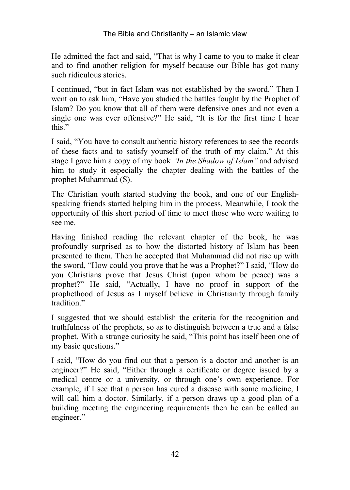He admitted the fact and said, "That is why I came to you to make it clear and to find another religion for myself because our Bible has got many such ridiculous stories.

I continued, "but in fact Islam was not established by the sword." Then I went on to ask him, "Have you studied the battles fought by the Prophet of Islam? Do you know that all of them were defensive ones and not even a single one was ever offensive?" He said, "It is for the first time I hear this."

I said, "You have to consult authentic history references to see the records of these facts and to satisfy yourself of the truth of my claim." At this stage I gave him a copy of my book *"In the Shadow of Islam"* and advised him to study it especially the chapter dealing with the battles of the prophet Muhammad (S).

The Christian youth started studying the book, and one of our Englishspeaking friends started helping him in the process. Meanwhile, I took the opportunity of this short period of time to meet those who were waiting to see me.

Having finished reading the relevant chapter of the book, he was profoundly surprised as to how the distorted history of Islam has been presented to them. Then he accepted that Muhammad did not rise up with the sword, "How could you prove that he was a Prophet?" I said, "How do you Christians prove that Jesus Christ (upon whom be peace) was a prophet?" He said, "Actually, I have no proof in support of the prophethood of Jesus as I myself believe in Christianity through family tradition<sup>"</sup>

I suggested that we should establish the criteria for the recognition and truthfulness of the prophets, so as to distinguish between a true and a false prophet. With a strange curiosity he said, "This point has itself been one of my basic questions."

I said, "How do you find out that a person is a doctor and another is an engineer?" He said, "Either through a certificate or degree issued by a medical centre or a university, or through one's own experience. For example, if I see that a person has cured a disease with some medicine, I will call him a doctor. Similarly, if a person draws up a good plan of a building meeting the engineering requirements then he can be called an engineer."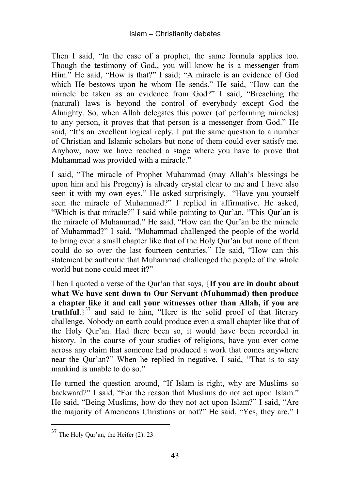### Islam – Christianity debates

Then I said, "In the case of a prophet, the same formula applies too. Though the testimony of God,, you will know he is a messenger from Him." He said, "How is that?" I said; "A miracle is an evidence of God which He bestows upon he whom He sends." He said, "How can the miracle be taken as an evidence from God?" I said, "Breaching the (natural) laws is beyond the control of everybody except God the Almighty. So, when Allah delegates this power (of performing miracles) to any person, it proves that that person is a messenger from God." He said, "It's an excellent logical reply. I put the same question to a number of Christian and Islamic scholars but none of them could ever satisfy me. Anyhow, now we have reached a stage where you have to prove that Muhammad was provided with a miracle."

I said, "The miracle of Prophet Muhammad (may Allah's blessings be upon him and his Progeny) is already crystal clear to me and I have also seen it with my own eyes." He asked surprisingly, "Have you yourself seen the miracle of Muhammad?" I replied in affirmative. He asked, "Which is that miracle?" I said while pointing to Qur'an, "This Qur'an is the miracle of Muhammad." He said, "How can the Qur'an be the miracle of Muhammad?" I said, "Muhammad challenged the people of the world to bring even a small chapter like that of the Holy Qur'an but none of them could do so over the last fourteen centuries." He said, "How can this statement be authentic that Muhammad challenged the people of the whole world but none could meet it?"

Then I quoted a verse of the Qur'an that says, {**If you are in doubt about what We have sent down to Our Servant (Muhammad) then produce a chapter like it and call your witnesses other than Allah, if you are truthful**. $3^{37}$  and said to him, "Here is the solid proof of that literary challenge. Nobody on earth could produce even a small chapter like that of the Holy Qur'an. Had there been so, it would have been recorded in history. In the course of your studies of religions, have you ever come across any claim that someone had produced a work that comes anywhere near the Qur'an?" When he replied in negative, I said, "That is to say mankind is unable to do so."

He turned the question around, "If Islam is right, why are Muslims so backward?" I said, "For the reason that Muslims do not act upon Islam." He said, "Being Muslims, how do they not act upon Islam?" I said, "Are the majority of Americans Christians or not?" He said, "Yes, they are." I

 $37$  The Holy Qur'an, the Heifer (2): 23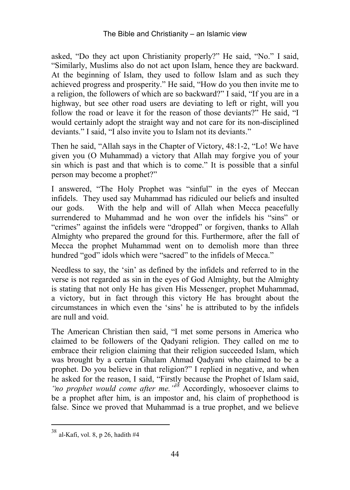asked, "Do they act upon Christianity properly?" He said, "No." I said, "Similarly, Muslims also do not act upon Islam, hence they are backward. At the beginning of Islam, they used to follow Islam and as such they achieved progress and prosperity." He said, "How do you then invite me to a religion, the followers of which are so backward?" I said, "If you are in a highway, but see other road users are deviating to left or right, will you follow the road or leave it for the reason of those deviants?" He said, "I would certainly adopt the straight way and not care for its non-disciplined deviants." I said, "I also invite you to Islam not its deviants."

Then he said, "Allah says in the Chapter of Victory, 48:1-2, "Lo! We have given you (O Muhammad) a victory that Allah may forgive you of your sin which is past and that which is to come." It is possible that a sinful person may become a prophet?"

I answered, "The Holy Prophet was "sinful" in the eyes of Meccan infidels. They used say Muhammad has ridiculed our beliefs and insulted our gods. With the help and will of Allah when Mecca peacefully surrendered to Muhammad and he won over the infidels his "sins" or "crimes" against the infidels were "dropped" or forgiven, thanks to Allah Almighty who prepared the ground for this. Furthermore, after the fall of Mecca the prophet Muhammad went on to demolish more than three hundred "god" idols which were "sacred" to the infidels of Mecca."

Needless to say, the 'sin' as defined by the infidels and referred to in the verse is not regarded as sin in the eyes of God Almighty, but the Almighty is stating that not only He has given His Messenger, prophet Muhammad, a victory, but in fact through this victory He has brought about the circumstances in which even the 'sins' he is attributed to by the infidels are null and void.

The American Christian then said, "I met some persons in America who claimed to be followers of the Qadyani religion. They called on me to embrace their religion claiming that their religion succeeded Islam, which was brought by a certain Ghulam Ahmad Qadyani who claimed to be a prophet. Do you believe in that religion?" I replied in negative, and when he asked for the reason, I said, "Firstly because the Prophet of Islam said, *"no prophet would come after me."38* Accordingly, whosoever claims to be a prophet after him, is an impostor and, his claim of prophethood is false. Since we proved that Muhammad is a true prophet, and we believe

 $38$  al-Kafi, vol. 8, p 26, hadith #4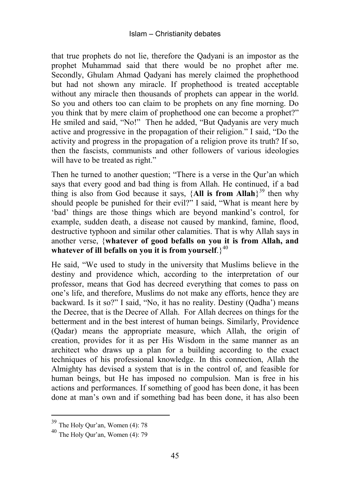### Islam – Christianity debates

that true prophets do not lie, therefore the Qadyani is an impostor as the prophet Muhammad said that there would be no prophet after me. Secondly, Ghulam Ahmad Qadyani has merely claimed the prophethood but had not shown any miracle. If prophethood is treated acceptable without any miracle then thousands of prophets can appear in the world. So you and others too can claim to be prophets on any fine morning. Do you think that by mere claim of prophethood one can become a prophet?" He smiled and said, "No!" Then he added, "But Qadyanis are very much active and progressive in the propagation of their religion." I said, "Do the activity and progress in the propagation of a religion prove its truth? If so, then the fascists, communists and other followers of various ideologies will have to be treated as right."

Then he turned to another question; "There is a verse in the Qur'an which says that every good and bad thing is from Allah. He continued, if a bad thing is also from God because it says.  $\{All \text{ is from Allah}\}^{39}$  then why should people be punished for their evil?" I said, "What is meant here by 'bad' things are those things which are beyond mankind's control, for example, sudden death, a disease not caused by mankind, famine, flood, destructive typhoon and similar other calamities. That is why Allah says in another verse, {**whatever of good befalls on you it is from Allah, and**  whatever of ill befalls on you it is from yourself.<sup>{40}</sup>

He said, "We used to study in the university that Muslims believe in the destiny and providence which, according to the interpretation of our professor, means that God has decreed everything that comes to pass on one's life, and therefore, Muslims do not make any efforts, hence they are backward. Is it so?" I said, "No, it has no reality. Destiny (Qadha') means the Decree, that is the Decree of Allah. For Allah decrees on things for the betterment and in the best interest of human beings. Similarly, Providence (Qadar) means the appropriate measure, which Allah, the origin of creation, provides for it as per His Wisdom in the same manner as an architect who draws up a plan for a building according to the exact techniques of his professional knowledge. In this connection, Allah the Almighty has devised a system that is in the control of, and feasible for human beings, but He has imposed no compulsion. Man is free in his actions and performances. If something of good has been done, it has been done at man's own and if something bad has been done, it has also been

<sup>&</sup>lt;sup>39</sup> The Holy Qur'an, Women (4): 78

<sup>40</sup> The Holy Qur'an, Women (4): 79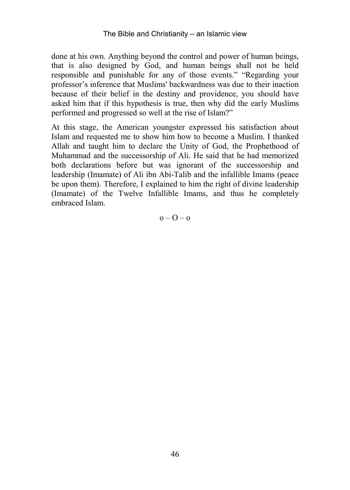done at his own. Anything beyond the control and power of human beings, that is also designed by God, and human beings shall not be held responsible and punishable for any of those events." "Regarding your professor's inference that Muslims' backwardness was due to their inaction because of their belief in the destiny and providence, you should have asked him that if this hypothesis is true, then why did the early Muslims performed and progressed so well at the rise of Islam?"

At this stage, the American youngster expressed his satisfaction about Islam and requested me to show him how to become a Muslim. I thanked Allah and taught him to declare the Unity of God, the Prophethood of Muhammad and the successorship of Ali. He said that he had memorized both declarations before but was ignorant of the successorship and leadership (Imamate) of Ali ibn Abi-Talib and the infallible Imams (peace be upon them). Therefore, I explained to him the right of divine leadership (Imamate) of the Twelve Infallible Imams, and thus he completely embraced Islam.

 $0 - 0 - 0$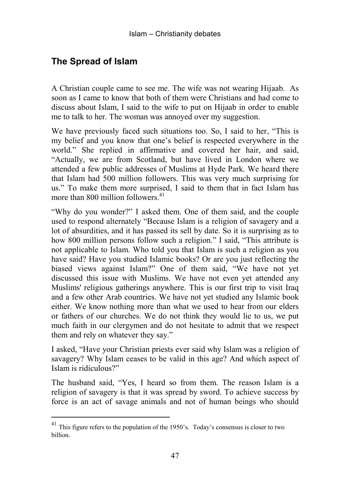# **The Spread of Islam**

 $\overline{a}$ 

A Christian couple came to see me. The wife was not wearing Hijaab. As soon as I came to know that both of them were Christians and had come to discuss about Islam, I said to the wife to put on Hijaab in order to enable me to talk to her. The woman was annoyed over my suggestion.

We have previously faced such situations too. So, I said to her, "This is my belief and you know that one's belief is respected everywhere in the world." She replied in affirmative and covered her hair, and said, "Actually, we are from Scotland, but have lived in London where we attended a few public addresses of Muslims at Hyde Park. We heard there that Islam had 500 million followers. This was very much surprising for us." To make them more surprised, I said to them that in fact Islam has more than 800 million followers<sup>41</sup>

"Why do you wonder?" I asked them. One of them said, and the couple used to respond alternately "Because Islam is a religion of savagery and a lot of absurdities, and it has passed its sell by date. So it is surprising as to how 800 million persons follow such a religion." I said, "This attribute is not applicable to Islam. Who told you that Islam is such a religion as you have said? Have you studied Islamic books? Or are you just reflecting the biased views against Islam?" One of them said, "We have not yet discussed this issue with Muslims. We have not even yet attended any Muslims' religious gatherings anywhere. This is our first trip to visit Iraq and a few other Arab countries. We have not yet studied any Islamic book either. We know nothing more than what we used to hear from our elders or fathers of our churches. We do not think they would lie to us, we put much faith in our clergymen and do not hesitate to admit that we respect them and rely on whatever they say."

I asked, "Have your Christian priests ever said why Islam was a religion of savagery? Why Islam ceases to be valid in this age? And which aspect of Islam is ridiculous?"

The husband said, "Yes, I heard so from them. The reason Islam is a religion of savagery is that it was spread by sword. To achieve success by force is an act of savage animals and not of human beings who should

 $41$  This figure refers to the population of the 1950's. Today's consensus is closer to two billion.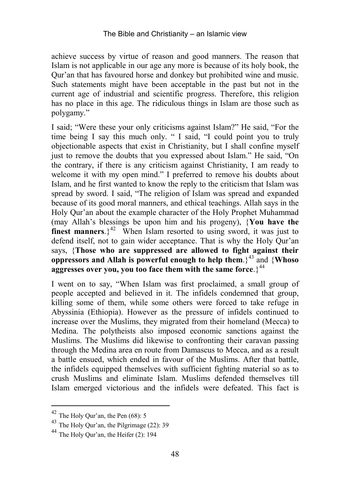achieve success by virtue of reason and good manners. The reason that Islam is not applicable in our age any more is because of its holy book, the Qur'an that has favoured horse and donkey but prohibited wine and music. Such statements might have been acceptable in the past but not in the current age of industrial and scientific progress. Therefore, this religion has no place in this age. The ridiculous things in Islam are those such as polygamy."

I said; "Were these your only criticisms against Islam?" He said, "For the time being I say this much only. " I said, "I could point you to truly objectionable aspects that exist in Christianity, but I shall confine myself just to remove the doubts that you expressed about Islam." He said, "On the contrary, if there is any criticism against Christianity, I am ready to welcome it with my open mind." I preferred to remove his doubts about Islam, and he first wanted to know the reply to the criticism that Islam was spread by sword. I said, "The religion of Islam was spread and expanded because of its good moral manners, and ethical teachings. Allah says in the Holy Qur'an about the example character of the Holy Prophet Muhammad (may Allah's blessings be upon him and his progeny), {**You have the finest manners**. $\lambda^{42}$  When Islam resorted to using sword, it was just to defend itself, not to gain wider acceptance. That is why the Holy Qur'an says, {**Those who are suppressed are allowed to fight against their oppressors and Allah is powerful enough to help them.** $3^{43}$  and  $3^{44}$  **Whoso aggresses over you, you too face them with the same force.**}<sup>44</sup>

I went on to say, "When Islam was first proclaimed, a small group of people accepted and believed in it. The infidels condemned that group, killing some of them, while some others were forced to take refuge in Abyssinia (Ethiopia). However as the pressure of infidels continued to increase over the Muslims, they migrated from their homeland (Mecca) to Medina. The polytheists also imposed economic sanctions against the Muslims. The Muslims did likewise to confronting their caravan passing through the Medina area en route from Damascus to Mecca, and as a result a battle ensued, which ended in favour of the Muslims. After that battle, the infidels equipped themselves with sufficient fighting material so as to crush Muslims and eliminate Islam. Muslims defended themselves till Islam emerged victorious and the infidels were defeated. This fact is

 $42$  The Holy Qur'an, the Pen (68): 5

<sup>&</sup>lt;sup>43</sup> The Holy Qur'an, the Pilgrimage (22): 39

<sup>44</sup> The Holy Qur'an, the Heifer (2): 194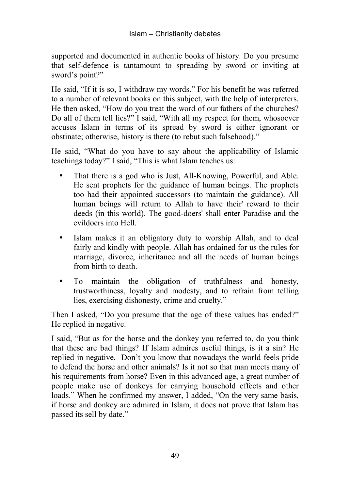supported and documented in authentic books of history. Do you presume that self-defence is tantamount to spreading by sword or inviting at sword's point?"

He said, "If it is so, I withdraw my words." For his benefit he was referred to a number of relevant books on this subject, with the help of interpreters. He then asked, "How do you treat the word of our fathers of the churches? Do all of them tell lies?" I said, "With all my respect for them, whosoever accuses Islam in terms of its spread by sword is either ignorant or obstinate; otherwise, history is there (to rebut such falsehood)."

He said, "What do you have to say about the applicability of Islamic teachings today?" I said, "This is what Islam teaches us:

- That there is a god who is Just, All-Knowing, Powerful, and Able. He sent prophets for the guidance of human beings. The prophets too had their appointed successors (to maintain the guidance). All human beings will return to Allah to have their' reward to their deeds (in this world). The good-doers' shall enter Paradise and the evildoers into Hell.
- Islam makes it an obligatory duty to worship Allah, and to deal fairly and kindly with people. Allah has ordained for us the rules for marriage, divorce, inheritance and all the needs of human beings from birth to death.
- To maintain the obligation of truthfulness and honesty, trustworthiness, loyalty and modesty, and to refrain from telling lies, exercising dishonesty, crime and cruelty."

Then I asked, "Do you presume that the age of these values has ended?" He replied in negative.

I said, "But as for the horse and the donkey you referred to, do you think that these are bad things? If Islam admires useful things, is it a sin? He replied in negative. Don't you know that nowadays the world feels pride to defend the horse and other animals? Is it not so that man meets many of his requirements from horse? Even in this advanced age, a great number of people make use of donkeys for carrying household effects and other loads." When he confirmed my answer, I added, "On the very same basis, if horse and donkey are admired in Islam, it does not prove that Islam has passed its sell by date."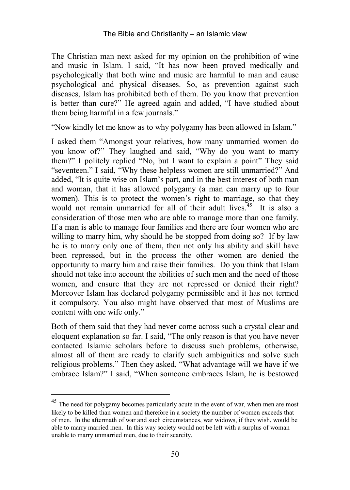The Christian man next asked for my opinion on the prohibition of wine and music in Islam. I said, "It has now been proved medically and psychologically that both wine and music are harmful to man and cause psychological and physical diseases. So, as prevention against such diseases, Islam has prohibited both of them. Do you know that prevention is better than cure?" He agreed again and added, "I have studied about them being harmful in a few journals."

"Now kindly let me know as to why polygamy has been allowed in Islam."

I asked them "Amongst your relatives, how many unmarried women do you know of?" They laughed and said, "Why do you want to marry them?" I politely replied "No, but I want to explain a point" They said "seventeen." I said, "Why these helpless women are still unmarried?" And added, "It is quite wise on Islam's part, and in the best interest of both man and woman, that it has allowed polygamy (a man can marry up to four women). This is to protect the women's right to marriage, so that they would not remain unmarried for all of their adult lives.<sup>45</sup> It is also a consideration of those men who are able to manage more than one family. If a man is able to manage four families and there are four women who are willing to marry him, why should he be stopped from doing so? If by law he is to marry only one of them, then not only his ability and skill have been repressed, but in the process the other women are denied the opportunity to marry him and raise their families. Do you think that Islam should not take into account the abilities of such men and the need of those women, and ensure that they are not repressed or denied their right? Moreover Islam has declared polygamy permissible and it has not termed it compulsory. You also might have observed that most of Muslims are content with one wife only."

Both of them said that they had never come across such a crystal clear and eloquent explanation so far. I said, "The only reason is that you have never contacted Islamic scholars before to discuss such problems, otherwise, almost all of them are ready to clarify such ambiguities and solve such religious problems." Then they asked, "What advantage will we have if we embrace Islam?" I said, "When someone embraces Islam, he is bestowed

<sup>&</sup>lt;sup>45</sup> The need for polygamy becomes particularly acute in the event of war, when men are most likely to be killed than women and therefore in a society the number of women exceeds that of men. In the aftermath of war and such circumstances, war widows, if they wish, would be able to marry married men. In this way society would not be left with a surplus of woman unable to marry unmarried men, due to their scarcity.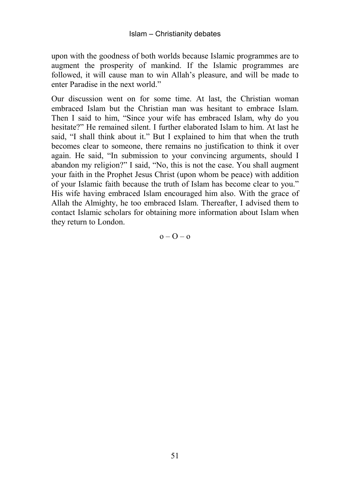upon with the goodness of both worlds because Islamic programmes are to augment the prosperity of mankind. If the Islamic programmes are followed, it will cause man to win Allah's pleasure, and will be made to enter Paradise in the next world."

Our discussion went on for some time. At last, the Christian woman embraced Islam but the Christian man was hesitant to embrace Islam. Then I said to him, "Since your wife has embraced Islam, why do you hesitate?" He remained silent. I further elaborated Islam to him. At last he said, "I shall think about it." But I explained to him that when the truth becomes clear to someone, there remains no justification to think it over again. He said, "In submission to your convincing arguments, should I abandon my religion?" I said, "No, this is not the case. You shall augment your faith in the Prophet Jesus Christ (upon whom be peace) with addition of your Islamic faith because the truth of Islam has become clear to you." His wife having embraced Islam encouraged him also. With the grace of Allah the Almighty, he too embraced Islam. Thereafter, I advised them to contact Islamic scholars for obtaining more information about Islam when they return to London.

 $0 - 0 - 0$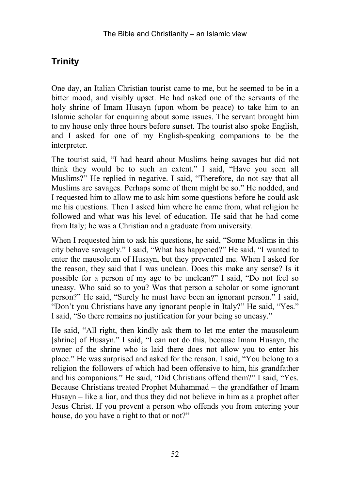# **Trinity**

One day, an Italian Christian tourist came to me, but he seemed to be in a bitter mood, and visibly upset. He had asked one of the servants of the holy shrine of Imam Husayn (upon whom be peace) to take him to an Islamic scholar for enquiring about some issues. The servant brought him to my house only three hours before sunset. The tourist also spoke English, and I asked for one of my English-speaking companions to be the interpreter.

The tourist said, "I had heard about Muslims being savages but did not think they would be to such an extent." I said, "Have you seen all Muslims?" He replied in negative. I said, "Therefore, do not say that all Muslims are savages. Perhaps some of them might be so." He nodded, and I requested him to allow me to ask him some questions before he could ask me his questions. Then I asked him where he came from, what religion he followed and what was his level of education. He said that he had come from Italy; he was a Christian and a graduate from university.

When I requested him to ask his questions, he said, "Some Muslims in this city behave savagely." I said, "What has happened?" He said, "I wanted to enter the mausoleum of Husayn, but they prevented me. When I asked for the reason, they said that I was unclean. Does this make any sense? Is it possible for a person of my age to be unclean?" I said, "Do not feel so uneasy. Who said so to you? Was that person a scholar or some ignorant person?" He said, "Surely he must have been an ignorant person." I said, "Don't you Christians have any ignorant people in Italy?" He said, "Yes." I said, "So there remains no justification for your being so uneasy."

He said, "All right, then kindly ask them to let me enter the mausoleum [shrine] of Husayn." I said, "I can not do this, because Imam Husayn, the owner of the shrine who is laid there does not allow you to enter his place." He was surprised and asked for the reason. I said, "You belong to a religion the followers of which had been offensive to him, his grandfather and his companions." He said, "Did Christians offend them?" I said, "Yes. Because Christians treated Prophet Muhammad – the grandfather of Imam Husayn – like a liar, and thus they did not believe in him as a prophet after Jesus Christ. If you prevent a person who offends you from entering your house, do you have a right to that or not?"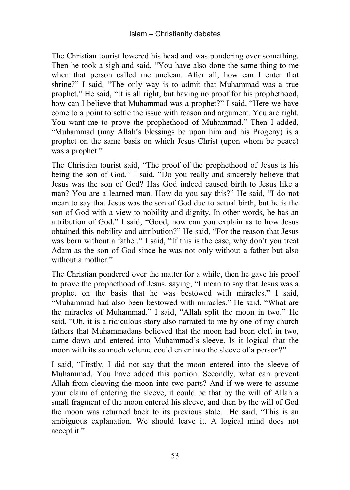The Christian tourist lowered his head and was pondering over something. Then he took a sigh and said, "You have also done the same thing to me when that person called me unclean. After all, how can I enter that shrine?" I said, "The only way is to admit that Muhammad was a true prophet." He said, "It is all right, but having no proof for his prophethood, how can I believe that Muhammad was a prophet?" I said, "Here we have come to a point to settle the issue with reason and argument. You are right. You want me to prove the prophethood of Muhammad." Then I added, "Muhammad (may Allah's blessings be upon him and his Progeny) is a prophet on the same basis on which Jesus Christ (upon whom be peace) was a prophet."

The Christian tourist said, "The proof of the prophethood of Jesus is his being the son of God." I said, "Do you really and sincerely believe that Jesus was the son of God? Has God indeed caused birth to Jesus like a man? You are a learned man. How do you say this?" He said, "I do not mean to say that Jesus was the son of God due to actual birth, but he is the son of God with a view to nobility and dignity. In other words, he has an attribution of God." I said, "Good, now can you explain as to how Jesus obtained this nobility and attribution?" He said, "For the reason that Jesus was born without a father." I said, "If this is the case, why don't you treat Adam as the son of God since he was not only without a father but also without a mother."

The Christian pondered over the matter for a while, then he gave his proof to prove the prophethood of Jesus, saying, "I mean to say that Jesus was a prophet on the basis that he was bestowed with miracles." I said, "Muhammad had also been bestowed with miracles." He said, "What are the miracles of Muhammad." I said, "Allah split the moon in two." He said, "Oh, it is a ridiculous story also narrated to me by one of my church fathers that Muhammadans believed that the moon had been cleft in two, came down and entered into Muhammad's sleeve. Is it logical that the moon with its so much volume could enter into the sleeve of a person?"

I said, "Firstly, I did not say that the moon entered into the sleeve of Muhammad. You have added this portion. Secondly, what can prevent Allah from cleaving the moon into two parts? And if we were to assume your claim of entering the sleeve, it could be that by the will of Allah a small fragment of the moon entered his sleeve, and then by the will of God the moon was returned back to its previous state. He said, "This is an ambiguous explanation. We should leave it. A logical mind does not accept it."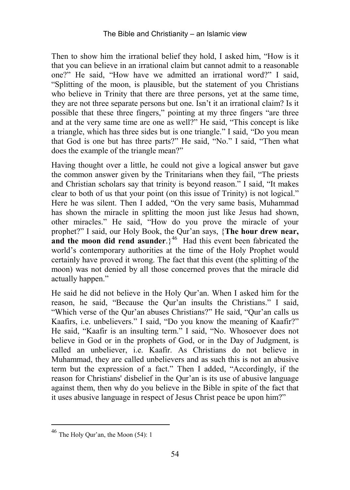Then to show him the irrational belief they hold, I asked him, "How is it that you can believe in an irrational claim but cannot admit to a reasonable one?" He said, "How have we admitted an irrational word?" I said, "Splitting of the moon, is plausible, but the statement of you Christians who believe in Trinity that there are three persons, yet at the same time, they are not three separate persons but one. Isn't it an irrational claim? Is it possible that these three fingers," pointing at my three fingers "are three and at the very same time are one as well?" He said, "This concept is like a triangle, which has three sides but is one triangle." I said, "Do you mean that God is one but has three parts?" He said, "No." I said, "Then what does the example of the triangle mean?"

Having thought over a little, he could not give a logical answer but gave the common answer given by the Trinitarians when they fail, "The priests and Christian scholars say that trinity is beyond reason." I said, "It makes clear to both of us that your point (on this issue of Trinity) is not logical." Here he was silent. Then I added, "On the very same basis, Muhammad has shown the miracle in splitting the moon just like Jesus had shown, other miracles." He said, "How do you prove the miracle of your prophet?" I said, our Holy Book, the Qur'an says, {**The hour drew near, and the moon did rend asunder**.}<sup>46</sup> Had this event been fabricated the world's contemporary authorities at the time of the Holy Prophet would certainly have proved it wrong. The fact that this event (the splitting of the moon) was not denied by all those concerned proves that the miracle did actually happen."

He said he did not believe in the Holy Qur'an. When I asked him for the reason, he said, "Because the Qur'an insults the Christians." I said, "Which verse of the Qur'an abuses Christians?" He said, "Qur'an calls us Kaafirs, i.e. unbelievers." I said, "Do you know the meaning of Kaafir?" He said, "Kaafir is an insulting term." I said, "No. Whosoever does not believe in God or in the prophets of God, or in the Day of Judgment, is called an unbeliever, i.e. Kaafir. As Christians do not believe in Muhammad, they are called unbelievers and as such this is not an abusive term but the expression of a fact." Then I added, "Accordingly, if the reason for Christians' disbelief in the Qur'an is its use of abusive language against them, then why do you believe in the Bible in spite of the fact that it uses abusive language in respect of Jesus Christ peace be upon him?"

<sup>46</sup> The Holy Qur'an, the Moon (54): 1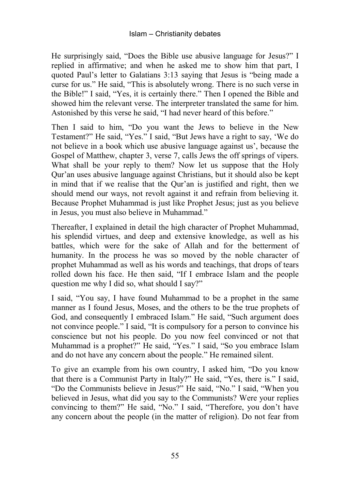### Islam – Christianity debates

He surprisingly said, "Does the Bible use abusive language for Jesus?" I replied in affirmative; and when he asked me to show him that part, I quoted Paul's letter to Galatians 3:13 saying that Jesus is "being made a curse for us." He said, "This is absolutely wrong. There is no such verse in the Bible!" I said, "Yes, it is certainly there." Then I opened the Bible and showed him the relevant verse. The interpreter translated the same for him. Astonished by this verse he said, "I had never heard of this before."

Then I said to him, "Do you want the Jews to believe in the New Testament?" He said, "Yes." I said, "But Jews have a right to say, 'We do not believe in a book which use abusive language against us', because the Gospel of Matthew, chapter 3, verse 7, calls Jews the off springs of vipers. What shall be your reply to them? Now let us suppose that the Holy Qur'an uses abusive language against Christians, but it should also be kept in mind that if we realise that the Qur'an is justified and right, then we should mend our ways, not revolt against it and refrain from believing it. Because Prophet Muhammad is just like Prophet Jesus; just as you believe in Jesus, you must also believe in Muhammad."

Thereafter, I explained in detail the high character of Prophet Muhammad, his splendid virtues, and deep and extensive knowledge, as well as his battles, which were for the sake of Allah and for the betterment of humanity. In the process he was so moved by the noble character of prophet Muhammad as well as his words and teachings, that drops of tears rolled down his face. He then said, "If I embrace Islam and the people question me why I did so, what should I say?"

I said, "You say, I have found Muhammad to be a prophet in the same manner as I found Jesus, Moses, and the others to be the true prophets of God, and consequently I embraced Islam." He said, "Such argument does not convince people." I said, "It is compulsory for a person to convince his conscience but not his people. Do you now feel convinced or not that Muhammad is a prophet?" He said, "Yes." I said, "So you embrace Islam and do not have any concern about the people." He remained silent.

To give an example from his own country, I asked him, "Do you know that there is a Communist Party in Italy?" He said, "Yes, there is." I said, "Do the Communists believe in Jesus?" He said, "No." I said, "When you believed in Jesus, what did you say to the Communists? Were your replies convincing to them?" He said, "No." I said, "Therefore, you don't have any concern about the people (in the matter of religion). Do not fear from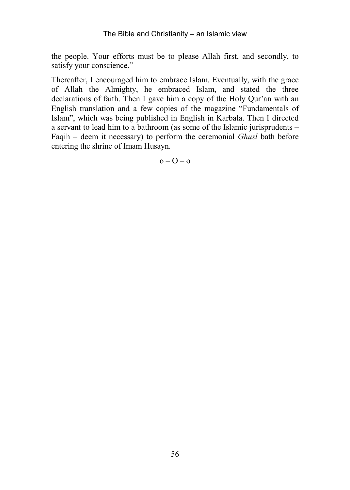the people. Your efforts must be to please Allah first, and secondly, to satisfy your conscience."

Thereafter, I encouraged him to embrace Islam. Eventually, with the grace of Allah the Almighty, he embraced Islam, and stated the three declarations of faith. Then I gave him a copy of the Holy Qur'an with an English translation and a few copies of the magazine "Fundamentals of Islam", which was being published in English in Karbala. Then I directed a servant to lead him to a bathroom (as some of the Islamic jurisprudents – Faqih – deem it necessary) to perform the ceremonial *Ghusl* bath before entering the shrine of Imam Husayn.

 $0 - 0 - 0$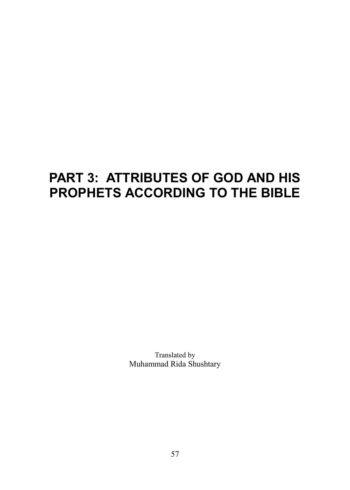# **PART 3: ATTRIBUTES OF GOD AND HIS PROPHETS ACCORDING TO THE BIBLE**

Translated by Muhammad Rida Shushtary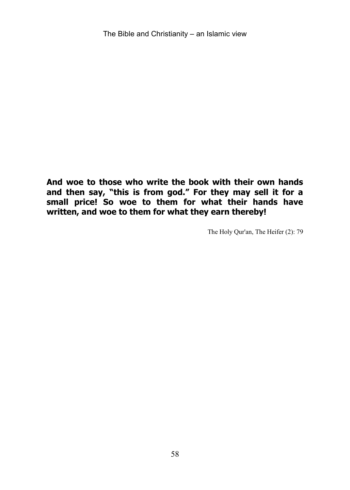**And woe to those who write the book with their own hands and then say, "this is from god." For they may sell it for a small price! So woe to them for what their hands have written, and woe to them for what they earn thereby!** 

The Holy Qur'an, The Heifer (2): 79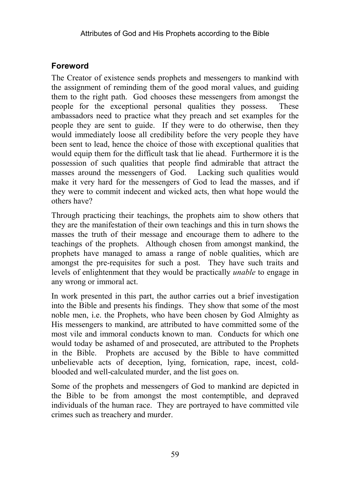### **Foreword**

The Creator of existence sends prophets and messengers to mankind with the assignment of reminding them of the good moral values, and guiding them to the right path. God chooses these messengers from amongst the people for the exceptional personal qualities they possess. These ambassadors need to practice what they preach and set examples for the people they are sent to guide. If they were to do otherwise, then they would immediately loose all credibility before the very people they have been sent to lead, hence the choice of those with exceptional qualities that would equip them for the difficult task that lie ahead. Furthermore it is the possession of such qualities that people find admirable that attract the masses around the messengers of God. Lacking such qualities would make it very hard for the messengers of God to lead the masses, and if they were to commit indecent and wicked acts, then what hope would the others have?

Through practicing their teachings, the prophets aim to show others that they are the manifestation of their own teachings and this in turn shows the masses the truth of their message and encourage them to adhere to the teachings of the prophets. Although chosen from amongst mankind, the prophets have managed to amass a range of noble qualities, which are amongst the pre-requisites for such a post. They have such traits and levels of enlightenment that they would be practically *unable* to engage in any wrong or immoral act.

In work presented in this part, the author carries out a brief investigation into the Bible and presents his findings. They show that some of the most noble men, i.e. the Prophets, who have been chosen by God Almighty as His messengers to mankind, are attributed to have committed some of the most vile and immoral conducts known to man. Conducts for which one would today be ashamed of and prosecuted, are attributed to the Prophets in the Bible. Prophets are accused by the Bible to have committed unbelievable acts of deception, lying, fornication, rape, incest, coldblooded and well-calculated murder, and the list goes on.

Some of the prophets and messengers of God to mankind are depicted in the Bible to be from amongst the most contemptible, and depraved individuals of the human race. They are portrayed to have committed vile crimes such as treachery and murder.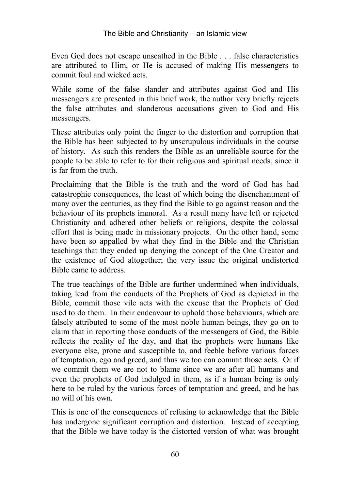Even God does not escape unscathed in the Bible . . . false characteristics are attributed to Him, or He is accused of making His messengers to commit foul and wicked acts.

While some of the false slander and attributes against God and His messengers are presented in this brief work, the author very briefly rejects the false attributes and slanderous accusations given to God and His messengers.

These attributes only point the finger to the distortion and corruption that the Bible has been subjected to by unscrupulous individuals in the course of history. As such this renders the Bible as an unreliable source for the people to be able to refer to for their religious and spiritual needs, since it is far from the truth.

Proclaiming that the Bible is the truth and the word of God has had catastrophic consequences, the least of which being the disenchantment of many over the centuries, as they find the Bible to go against reason and the behaviour of its prophets immoral. As a result many have left or rejected Christianity and adhered other beliefs or religions, despite the colossal effort that is being made in missionary projects. On the other hand, some have been so appalled by what they find in the Bible and the Christian teachings that they ended up denying the concept of the One Creator and the existence of God altogether; the very issue the original undistorted Bible came to address.

The true teachings of the Bible are further undermined when individuals, taking lead from the conducts of the Prophets of God as depicted in the Bible, commit those vile acts with the excuse that the Prophets of God used to do them. In their endeavour to uphold those behaviours, which are falsely attributed to some of the most noble human beings, they go on to claim that in reporting those conducts of the messengers of God, the Bible reflects the reality of the day, and that the prophets were humans like everyone else, prone and susceptible to, and feeble before various forces of temptation, ego and greed, and thus we too can commit those acts. Or if we commit them we are not to blame since we are after all humans and even the prophets of God indulged in them, as if a human being is only here to be ruled by the various forces of temptation and greed, and he has no will of his own.

This is one of the consequences of refusing to acknowledge that the Bible has undergone significant corruption and distortion. Instead of accepting that the Bible we have today is the distorted version of what was brought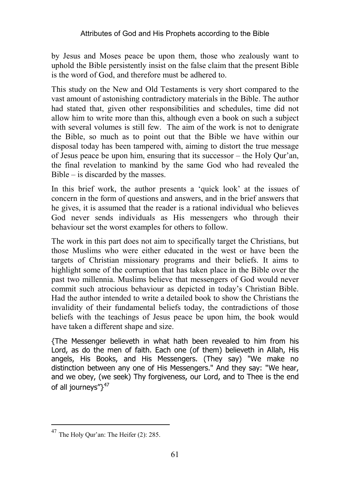by Jesus and Moses peace be upon them, those who zealously want to uphold the Bible persistently insist on the false claim that the present Bible is the word of God, and therefore must be adhered to.

This study on the New and Old Testaments is very short compared to the vast amount of astonishing contradictory materials in the Bible. The author had stated that, given other responsibilities and schedules, time did not allow him to write more than this, although even a book on such a subject with several volumes is still few. The aim of the work is not to denigrate the Bible, so much as to point out that the Bible we have within our disposal today has been tampered with, aiming to distort the true message of Jesus peace be upon him, ensuring that its successor – the Holy Qur'an, the final revelation to mankind by the same God who had revealed the Bible – is discarded by the masses.

In this brief work, the author presents a 'quick look' at the issues of concern in the form of questions and answers, and in the brief answers that he gives, it is assumed that the reader is a rational individual who believes God never sends individuals as His messengers who through their behaviour set the worst examples for others to follow.

The work in this part does not aim to specifically target the Christians, but those Muslims who were either educated in the west or have been the targets of Christian missionary programs and their beliefs. It aims to highlight some of the corruption that has taken place in the Bible over the past two millennia. Muslims believe that messengers of God would never commit such atrocious behaviour as depicted in today's Christian Bible. Had the author intended to write a detailed book to show the Christians the invalidity of their fundamental beliefs today, the contradictions of those beliefs with the teachings of Jesus peace be upon him, the book would have taken a different shape and size.

{The Messenger believeth in what hath been revealed to him from his Lord, as do the men of faith. Each one (of them) believeth in Allah, His angels, His Books, and His Messengers. (They say) "We make no distinction between any one of His Messengers." And they say: "We hear, and we obey, (we seek) Thy forgiveness, our Lord, and to Thee is the end of all journeys"}<sup>47</sup>

 $47$  The Holy Qur'an: The Heifer (2): 285.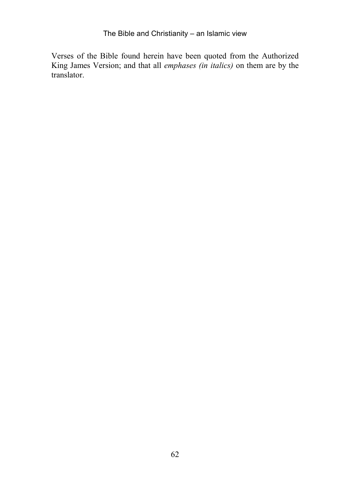Verses of the Bible found herein have been quoted from the Authorized King James Version; and that all *emphases (in italics)* on them are by the translator.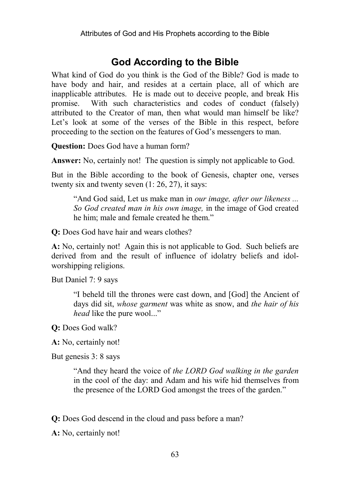## **God According to the Bible**

What kind of God do you think is the God of the Bible? God is made to have body and hair, and resides at a certain place, all of which are inapplicable attributes. He is made out to deceive people, and break His promise. With such characteristics and codes of conduct (falsely) attributed to the Creator of man, then what would man himself be like? Let's look at some of the verses of the Bible in this respect, before proceeding to the section on the features of God's messengers to man.

**Question:** Does God have a human form?

**Answer:** No, certainly not! The question is simply not applicable to God.

But in the Bible according to the book of Genesis, chapter one, verses twenty six and twenty seven (1: 26, 27), it says:

"And God said, Let us make man in *our image, after our likeness ... So God created man in his own image,* in the image of God created he him; male and female created he them."

**Q:** Does God have hair and wears clothes?

**A:** No, certainly not! Again this is not applicable to God. Such beliefs are derived from and the result of influence of idolatry beliefs and idolworshipping religions.

But Daniel 7: 9 says

"I beheld till the thrones were cast down, and [God] the Ancient of days did sit, *whose garment* was white as snow, and *the hair of his head* like the pure wool..."

**Q:** Does God walk?

**A:** No, certainly not!

But genesis 3: 8 says

"And they heard the voice of *the LORD God walking in the garden* in the cool of the day: and Adam and his wife hid themselves from the presence of the LORD God amongst the trees of the garden."

**Q:** Does God descend in the cloud and pass before a man?

**A:** No, certainly not!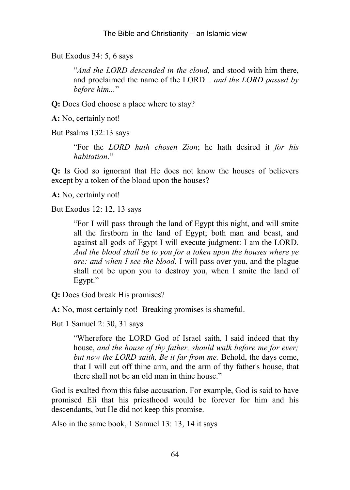But Exodus 34: 5, 6 says

"*And the LORD descended in the cloud,* and stood with him there, and proclaimed the name of the LORD... *and the LORD passed by before him...*"

**Q:** Does God choose a place where to stay?

**A:** No, certainly not!

But Psalms 132:13 says

"For the *LORD hath chosen Zion*; he hath desired it *for his habitation*."

**Q:** Is God so ignorant that He does not know the houses of believers except by a token of the blood upon the houses?

**A:** No, certainly not!

But Exodus 12: 12, 13 says

"For I will pass through the land of Egypt this night, and will smite all the firstborn in the land of Egypt; both man and beast, and against all gods of Egypt I will execute judgment: I am the LORD. *And the blood shall be to you for a token upon the houses where ye are: and when I see the blood*, I will pass over you, and the plague shall not be upon you to destroy you, when I smite the land of Egypt."

**Q:** Does God break His promises?

**A:** No, most certainly not! Breaking promises is shameful.

But 1 Samuel 2: 30, 31 says

"Wherefore the LORD God of Israel saith, l said indeed that thy house, *and the house of thy father, should walk before me for ever; but now the LORD saith, Be it far from me.* Behold, the days come, that I will cut off thine arm, and the arm of thy father's house, that there shall not be an old man in thine house."

God is exalted from this false accusation. For example, God is said to have promised Eli that his priesthood would be forever for him and his descendants, but He did not keep this promise.

Also in the same book, 1 Samuel 13: 13, 14 it says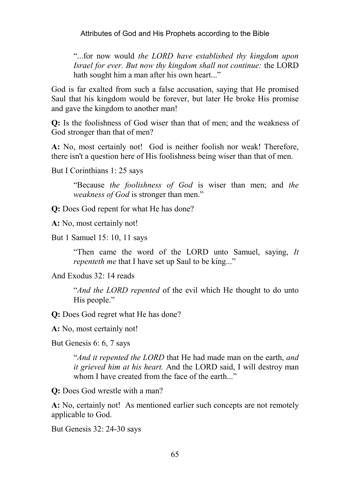"...for now would *the LORD have established thy kingdom upon Israel for ever. But now thy kingdom shall not continue:* the LORD hath sought him a man after his own heart..."

God is far exalted from such a false accusation, saying that He promised Saul that his kingdom would be forever, but later He broke His promise and gave the kingdom to another man!

**Q:** Is the foolishness of God wiser than that of men; and the weakness of God stronger than that of men?

**A:** No, most certainly not! God is neither foolish nor weak! Therefore, there isn't a question here of His foolishness being wiser than that of men.

But I Corinthians 1: 25 says

"Because *the foolishness of God* is wiser than men; and *the weakness of God* is stronger than men."

**Q:** Does God repent for what He has done?

**A:** No, most certainly not!

But 1 Samuel 15: 10, 11 says

"Then came the word of the LORD unto Samuel, saying, *It repenteth me* that I have set up Saul to be king..."

And Exodus 32: 14 reads

"*And the LORD repented* of the evil which He thought to do unto His people."

**Q:** Does God regret what He has done?

**A:** No, most certainly not!

But Genesis 6: 6, 7 says

"*And it repented the LORD* that He had made man on the earth, *and it grieved him at his heart.* And the LORD said, I will destroy man whom I have created from the face of the earth..."

**Q:** Does God wrestle with a man?

**A:** No, certainly not! As mentioned earlier such concepts are not remotely applicable to God.

But Genesis 32: 24-30 says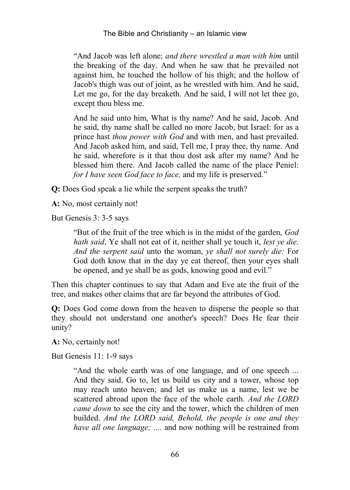"And Jacob was left alone; *and there wrestled a man with him* until the breaking of the day. And when he saw that he prevailed not against him, he touched the hollow of his thigh; and the hollow of Jacob's thigh was out of joint, as he wrestled with him. And he said, Let me go, for the day breaketh. And he said, I will not let thee go, except thou bless me.

And he said unto him, What is thy name? And he said, Jacob. And he said, thy name shall be called no more Jacob, but Israel: for as a prince hast *thou power with God* and with men, and hast prevailed. And Jacob asked him, and said, Tell me, I pray thee, thy name. And he said, wherefore is it that thou dost ask after my name? And he blessed him there. And Jacob called the name of the place Peniel: *for I have seen God face to face,* and my life is preserved."

**Q:** Does God speak a lie while the serpent speaks the truth?

**A:** No, most certainly not!

But Genesis 3: 3-5 says

"But of the fruit of the tree which is in the midst of the garden, *God hath said*, Ye shall not eat of it, neither shall ye touch it, *lest ye die. And the serpent said* unto the woman, *ye shall not surely die:* For God doth know that in the day ye eat thereof, then your eyes shall be opened, and ye shall be as gods, knowing good and evil."

Then this chapter continues to say that Adam and Eve ate the fruit of the tree, and makes other claims that are far beyond the attributes of God.

**Q:** Does God come down from the heaven to disperse the people so that they should not understand one another's speech? Does He fear their unity?

**A:** No, certainly not!

But Genesis 11: 1-9 says

"And the whole earth was of one language, and of one speech ... And they said, Go to, let us build us city and a tower, whose top may reach unto heaven; and let us make us a name, lest we be scattered abroad upon the face of the whole earth. *And the LORD came down* to see the city and the tower, which the children of men builded. *And the LORD said, Behold, the people is one and they have all one language; ....* and now nothing will be restrained from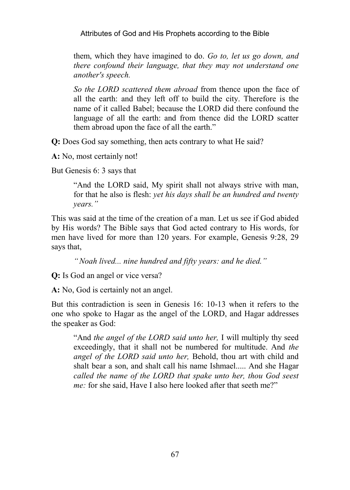Attributes of God and His Prophets according to the Bible

them, which they have imagined to do. *Go to, let us go down, and there confound their language, that they may not understand one another's speech.* 

*So the LORD scattered them abroad* from thence upon the face of all the earth: and they left off to build the city. Therefore is the name of it called Babel; because the LORD did there confound the language of all the earth: and from thence did the LORD scatter them abroad upon the face of all the earth."

**Q:** Does God say something, then acts contrary to what He said?

**A:** No, most certainly not!

But Genesis 6: 3 says that

"And the LORD said, My spirit shall not always strive with man, for that he also is flesh: *yet his days shall be an hundred and twenty years."* 

This was said at the time of the creation of a man. Let us see if God abided by His words? The Bible says that God acted contrary to His words, for men have lived for more than 120 years. For example, Genesis 9:28, 29 says that,

*" Noah lived... nine hundred and fifty years: and he died."* 

**Q:** Is God an angel or vice versa?

**A:** No, God is certainly not an angel.

But this contradiction is seen in Genesis 16: 10-13 when it refers to the one who spoke to Hagar as the angel of the LORD, and Hagar addresses the speaker as God:

"And *the angel of the LORD said unto her,* I will multiply thy seed exceedingly, that it shall not be numbered for multitude. And *the angel of the LORD said unto her,* Behold, thou art with child and shalt bear a son, and shalt call his name Ishmael..... And she Hagar *called the name of the LORD that spake unto her, thou God seest me:* for she said. Have I also here looked after that seeth me?"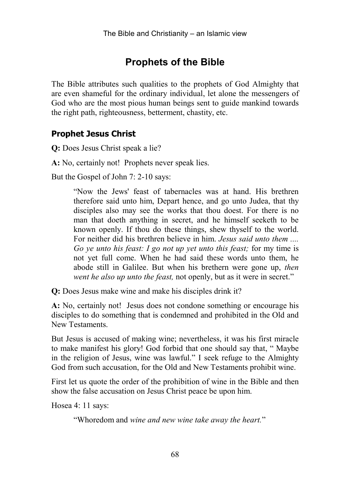# **Prophets of the Bible**

The Bible attributes such qualities to the prophets of God Almighty that are even shameful for the ordinary individual, let alone the messengers of God who are the most pious human beings sent to guide mankind towards the right path, righteousness, betterment, chastity, etc.

## **Prophet Jesus Christ**

**Q:** Does Jesus Christ speak a lie?

**A:** No, certainly not! Prophets never speak lies.

But the Gospel of John 7: 2-10 says:

"Now the Jews' feast of tabernacles was at hand. His brethren therefore said unto him, Depart hence, and go unto Judea, that thy disciples also may see the works that thou doest. For there is no man that doeth anything in secret, and he himself seeketh to be known openly. If thou do these things, shew thyself to the world. For neither did his brethren believe in him. *Jesus said unto them .... Go ye unto his feast: I go not up yet unto this feast;* for my time is not yet full come. When he had said these words unto them, he abode still in Galilee. But when his brethern were gone up, *then went he also up unto the feast,* not openly, but as it were in secret."

**Q:** Does Jesus make wine and make his disciples drink it?

**A:** No, certainly not! Jesus does not condone something or encourage his disciples to do something that is condemned and prohibited in the Old and New Testaments.

But Jesus is accused of making wine; nevertheless, it was his first miracle to make manifest his glory! God forbid that one should say that, " Maybe in the religion of Jesus, wine was lawful." I seek refuge to the Almighty God from such accusation, for the Old and New Testaments prohibit wine.

First let us quote the order of the prohibition of wine in the Bible and then show the false accusation on Jesus Christ peace be upon him.

Hosea 4: 11 says:

"Whoredom and *wine and new wine take away the heart.*"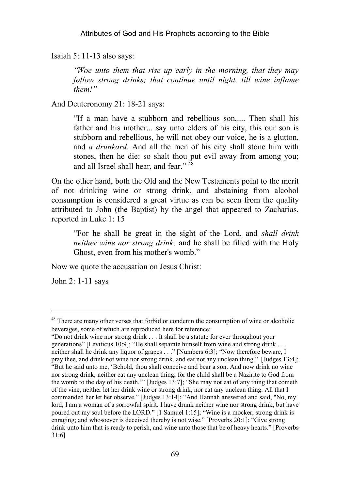Isaiah 5: 11-13 also says:

*"Woe unto them that rise up early in the morning, that they may follow strong drinks; that continue until night, till wine inflame them!"* 

And Deuteronomy 21: 18-21 says:

"If a man have a stubborn and rebellious son,.... Then shall his father and his mother... say unto elders of his city, this our son is stubborn and rebellious, he will not obey our voice, he is a glutton, and *a drunkard*. And all the men of his city shall stone him with stones, then he die: so shalt thou put evil away from among you; and all Israel shall hear, and fear."<sup>48</sup>

On the other hand, both the Old and the New Testaments point to the merit of not drinking wine or strong drink, and abstaining from alcohol consumption is considered a great virtue as can be seen from the quality attributed to John (the Baptist) by the angel that appeared to Zacharias, reported in Luke 1: 15

"For he shall be great in the sight of the Lord, and *shall drink neither wine nor strong drink;* and he shall be filled with the Holy Ghost, even from his mother's womb."

Now we quote the accusation on Jesus Christ:

John 2: 1-11 says

<sup>&</sup>lt;sup>48</sup> There are many other verses that forbid or condemn the consumption of wine or alcoholic beverages, some of which are reproduced here for reference:

<sup>&</sup>quot;Do not drink wine nor strong drink . . . It shall be a statute for ever throughout your generations" [Leviticus 10:9]; "He shall separate himself from wine and strong drink . . . neither shall he drink any liquor of grapes . . ." [Numbers 6:3]; "Now therefore beware, I pray thee, and drink not wine nor strong drink, and eat not any unclean thing." [Judges 13:4]; "But he said unto me, 'Behold, thou shalt conceive and bear a son. And now drink no wine nor strong drink, neither eat any unclean thing; for the child shall be a Nazirite to God from the womb to the day of his death.'" [Judges 13:7]; "She may not eat of any thing that cometh of the vine, neither let her drink wine or strong drink, nor eat any unclean thing. All that I commanded her let her observe." [Judges 13:14]; "And Hannah answered and said, "No, my lord, I am a woman of a sorrowful spirit. I have drunk neither wine nor strong drink, but have poured out my soul before the LORD." [1 Samuel 1:15]; "Wine is a mocker, strong drink is enraging; and whosoever is deceived thereby is not wise." [Proverbs 20:1]; "Give strong drink unto him that is ready to perish, and wine unto those that be of heavy hearts." [Proverbs 31:6]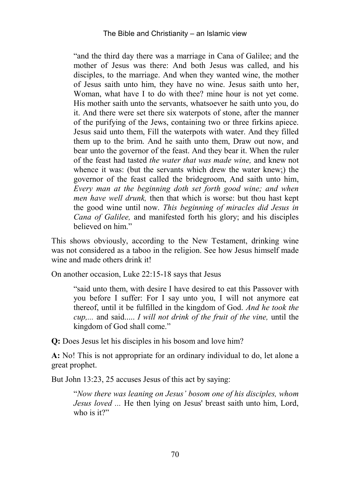"and the third day there was a marriage in Cana of Galilee; and the mother of Jesus was there: And both Jesus was called, and his disciples, to the marriage. And when they wanted wine, the mother of Jesus saith unto him, they have no wine. Jesus saith unto her, Woman, what have I to do with thee? mine hour is not yet come. His mother saith unto the servants, whatsoever he saith unto you, do it. And there were set there six waterpots of stone, after the manner of the purifying of the Jews, containing two or three firkins apiece. Jesus said unto them, Fill the waterpots with water. And they filled them up to the brim. And he saith unto them, Draw out now, and bear unto the governor of the feast. And they bear it. When the ruler of the feast had tasted *the water that was made wine,* and knew not whence it was: (but the servants which drew the water knew;) the governor of the feast called the bridegroom, And saith unto him, *Every man at the beginning doth set forth good wine; and when men have well drunk,* then that which is worse: but thou hast kept the good wine until now. *This beginning of miracles did Jesus in Cana of Galilee,* and manifested forth his glory; and his disciples believed on him."

This shows obviously, according to the New Testament, drinking wine was not considered as a taboo in the religion. See how Jesus himself made wine and made others drink it!

On another occasion, Luke 22:15-18 says that Jesus

"said unto them, with desire I have desired to eat this Passover with you before I suffer: For I say unto you, I will not anymore eat thereof, until it be fulfilled in the kingdom of God. *And he took the cup,...* and said..... *I will not drink of the fruit of the vine,* until the kingdom of God shall come."

**Q:** Does Jesus let his disciples in his bosom and love him?

**A:** No! This is not appropriate for an ordinary individual to do, let alone a great prophet.

But John 13:23, 25 accuses Jesus of this act by saying:

"*Now there was leaning on Jesus' bosom one of his disciples, whom Jesus loved ...* He then lying on Jesus' breast saith unto him, Lord, who is it?"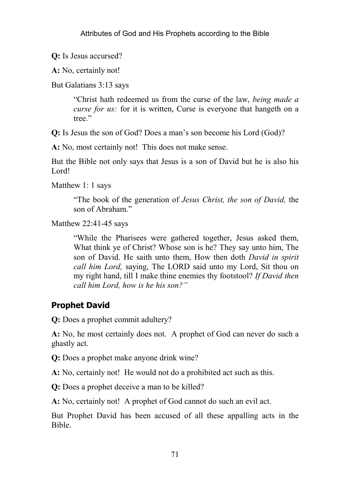**Q:** Is Jesus accursed?

**A:** No, certainly not!

But Galatians 3:13 says

"Christ hath redeemed us from the curse of the law, *being made a curse for us:* for it is written, Curse is everyone that hangeth on a tree."

**Q:** Is Jesus the son of God? Does a man's son become his Lord (God)?

**A:** No, most certainly not! This does not make sense.

But the Bible not only says that Jesus is a son of David but he is also his Lord!

Matthew 1: 1 says

"The book of the generation of *Jesus Christ, the son of David,* the son of Abraham"

Matthew 22:41-45 says

"While the Pharisees were gathered together, Jesus asked them, What think ye of Christ? Whose son is he? They say unto him, The son of David. He saith unto them, How then doth *David in spirit call him Lord,* saying, The LORD said unto my Lord, Sit thou on my right hand, till I make thine enemies thy footstool? *If David then call him Lord, how is he his son?"*

# **Prophet David**

**Q:** Does a prophet commit adultery?

**A:** No, he most certainly does not. A prophet of God can never do such a ghastly act.

**Q:** Does a prophet make anyone drink wine?

**A:** No, certainly not! He would not do a prohibited act such as this.

**Q:** Does a prophet deceive a man to be killed?

**A:** No, certainly not! A prophet of God cannot do such an evil act.

But Prophet David has been accused of all these appalling acts in the Bible.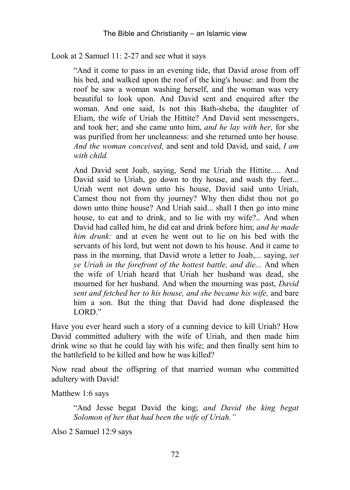Look at 2 Samuel 11: 2-27 and see what it says

"And it come to pass in an evening tide, that David arose from off his bed, and walked upon the roof of the king's house: and from the roof he saw a woman washing herself, and the woman was very beautiful to look upon. And David sent and enquired after the woman. And one said, Is not this Bath-sheba, the daughter of Eliam, the wife of Uriah the Hittite? And David sent messengers, and took her; and she came unto him, *and he lay with her,* for she was purified from her uncleanness: and she returned unto her house. *And the woman conceived,* and sent and told David, and said, *I am with child.* 

And David sent Joab, saying, Send me Uriah the Hittite..... And David said to Uriah, go down to thy house, and wash thy feet... Uriah went not down unto his house, David said unto Uriah, Camest thou not from thy journey? Why then didst thou not go down unto thine house? And Uriah said... shall I then go into mine house, to eat and to drink, and to lie with my wife?.. And when David had called him, he did eat and drink before him; *and he made him drunk:* and at even he went out to lie on his bed with the servants of his lord, but went not down to his house. And it came to pass in the morning, that David wrote a letter to Joab,... saying, *set ye Uriah in the forefront of the hottest battle, and die...* And when the wife of Uriah heard that Uriah her husband was dead, she mourned for her husband. And when the mourning was past, *David sent and fetched her to his house, and she became his wife,* and bare him a son. But the thing that David had done displeased the LORD."

Have you ever heard such a story of a cunning device to kill Uriah? How David committed adultery with the wife of Uriah, and then made him drink wine so that he could lay with his wife; and then finally sent him to the battlefield to be killed and how he was killed?

Now read about the offspring of that married woman who committed adultery with David!

Matthew 1:6 says

"And Jesse begat David the king; *and David the king begat Solomon of her that had been the wife of Uriah."* 

Also 2 Samuel 12:9 says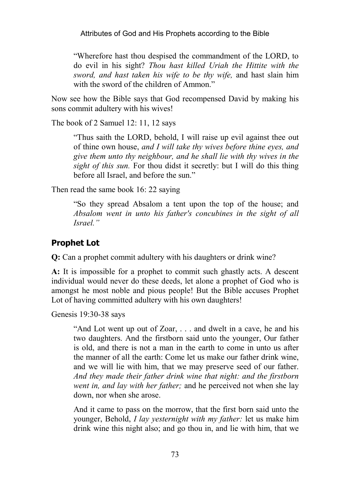Attributes of God and His Prophets according to the Bible

"Wherefore hast thou despised the commandment of the LORD, to do evil in his sight? *Thou hast killed Uriah the Hittite with the sword, and hast taken his wife to be thy wife,* and hast slain him with the sword of the children of Ammon."

Now see how the Bible says that God recompensed David by making his sons commit adultery with his wives!

The book of 2 Samuel 12: 11, 12 says

"Thus saith the LORD, behold, I will raise up evil against thee out of thine own house, *and I will take thy wives before thine eyes, and give them unto thy neighbour, and he shall lie with thy wives in the sight of this sun.* For thou didst it secretly: but I will do this thing before all Israel, and before the sun."

Then read the same book 16: 22 saying

"So they spread Absalom a tent upon the top of the house; and *Absalom went in unto his father's concubines in the sight of all Israel."*

## **Prophet Lot**

**Q:** Can a prophet commit adultery with his daughters or drink wine?

**A:** It is impossible for a prophet to commit such ghastly acts. A descent individual would never do these deeds, let alone a prophet of God who is amongst he most noble and pious people! But the Bible accuses Prophet Lot of having committed adultery with his own daughters!

Genesis 19:30-38 says

"And Lot went up out of Zoar, . . . and dwelt in a cave, he and his two daughters. And the firstborn said unto the younger, Our father is old, and there is not a man in the earth to come in unto us after the manner of all the earth: Come let us make our father drink wine, and we will lie with him, that we may preserve seed of our father. *And they made their father drink wine that night: and the firstborn went in, and lay with her father;* and he perceived not when she lay down, nor when she arose.

And it came to pass on the morrow, that the first born said unto the younger, Behold, *I lay yesternight with my father:* let us make him drink wine this night also; and go thou in, and lie with him, that we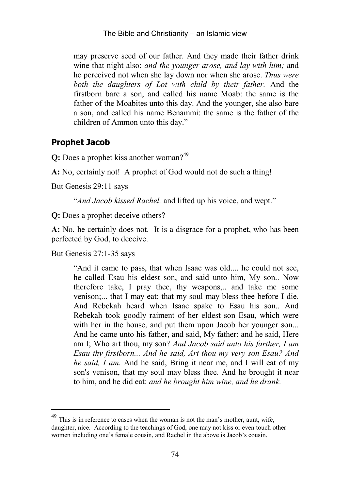may preserve seed of our father. And they made their father drink wine that night also: *and the younger arose, and lay with him;* and he perceived not when she lay down nor when she arose. *Thus were both the daughters of Lot with child by their father.* And the firstborn bare a son, and called his name Moab: the same is the father of the Moabites unto this day. And the younger, she also bare a son, and called his name Benammi: the same is the father of the children of Ammon unto this day."

#### **Prophet Jacob**

**Q:** Does a prophet kiss another woman?<sup>49</sup>

**A:** No, certainly not! A prophet of God would not do such a thing!

But Genesis 29:11 says

"*And Jacob kissed Rachel,* and lifted up his voice, and wept."

**Q:** Does a prophet deceive others?

**A:** No, he certainly does not. It is a disgrace for a prophet, who has been perfected by God, to deceive.

But Genesis 27:1-35 says

 $\overline{a}$ 

"And it came to pass, that when Isaac was old.... he could not see, he called Esau his eldest son, and said unto him, My son.. Now therefore take, I pray thee, thy weapons,.. and take me some venison;... that I may eat; that my soul may bless thee before I die. And Rebekah heard when Isaac spake to Esau his son.. And Rebekah took goodly raiment of her eldest son Esau, which were with her in the house, and put them upon Jacob her younger son... And he came unto his father, and said, My father: and he said, Here am I; Who art thou, my son? *And Jacob said unto his farther, I am Esau thy firstborn... And he said, Art thou my very son Esau? And he said, I am.* And he said, Bring it near me, and I will eat of my son's venison, that my soul may bless thee. And he brought it near to him, and he did eat: *and he brought him wine, and he drank.*

 $49$  This is in reference to cases when the woman is not the man's mother, aunt, wife, daughter, nice. According to the teachings of God, one may not kiss or even touch other women including one's female cousin, and Rachel in the above is Jacob's cousin.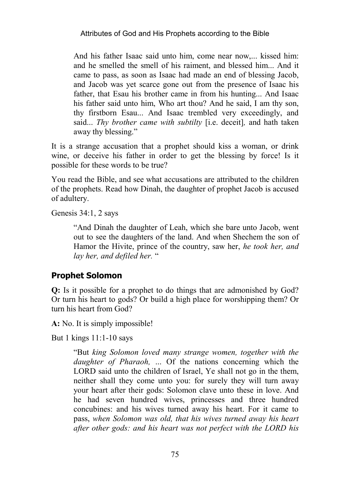And his father Isaac said unto him, come near now,... kissed him: and he smelled the smell of his raiment, and blessed him... And it came to pass, as soon as Isaac had made an end of blessing Jacob, and Jacob was yet scarce gone out from the presence of Isaac his father, that Esau his brother came in from his hunting... And Isaac his father said unto him, Who art thou? And he said, I am thy son, thy firstborn Esau... And Isaac trembled very exceedingly, and said... *Thy brother came with subtilty* [i.e. deceit]*,* and hath taken away thy blessing."

It is a strange accusation that a prophet should kiss a woman, or drink wine, or deceive his father in order to get the blessing by force! Is it possible for these words to be true?

You read the Bible, and see what accusations are attributed to the children of the prophets. Read how Dinah, the daughter of prophet Jacob is accused of adultery.

Genesis 34:1, 2 says

"And Dinah the daughter of Leah, which she bare unto Jacob, went out to see the daughters of the land. And when Shechem the son of Hamor the Hivite, prince of the country, saw her, *he took her, and lay her, and defiled her.* "

## **Prophet Solomon**

**Q:** Is it possible for a prophet to do things that are admonished by God? Or turn his heart to gods? Or build a high place for worshipping them? Or turn his heart from God?

**A:** No. It is simply impossible!

But 1 kings 11:1-10 says

"But *king Solomon loved many strange women, together with the daughter of Pharaoh,* ... Of the nations concerning which the LORD said unto the children of Israel, Ye shall not go in the them, neither shall they come unto you: for surely they will turn away your heart after their gods: Solomon clave unto these in love. And he had seven hundred wives, princesses and three hundred concubines: and his wives turned away his heart. For it came to pass, *when Solomon was old, that his wives turned away his heart after other gods: and his heart was not perfect with the LORD his*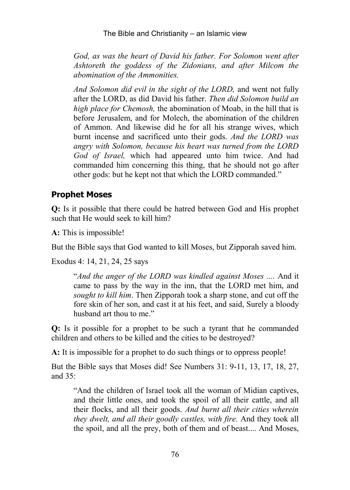*God, as was the heart of David his father. For Solomon went after Ashtoreth the goddess of the Zidonians, and after Milcom the abomination of the Ammonities.* 

*And Solomon did evil in the sight of the LORD,* and went not fully after the LORD, as did David his father. *Then did Solomon build an high place for Chemosh,* the abomination of Moab, in the hill that is before Jerusalem, and for Molech, the abomination of the children of Ammon. And likewise did he for all his strange wives, which burnt incense and sacrificed unto their gods. *And the LORD was angry with Solomon, because his heart was turned from the LORD God of Israel,* which had appeared unto him twice. And had commanded him concerning this thing, that he should not go after other gods: but he kept not that which the LORD commanded."

## **Prophet Moses**

**Q:** Is it possible that there could be hatred between God and His prophet such that He would seek to kill him?

**A:** This is impossible!

But the Bible says that God wanted to kill Moses, but Zipporah saved him.

Exodus 4: 14, 21, 24, 25 says

"*And the anger of the LORD was kindled against Moses ....* And it came to pass by the way in the inn, that the LORD met him, and *sought to kill him*. Then Zipporah took a sharp stone, and cut off the fore skin of her son, and cast it at his feet, and said, Surely a bloody husband art thou to me."

**Q:** Is it possible for a prophet to be such a tyrant that he commanded children and others to be killed and the cities to be destroyed?

**A:** It is impossible for a prophet to do such things or to oppress people!

But the Bible says that Moses did! See Numbers 31: 9-11, 13, 17, 18, 27, and 35:

"And the children of Israel took all the woman of Midian captives, and their little ones, and took the spoil of all their cattle, and all their flocks, and all their goods. *And burnt all their cities wherein they dwelt, and all their goodly castles, with fire.* And they took all the spoil, and all the prey, both of them and of beast.... And Moses,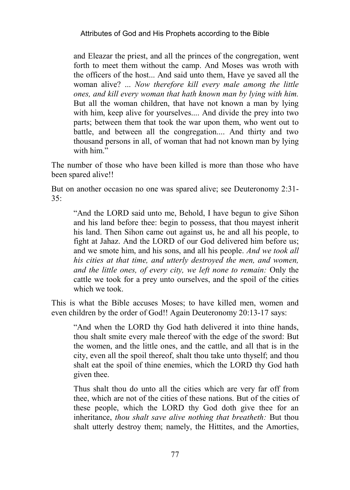and Eleazar the priest, and all the princes of the congregation, went forth to meet them without the camp. And Moses was wroth with the officers of the host... And said unto them, Have ye saved all the woman alive? ... *Now therefore kill every male among the little ones, and kill every woman that hath known man by lying with him.* But all the woman children, that have not known a man by lying with him, keep alive for yourselves.... And divide the prey into two parts; between them that took the war upon them, who went out to battle, and between all the congregation.... And thirty and two thousand persons in all, of woman that had not known man by lying with him"

The number of those who have been killed is more than those who have been spared alive!!

But on another occasion no one was spared alive; see Deuteronomy 2:31-  $35:$ 

"And the LORD said unto me, Behold, I have begun to give Sihon and his land before thee: begin to possess, that thou mayest inherit his land. Then Sihon came out against us, he and all his people, to fight at Jahaz. And the LORD of our God delivered him before us; and we smote him, and his sons, and all his people. *And we took all his cities at that time, and utterly destroyed the men, and women, and the little ones, of every city, we left none to remain:* Only the cattle we took for a prey unto ourselves, and the spoil of the cities which we took.

This is what the Bible accuses Moses; to have killed men, women and even children by the order of God!! Again Deuteronomy 20:13-17 says:

"And when the LORD thy God hath delivered it into thine hands, thou shalt smite every male thereof with the edge of the sword: But the women, and the little ones, and the cattle, and all that is in the city, even all the spoil thereof, shalt thou take unto thyself; and thou shalt eat the spoil of thine enemies, which the LORD thy God hath given thee.

Thus shalt thou do unto all the cities which are very far off from thee, which are not of the cities of these nations. But of the cities of these people, which the LORD thy God doth give thee for an inheritance, *thou shalt save alive nothing that breatheth:* But thou shalt utterly destroy them; namely, the Hittites, and the Amorties,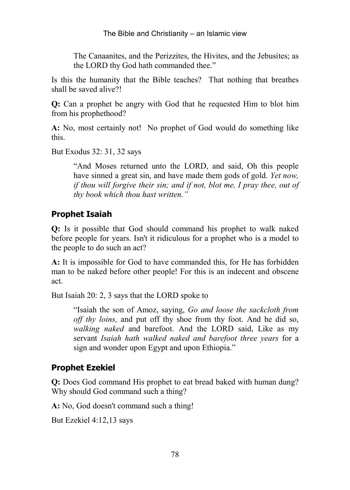The Canaanites, and the Perizzites, the Hivites, and the Jebusites; as the LORD thy God hath commanded thee."

Is this the humanity that the Bible teaches? That nothing that breathes shall be saved alive?!

**Q:** Can a prophet be angry with God that he requested Him to blot him from his prophethood?

**A:** No, most certainly not! No prophet of God would do something like this.

But Exodus 32: 31, 32 says

"And Moses returned unto the LORD, and said, Oh this people have sinned a great sin, and have made them gods of gold. *Yet now, if thou will forgive their sin; and if not, blot me, I pray thee, out of thy book which thou hast written."* 

## **Prophet Isaiah**

**Q:** Is it possible that God should command his prophet to walk naked before people for years. Isn't it ridiculous for a prophet who is a model to the people to do such an act?

**A:** It is impossible for God to have commanded this, for He has forbidden man to be naked before other people! For this is an indecent and obscene act.

But Isaiah 20: 2, 3 says that the LORD spoke to

"Isaiah the son of Amoz, saying, *Go and loose the sackcloth from off thy loins,* and put off thy shoe from thy foot. And he did so, *walking naked* and barefoot. And the LORD said, Like as my servant *Isaiah hath walked naked and barefoot three years* for a sign and wonder upon Egypt and upon Ethiopia."

## **Prophet Ezekiel**

**Q:** Does God command His prophet to eat bread baked with human dung? Why should God command such a thing?

**A:** No, God doesn't command such a thing!

But Ezekiel 4:12,13 says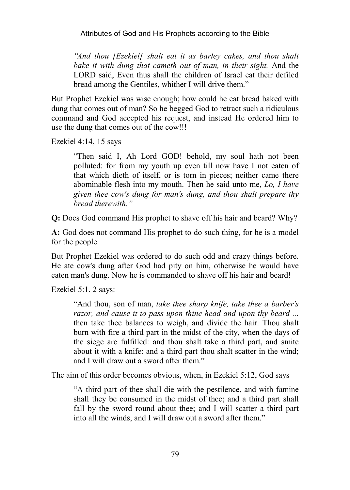Attributes of God and His Prophets according to the Bible

*"And thou [Ezekiel] shalt eat it as barley cakes, and thou shalt bake it with dung that cameth out of man, in their sight.* And the LORD said, Even thus shall the children of Israel eat their defiled bread among the Gentiles, whither I will drive them."

But Prophet Ezekiel was wise enough; how could he eat bread baked with dung that comes out of man? So he begged God to retract such a ridiculous command and God accepted his request, and instead He ordered him to use the dung that comes out of the cow!!!

Ezekiel 4:14, 15 says

"Then said I, Ah Lord GOD! behold, my soul hath not been polluted: for from my youth up even till now have I not eaten of that which dieth of itself, or is torn in pieces; neither came there abominable flesh into my mouth. Then he said unto me, *Lo, I have given thee cow's dung for man's dung, and thou shalt prepare thy bread therewith."* 

**Q:** Does God command His prophet to shave off his hair and beard? Why?

**A:** God does not command His prophet to do such thing, for he is a model for the people.

But Prophet Ezekiel was ordered to do such odd and crazy things before. He ate cow's dung after God had pity on him, otherwise he would have eaten man's dung. Now he is commanded to shave off his hair and beard!

Ezekiel 5:1, 2 says:

"And thou, son of man, *take thee sharp knife, take thee a barber's razor, and cause it to pass upon thine head and upon thy beard ...* then take thee balances to weigh, and divide the hair. Thou shalt burn with fire a third part in the midst of the city, when the days of the siege are fulfilled: and thou shalt take a third part, and smite about it with a knife: and a third part thou shalt scatter in the wind; and I will draw out a sword after them."

The aim of this order becomes obvious, when, in Ezekiel 5:12, God says

"A third part of thee shall die with the pestilence, and with famine shall they be consumed in the midst of thee; and a third part shall fall by the sword round about thee; and I will scatter a third part into all the winds, and I will draw out a sword after them."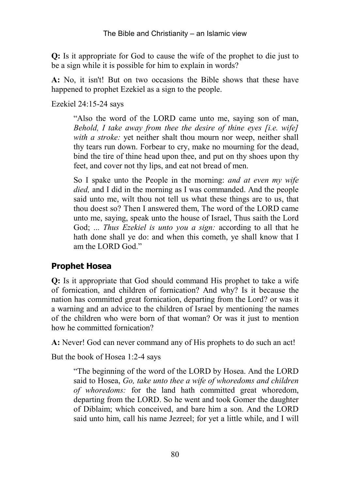**Q:** Is it appropriate for God to cause the wife of the prophet to die just to be a sign while it is possible for him to explain in words?

**A:** No, it isn't! But on two occasions the Bible shows that these have happened to prophet Ezekiel as a sign to the people.

Ezekiel 24:15-24 says

"Also the word of the LORD came unto me, saying son of man, *Behold, I take away from thee the desire of thine eyes [i.e. wife] with a stroke:* yet neither shalt thou mourn nor weep, neither shall thy tears run down. Forbear to cry, make no mourning for the dead, bind the tire of thine head upon thee, and put on thy shoes upon thy feet, and cover not thy lips, and eat not bread of men.

So I spake unto the People in the morning: *and at even my wife died,* and I did in the morning as I was commanded. And the people said unto me, wilt thou not tell us what these things are to us, that thou doest so? Then I answered them, The word of the LORD came unto me, saying, speak unto the house of Israel, Thus saith the Lord God; ... *Thus Ezekiel is unto you a sign:* according to all that he hath done shall ye do: and when this cometh, ye shall know that I am the LORD God."

## **Prophet Hosea**

**Q:** Is it appropriate that God should command His prophet to take a wife of fornication, and children of fornication? And why? Is it because the nation has committed great fornication, departing from the Lord? or was it a warning and an advice to the children of Israel by mentioning the names of the children who were born of that woman? Or was it just to mention how he committed fornication?

**A:** Never! God can never command any of His prophets to do such an act!

But the book of Hosea 1:2-4 says

"The beginning of the word of the LORD by Hosea. And the LORD said to Hosea, *Go, take unto thee a wife of whoredoms and children of whoredoms:* for the land hath committed great whoredom, departing from the LORD. So he went and took Gomer the daughter of Diblaim; which conceived, and bare him a son. And the LORD said unto him, call his name Jezreel; for yet a little while, and I will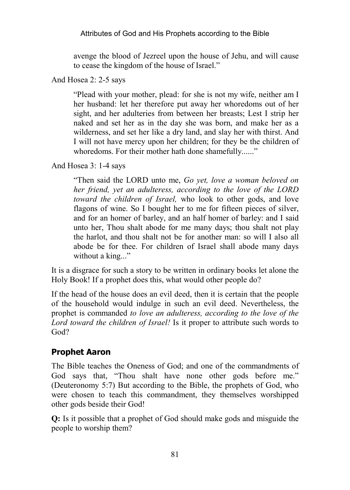avenge the blood of Jezreel upon the house of Jehu, and will cause to cease the kingdom of the house of Israel."

And Hosea 2: 2-5 says

"Plead with your mother, plead: for she is not my wife, neither am I her husband: let her therefore put away her whoredoms out of her sight, and her adulteries from between her breasts; Lest I strip her naked and set her as in the day she was born, and make her as a wilderness, and set her like a dry land, and slay her with thirst. And I will not have mercy upon her children; for they be the children of whoredoms. For their mother hath done shamefully......"

And Hosea 3: 1-4 says

"Then said the LORD unto me, *Go yet, love a woman beloved on her friend, yet an adulteress, according to the love of the LORD toward the children of Israel,* who look to other gods, and love flagons of wine. So I bought her to me for fifteen pieces of silver, and for an homer of barley, and an half homer of barley: and I said unto her, Thou shalt abode for me many days; thou shalt not play the harlot, and thou shalt not be for another man: so will I also all abode be for thee. For children of Israel shall abode many days without a king..."

It is a disgrace for such a story to be written in ordinary books let alone the Holy Book! If a prophet does this, what would other people do?

If the head of the house does an evil deed, then it is certain that the people of the household would indulge in such an evil deed. Nevertheless, the prophet is commanded *to love an adulteress, according to the love of the Lord toward the children of Israel!* Is it proper to attribute such words to God?

# **Prophet Aaron**

The Bible teaches the Oneness of God; and one of the commandments of God says that, "Thou shalt have none other gods before me." (Deuteronomy 5:7) But according to the Bible, the prophets of God, who were chosen to teach this commandment, they themselves worshipped other gods beside their God!

**Q:** Is it possible that a prophet of God should make gods and misguide the people to worship them?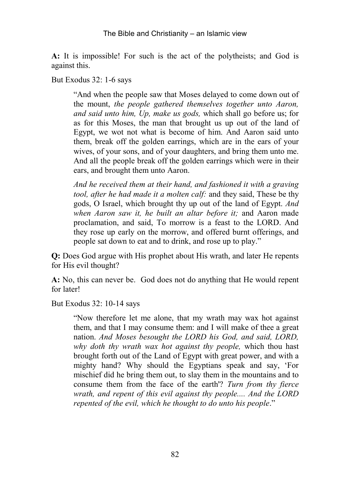#### The Bible and Christianity – an Islamic view

**A:** It is impossible! For such is the act of the polytheists; and God is against this.

But Exodus 32: 1-6 says

"And when the people saw that Moses delayed to come down out of the mount, *the people gathered themselves together unto Aaron, and said unto him, Up, make us gods,* which shall go before us; for as for this Moses, the man that brought us up out of the land of Egypt, we wot not what is become of him. And Aaron said unto them, break off the golden earrings, which are in the ears of your wives, of your sons, and of your daughters, and bring them unto me. And all the people break off the golden earrings which were in their ears, and brought them unto Aaron.

*And he received them at their hand, and fashioned it with a graving tool, after he had made it a molten calf:* and they said, These be thy gods, O Israel, which brought thy up out of the land of Egypt. *And when Aaron saw it, he built an altar before it;* and Aaron made proclamation, and said, To morrow is a feast to the LORD. And they rose up early on the morrow, and offered burnt offerings, and people sat down to eat and to drink, and rose up to play."

**Q:** Does God argue with His prophet about His wrath, and later He repents for His evil thought?

**A:** No, this can never be. God does not do anything that He would repent for later!

But Exodus 32: 10-14 says

"Now therefore let me alone, that my wrath may wax hot against them, and that I may consume them: and I will make of thee a great nation. *And Moses besought the LORD his God, and said, LORD, why doth thy wrath wax hot against thy people,* which thou hast brought forth out of the Land of Egypt with great power, and with a mighty hand? Why should the Egyptians speak and say, 'For mischief did he bring them out, to slay them in the mountains and to consume them from the face of the earth'? *Turn from thy fierce wrath, and repent of this evil against thy people.... And the LORD repented of the evil, which he thought to do unto his people*."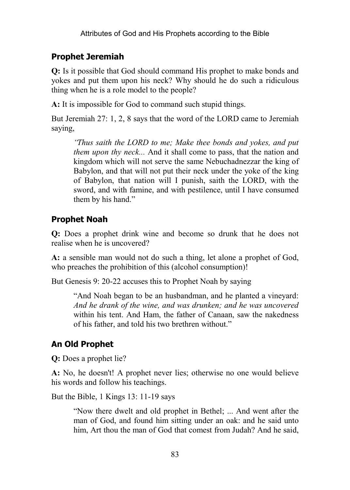# **Prophet Jeremiah**

**Q:** Is it possible that God should command His prophet to make bonds and yokes and put them upon his neck? Why should he do such a ridiculous thing when he is a role model to the people?

**A:** It is impossible for God to command such stupid things.

But Jeremiah 27: 1, 2, 8 says that the word of the LORD came to Jeremiah saying,

*"Thus saith the LORD to me; Make thee bonds and yokes, and put them upon thy neck...* And it shall come to pass, that the nation and kingdom which will not serve the same Nebuchadnezzar the king of Babylon, and that will not put their neck under the yoke of the king of Babylon, that nation will I punish, saith the LORD, with the sword, and with famine, and with pestilence, until I have consumed them by his hand."

# **Prophet Noah**

**Q:** Does a prophet drink wine and become so drunk that he does not realise when he is uncovered?

**A:** a sensible man would not do such a thing, let alone a prophet of God, who preaches the prohibition of this (alcohol consumption)!

But Genesis 9: 20-22 accuses this to Prophet Noah by saying

"And Noah began to be an husbandman, and he planted a vineyard: *And he drank of the wine, and was drunken; and he was uncovered* within his tent. And Ham, the father of Canaan, saw the nakedness of his father, and told his two brethren without."

# **An Old Prophet**

**Q:** Does a prophet lie?

**A:** No, he doesn't! A prophet never lies; otherwise no one would believe his words and follow his teachings.

But the Bible, 1 Kings 13: 11-19 says

"Now there dwelt and old prophet in Bethel; ... And went after the man of God, and found him sitting under an oak: and he said unto him, Art thou the man of God that comest from Judah? And he said,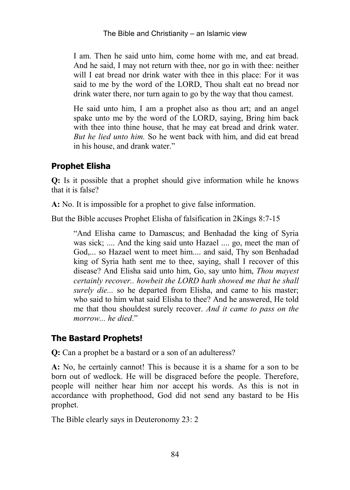I am. Then he said unto him, come home with me, and eat bread. And he said, I may not return with thee, nor go in with thee: neither will I eat bread nor drink water with thee in this place: For it was said to me by the word of the LORD, Thou shalt eat no bread nor drink water there, nor turn again to go by the way that thou camest.

He said unto him, I am a prophet also as thou art; and an angel spake unto me by the word of the LORD, saying, Bring him back with thee into thine house, that he may eat bread and drink water. *But he lied unto him.* So he went back with him, and did eat bread in his house, and drank water."

# **Prophet Elisha**

**Q:** Is it possible that a prophet should give information while he knows that it is false?

**A:** No. It is impossible for a prophet to give false information.

But the Bible accuses Prophet Elisha of falsification in 2Kings 8:7-15

"And Elisha came to Damascus; and Benhadad the king of Syria was sick; .... And the king said unto Hazael .... go, meet the man of God,... so Hazael went to meet him.... and said, Thy son Benhadad king of Syria hath sent me to thee, saying, shall I recover of this disease? And Elisha said unto him, Go, say unto him, *Thou mayest certainly recover.. howbeit the LORD hath showed me that he shall surely die...* so he departed from Elisha, and came to his master; who said to him what said Elisha to thee? And he answered, He told me that thou shouldest surely recover. *And it came to pass on the morrow... he died*."

## **The Bastard Prophets!**

**Q:** Can a prophet be a bastard or a son of an adulteress?

**A:** No, he certainly cannot! This is because it is a shame for a son to be born out of wedlock. He will be disgraced before the people. Therefore, people will neither hear him nor accept his words. As this is not in accordance with prophethood, God did not send any bastard to be His prophet.

The Bible clearly says in Deuteronomy 23: 2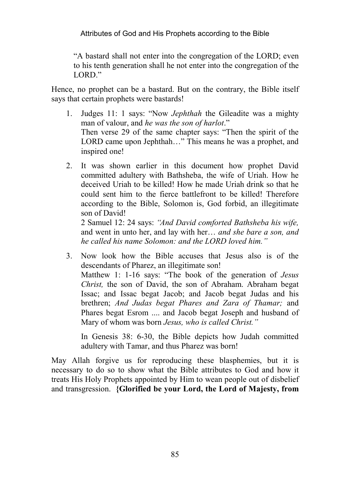Attributes of God and His Prophets according to the Bible

"A bastard shall not enter into the congregation of the LORD; even to his tenth generation shall he not enter into the congregation of the LORD<sup>"</sup>

Hence, no prophet can be a bastard. But on the contrary, the Bible itself says that certain prophets were bastards!

- 1. Judges 11: 1 says: "Now *Jephthah* the Gileadite was a mighty man of valour, and *he was the son of harlot*." Then verse 29 of the same chapter says: "Then the spirit of the LORD came upon Jephthah…" This means he was a prophet, and inspired one!
- 2. It was shown earlier in this document how prophet David committed adultery with Bathsheba, the wife of Uriah. How he deceived Uriah to be killed! How he made Uriah drink so that he could sent him to the fierce battlefront to be killed! Therefore according to the Bible, Solomon is, God forbid, an illegitimate son of David!

2 Samuel 12: 24 says: *"And David comforted Bathsheba his wife,* and went in unto her, and lay with her… *and she bare a son, and he called his name Solomon: and the LORD loved him."* 

3. Now look how the Bible accuses that Jesus also is of the descendants of Pharez, an illegitimate son! Matthew 1: 1-16 says: "The book of the generation of *Jesus Christ,* the son of David, the son of Abraham. Abraham begat Issac; and Issac begat Jacob; and Jacob begat Judas and his brethren; *And Judas begat Phares and Zara of Thamar;* and Phares begat Esrom .... and Jacob begat Joseph and husband of Mary of whom was born *Jesus, who is called Christ."* 

In Genesis 38: 6-30, the Bible depicts how Judah committed adultery with Tamar, and thus Pharez was born!

May Allah forgive us for reproducing these blasphemies, but it is necessary to do so to show what the Bible attributes to God and how it treats His Holy Prophets appointed by Him to wean people out of disbelief and transgression. **{Glorified be your Lord, the Lord of Majesty, from**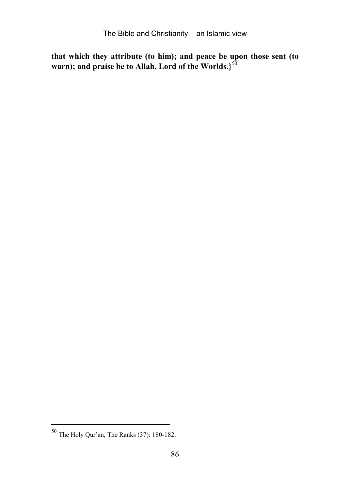**that which they attribute (to him); and peace be upon those sent (to warn); and praise be to Allah, Lord of the Worlds.}**<sup>50</sup>

<sup>50</sup> The Holy Qur'an, The Ranks (37): 180-182.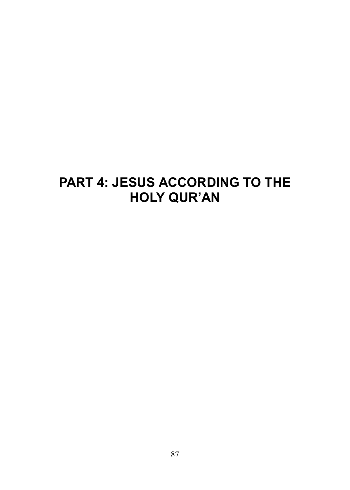# **PART 4: JESUS ACCORDING TO THE HOLY QUR'AN**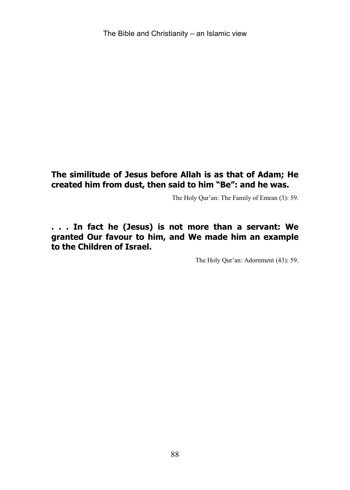#### **The similitude of Jesus before Allah is as that of Adam; He created him from dust, then said to him "Be": and he was.**

The Holy Qur'an: The Family of Emran (3): 59.

**. . . In fact he (Jesus) is not more than a servant: We granted Our favour to him, and We made him an example to the Children of Israel.** 

The Holy Qur'an: Adornment (43): 59.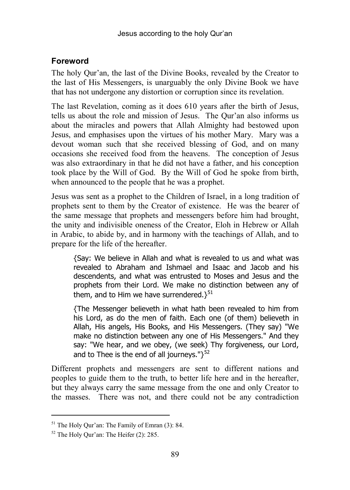# **Foreword**

The holy Qur'an, the last of the Divine Books, revealed by the Creator to the last of His Messengers, is unarguably the only Divine Book we have that has not undergone any distortion or corruption since its revelation.

The last Revelation, coming as it does 610 years after the birth of Jesus, tells us about the role and mission of Jesus. The Qur'an also informs us about the miracles and powers that Allah Almighty had bestowed upon Jesus, and emphasises upon the virtues of his mother Mary. Mary was a devout woman such that she received blessing of God, and on many occasions she received food from the heavens. The conception of Jesus was also extraordinary in that he did not have a father, and his conception took place by the Will of God. By the Will of God he spoke from birth, when announced to the people that he was a prophet.

Jesus was sent as a prophet to the Children of Israel, in a long tradition of prophets sent to them by the Creator of existence. He was the bearer of the same message that prophets and messengers before him had brought, the unity and indivisible oneness of the Creator, Eloh in Hebrew or Allah in Arabic, to abide by, and in harmony with the teachings of Allah, and to prepare for the life of the hereafter.

{Say: We believe in Allah and what is revealed to us and what was revealed to Abraham and Ishmael and Isaac and Jacob and his descendents, and what was entrusted to Moses and Jesus and the prophets from their Lord. We make no distinction between any of them, and to Him we have surrendered.} $51$ 

{The Messenger believeth in what hath been revealed to him from his Lord, as do the men of faith. Each one (of them) believeth in Allah, His angels, His Books, and His Messengers. (They say) "We make no distinction between any one of His Messengers." And they say: "We hear, and we obey, (we seek) Thy forgiveness, our Lord, and to Thee is the end of all journeys." $3^{52}$ 

Different prophets and messengers are sent to different nations and peoples to guide them to the truth, to better life here and in the hereafter, but they always carry the same message from the one and only Creator to the masses. There was not, and there could not be any contradiction

<sup>51</sup> The Holy Qur'an: The Family of Emran (3): 84.

<sup>52</sup> The Holy Qur'an: The Heifer (2): 285.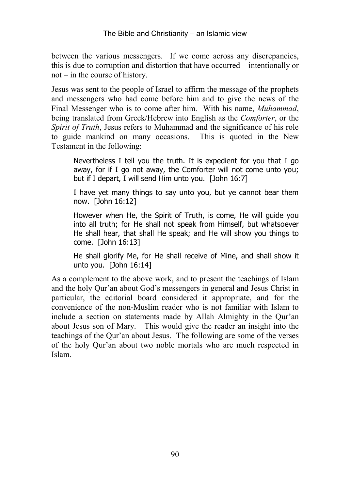between the various messengers. If we come across any discrepancies, this is due to corruption and distortion that have occurred – intentionally or not – in the course of history.

Jesus was sent to the people of Israel to affirm the message of the prophets and messengers who had come before him and to give the news of the Final Messenger who is to come after him. With his name, *Muhammad*, being translated from Greek/Hebrew into English as the *Comforter*, or the *Spirit of Truth*, Jesus refers to Muhammad and the significance of his role to guide mankind on many occasions. This is quoted in the New Testament in the following:

Nevertheless I tell you the truth. It is expedient for you that I go away, for if I go not away, the Comforter will not come unto you; but if I depart, I will send Him unto you. [John 16:7]

I have yet many things to say unto you, but ye cannot bear them now. [John 16:12]

However when He, the Spirit of Truth, is come, He will guide you into all truth; for He shall not speak from Himself, but whatsoever He shall hear, that shall He speak; and He will show you things to come. [John 16:13]

He shall glorify Me, for He shall receive of Mine, and shall show it unto you. [John 16:14]

As a complement to the above work, and to present the teachings of Islam and the holy Qur'an about God's messengers in general and Jesus Christ in particular, the editorial board considered it appropriate, and for the convenience of the non-Muslim reader who is not familiar with Islam to include a section on statements made by Allah Almighty in the Qur'an about Jesus son of Mary. This would give the reader an insight into the teachings of the Qur'an about Jesus. The following are some of the verses of the holy Qur'an about two noble mortals who are much respected in Islam.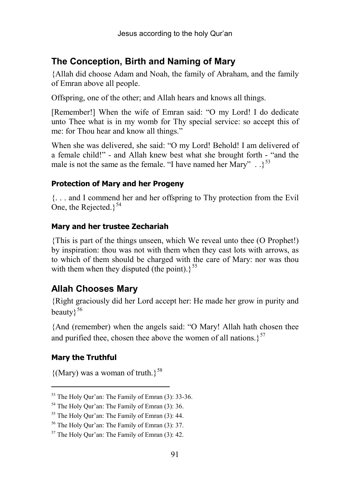# **The Conception, Birth and Naming of Mary**

{Allah did choose Adam and Noah, the family of Abraham, and the family of Emran above all people.

Offspring, one of the other; and Allah hears and knows all things.

[Remember!] When the wife of Emran said: "O my Lord! I do dedicate unto Thee what is in my womb for Thy special service: so accept this of me: for Thou hear and know all things."

When she was delivered, she said: "O my Lord! Behold! I am delivered of a female child!" - and Allah knew best what she brought forth - "and the male is not the same as the female. "I have named her Mary"  $\ldots$ <sup>53</sup>

## **Protection of Mary and her Progeny**

{. . . and I commend her and her offspring to Thy protection from the Evil One, the Rejected. $3^{54}$ 

## **Mary and her trustee Zechariah**

{This is part of the things unseen, which We reveal unto thee (O Prophet!) by inspiration: thou was not with them when they cast lots with arrows, as to which of them should be charged with the care of Mary: nor was thou with them when they disputed (the point). $3^{55}$ 

# **Allah Chooses Mary**

{Right graciously did her Lord accept her: He made her grow in purity and beauty $3^{56}$ 

{And (remember) when the angels said: "O Mary! Allah hath chosen thee and purified thee, chosen thee above the women of all nations.)<sup>57</sup>

## **Mary the Truthful**

```
{ (Mary) was a woman of truth. }<sup>58</sup>
```
<sup>53</sup> The Holy Qur'an: The Family of Emran (3): 33-36.

<sup>54</sup> The Holy Qur'an: The Family of Emran (3): 36.

<sup>55</sup> The Holy Qur'an: The Family of Emran (3): 44.

<sup>56</sup> The Holy Qur'an: The Family of Emran (3): 37.

<sup>57</sup> The Holy Qur'an: The Family of Emran (3): 42.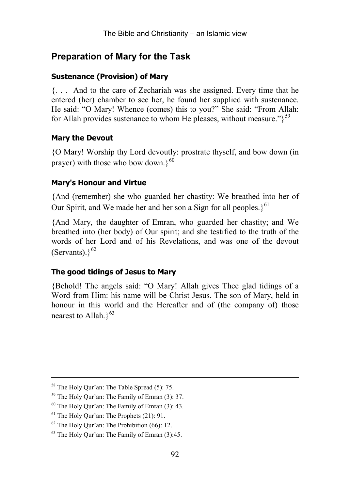# **Preparation of Mary for the Task**

## **Sustenance (Provision) of Mary**

{. . . And to the care of Zechariah was she assigned. Every time that he entered (her) chamber to see her, he found her supplied with sustenance. He said: "O Mary! Whence (comes) this to you?" She said: "From Allah: for Allah provides sustenance to whom He pleases, without measure." $3^{59}$ 

## **Mary the Devout**

{O Mary! Worship thy Lord devoutly: prostrate thyself, and bow down (in prayer) with those who bow down. $3^{60}$ 

#### **Mary's Honour and Virtue**

{And (remember) she who guarded her chastity: We breathed into her of Our Spirit, and We made her and her son a Sign for all peoples.<sup>{61}</sup>

{And Mary, the daughter of Emran, who guarded her chastity; and We breathed into (her body) of Our spirit; and she testified to the truth of the words of her Lord and of his Revelations, and was one of the devout (Servants). $3^{62}$ 

#### **The good tidings of Jesus to Mary**

{Behold! The angels said: "O Mary! Allah gives Thee glad tidings of a Word from Him: his name will be Christ Jesus. The son of Mary, held in honour in this world and the Hereafter and of (the company of) those nearest to Allah. $3^{63}$ 

 $58$  The Holy Our'an: The Table Spread  $(5)$ : 75.

<sup>59</sup> The Holy Qur'an: The Family of Emran (3): 37.

 $60$  The Holy Our'an: The Family of Emran  $(3)$ : 43.

 $61$  The Holy Our'an: The Prophets  $(21)$ : 91.

 $62$  The Holy Qur'an: The Prohibition (66): 12.

<sup>63</sup> The Holy Qur'an: The Family of Emran (3):45.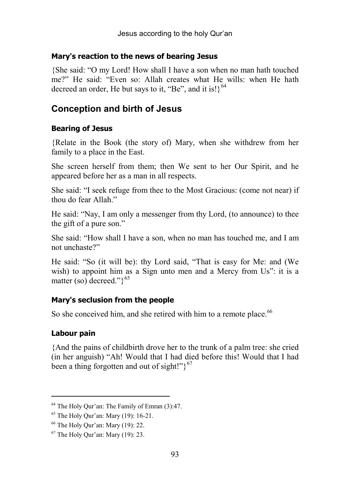#### **Mary's reaction to the news of bearing Jesus**

{She said: "O my Lord! How shall I have a son when no man hath touched me?" He said: "Even so: Allah creates what He wills: when He hath decreed an order, He but says to it, "Be", and it is! $\frac{64}{64}$ 

# **Conception and birth of Jesus**

#### **Bearing of Jesus**

{Relate in the Book (the story of) Mary, when she withdrew from her family to a place in the East.

She screen herself from them; then We sent to her Our Spirit, and he appeared before her as a man in all respects.

She said: "I seek refuge from thee to the Most Gracious: (come not near) if thou do fear Allah."

He said: "Nay, I am only a messenger from thy Lord, (to announce) to thee the gift of a pure son."

She said: "How shall I have a son, when no man has touched me, and I am not unchaste?"

He said: "So (it will be): thy Lord said, "That is easy for Me: and (We wish) to appoint him as a Sign unto men and a Mercy from Us": it is a matter (so) decreed." $3^{65}$ 

## **Mary's seclusion from the people**

So she conceived him, and she retired with him to a remote place.<sup>66</sup>

## **Labour pain**

 $\overline{a}$ 

{And the pains of childbirth drove her to the trunk of a palm tree: she cried (in her anguish) "Ah! Would that I had died before this! Would that I had been a thing forgotten and out of sight!" $67$ 

<sup>64</sup> The Holy Qur'an: The Family of Emran (3):47.

 $65$  The Holy Our'an: Mary (19): 16-21.

<sup>66</sup> The Holy Qur'an: Mary (19): 22.

 $67$  The Holy Our'an: Mary (19): 23.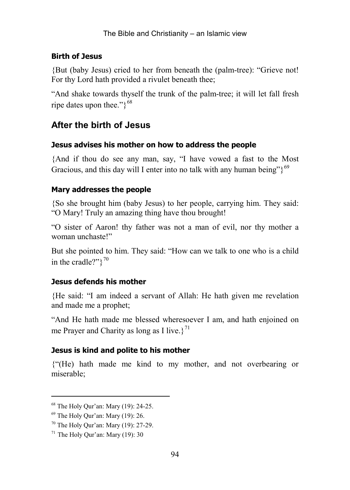#### **Birth of Jesus**

{But (baby Jesus) cried to her from beneath the (palm-tree): "Grieve not! For thy Lord hath provided a rivulet beneath thee;

"And shake towards thyself the trunk of the palm-tree; it will let fall fresh ripe dates upon thee." $3^{68}$ 

# **After the birth of Jesus**

#### **Jesus advises his mother on how to address the people**

{And if thou do see any man, say, "I have vowed a fast to the Most Gracious, and this day will I enter into no talk with any human being" $8^{69}$ 

## **Mary addresses the people**

{So she brought him (baby Jesus) to her people, carrying him. They said: "O Mary! Truly an amazing thing have thou brought!

"O sister of Aaron! thy father was not a man of evil, nor thy mother a woman unchaste!"

But she pointed to him. They said: "How can we talk to one who is a child in the cradle?" $3^{70}$ 

## **Jesus defends his mother**

{He said: "I am indeed a servant of Allah: He hath given me revelation and made me a prophet;

"And He hath made me blessed wheresoever I am, and hath enjoined on me Prayer and Charity as long as I live. $\}^{71}$ 

#### **Jesus is kind and polite to his mother**

{"(He) hath made me kind to my mother, and not overbearing or miserable;

<sup>68</sup> The Holy Qur'an: Mary (19): 24-25.

 $69$  The Holy Qur'an: Mary (19): 26.

<sup>70</sup> The Holy Qur'an: Mary (19): 27-29.

 $71$  The Holy Our'an: Mary (19): 30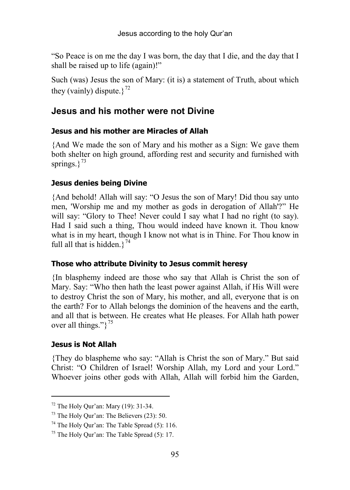"So Peace is on me the day I was born, the day that I die, and the day that I shall be raised up to life (again)!"

Such (was) Jesus the son of Mary: (it is) a statement of Truth, about which they (vainly) dispute. $3^{72}$ 

## **Jesus and his mother were not Divine**

#### **Jesus and his mother are Miracles of Allah**

{And We made the son of Mary and his mother as a Sign: We gave them both shelter on high ground, affording rest and security and furnished with springs. $3^{73}$ 

## **Jesus denies being Divine**

{And behold! Allah will say: "O Jesus the son of Mary! Did thou say unto men, 'Worship me and my mother as gods in derogation of Allah'?" He will say: "Glory to Thee! Never could I say what I had no right (to say). Had I said such a thing, Thou would indeed have known it. Thou know what is in my heart, though I know not what is in Thine. For Thou know in full all that is hidden.  $3^{74}$ 

## **Those who attribute Divinity to Jesus commit heresy**

{In blasphemy indeed are those who say that Allah is Christ the son of Mary. Say: "Who then hath the least power against Allah, if His Will were to destroy Christ the son of Mary, his mother, and all, everyone that is on the earth? For to Allah belongs the dominion of the heavens and the earth, and all that is between. He creates what He pleases. For Allah hath power over all things." $3^{75}$ 

#### **Jesus is Not Allah**

 $\overline{a}$ 

{They do blaspheme who say: "Allah is Christ the son of Mary." But said Christ: "O Children of Israel! Worship Allah, my Lord and your Lord." Whoever joins other gods with Allah, Allah will forbid him the Garden,

 $72$  The Holy Our'an: Mary (19): 31-34.

 $73$  The Holy Our'an: The Believers (23): 50.

<sup>74</sup> The Holy Qur'an: The Table Spread (5): 116.

<sup>75</sup> The Holy Qur'an: The Table Spread (5): 17.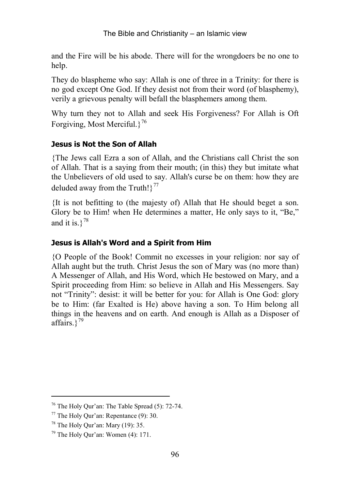and the Fire will be his abode. There will for the wrongdoers be no one to help.

They do blaspheme who say: Allah is one of three in a Trinity: for there is no god except One God. If they desist not from their word (of blasphemy), verily a grievous penalty will befall the blasphemers among them.

Why turn they not to Allah and seek His Forgiveness? For Allah is Oft Forgiving, Most Merciful. $3^{76}$ 

## **Jesus is Not the Son of Allah**

{The Jews call Ezra a son of Allah, and the Christians call Christ the son of Allah. That is a saying from their mouth; (in this) they but imitate what the Unbelievers of old used to say. Allah's curse be on them: how they are deluded away from the Truth! $3^{77}$ 

{It is not befitting to (the majesty of) Allah that He should beget a son. Glory be to Him! when He determines a matter, He only says to it, "Be," and it is. $3^{78}$ 

#### **Jesus is Allah's Word and a Spirit from Him**

{O People of the Book! Commit no excesses in your religion: nor say of Allah aught but the truth. Christ Jesus the son of Mary was (no more than) A Messenger of Allah, and His Word, which He bestowed on Mary, and a Spirit proceeding from Him: so believe in Allah and His Messengers. Say not "Trinity": desist: it will be better for you: for Allah is One God: glory be to Him: (far Exalted is He) above having a son. To Him belong all things in the heavens and on earth. And enough is Allah as a Disposer of affairs. $3^{79}$ 

 $76$  The Holy Our'an: The Table Spread (5): 72-74.

<sup>77</sup> The Holy Qur'an: Repentance (9): 30.

<sup>78</sup> The Holy Qur'an: Mary (19): 35.

<sup>79</sup> The Holy Qur'an: Women (4): 171.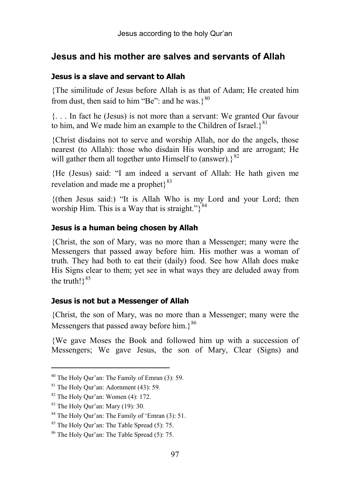Jesus according to the holy Qur'an

## **Jesus and his mother are salves and servants of Allah**

#### **Jesus is a slave and servant to Allah**

{The similitude of Jesus before Allah is as that of Adam; He created him from dust, then said to him "Be": and he was. $3^{80}$ 

{. . . In fact he (Jesus) is not more than a servant: We granted Our favour to him, and We made him an example to the Children of Israel. $3^{81}$ 

{Christ disdains not to serve and worship Allah, nor do the angels, those nearest (to Allah): those who disdain His worship and are arrogant; He will gather them all together unto Himself to (answer). $3^{82}$ 

{He (Jesus) said: "I am indeed a servant of Allah: He hath given me revelation and made me a prophet $3^{83}$ 

{(then Jesus said:) "It is Allah Who is my Lord and your Lord; then worship Him. This is a Way that is straight." $\}$ <sup>84</sup>

#### **Jesus is a human being chosen by Allah**

{Christ, the son of Mary, was no more than a Messenger; many were the Messengers that passed away before him. His mother was a woman of truth. They had both to eat their (daily) food. See how Allah does make His Signs clear to them; yet see in what ways they are deluded away from the truth! $85$ 

#### **Jesus is not but a Messenger of Allah**

{Christ, the son of Mary, was no more than a Messenger; many were the Messengers that passed away before him. $3^{86}$ 

{We gave Moses the Book and followed him up with a succession of Messengers; We gave Jesus, the son of Mary, Clear (Signs) and

<sup>80</sup> The Holy Qur'an: The Family of Emran (3): 59.

<sup>81</sup> The Holy Qur'an: Adornment (43): 59.

<sup>82</sup> The Holy Qur'an: Women (4): 172.

<sup>83</sup> The Holy Qur'an: Mary (19): 30.

<sup>84</sup> The Holy Qur'an: The Family of 'Emran (3): 51.

<sup>85</sup> The Holy Qur'an: The Table Spread (5): 75.

<sup>86</sup> The Holy Qur'an: The Table Spread (5): 75.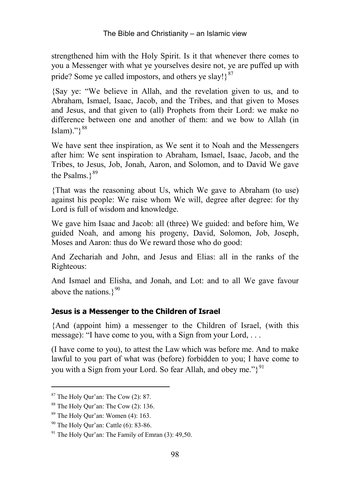strengthened him with the Holy Spirit. Is it that whenever there comes to you a Messenger with what ye yourselves desire not, ye are puffed up with pride? Some ye called impostors, and others ve slav! $3^{87}$ 

{Say ye: "We believe in Allah, and the revelation given to us, and to Abraham, Ismael, Isaac, Jacob, and the Tribes, and that given to Moses and Jesus, and that given to (all) Prophets from their Lord: we make no difference between one and another of them: and we bow to Allah (in Islam)." $3^{88}$ 

We have sent thee inspiration, as We sent it to Noah and the Messengers after him: We sent inspiration to Abraham, Ismael, Isaac, Jacob, and the Tribes, to Jesus, Job, Jonah, Aaron, and Solomon, and to David We gave the Psalms. $3^{89}$ 

{That was the reasoning about Us, which We gave to Abraham (to use) against his people: We raise whom We will, degree after degree: for thy Lord is full of wisdom and knowledge.

We gave him Isaac and Jacob: all (three) We guided: and before him, We guided Noah, and among his progeny, David, Solomon, Job, Joseph, Moses and Aaron: thus do We reward those who do good:

And Zechariah and John, and Jesus and Elias: all in the ranks of the Righteous:

And Ismael and Elisha, and Jonah, and Lot: and to all We gave favour above the nations. $3^{90}$ 

## **Jesus is a Messenger to the Children of Israel**

{And (appoint him) a messenger to the Children of Israel, (with this message): "I have come to you, with a Sign from your Lord, . . .

(I have come to you), to attest the Law which was before me. And to make lawful to you part of what was (before) forbidden to you; I have come to you with a Sign from your Lord. So fear Allah, and obey me." $3^{91}$ 

<sup>87</sup> The Holy Qur'an: The Cow (2): 87.

<sup>88</sup> The Holy Qur'an: The Cow (2): 136.

<sup>89</sup> The Holy Qur'an: Women (4): 163.

<sup>90</sup> The Holy Qur'an: Cattle (6): 83-86.

 $91$  The Holy Our'an: The Family of Emran (3): 49.50.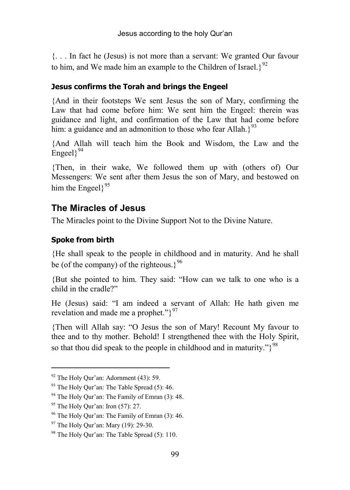{. . . In fact he (Jesus) is not more than a servant: We granted Our favour to him, and We made him an example to the Children of Israel. $3^{92}$ 

#### **Jesus confirms the Torah and brings the Engeel**

{And in their footsteps We sent Jesus the son of Mary, confirming the Law that had come before him: We sent him the Engeel: therein was guidance and light, and confirmation of the Law that had come before him: a guidance and an admonition to those who fear Allah. $3^{93}$ 

{And Allah will teach him the Book and Wisdom, the Law and the Engeel $3^{94}$ 

{Then, in their wake, We followed them up with (others of) Our Messengers: We sent after them Jesus the son of Mary, and bestowed on him the Engeel $3^{95}$ 

# **The Miracles of Jesus**

The Miracles point to the Divine Support Not to the Divine Nature.

## **Spoke from birth**

{He shall speak to the people in childhood and in maturity. And he shall be (of the company) of the righteous. $3^{96}$ 

{But she pointed to him. They said: "How can we talk to one who is a child in the cradle?"

He (Jesus) said: "I am indeed a servant of Allah: He hath given me revelation and made me a prophet." $3^{97}$ 

{Then will Allah say: "O Jesus the son of Mary! Recount My favour to thee and to thy mother. Behold! I strengthened thee with the Holy Spirit, so that thou did speak to the people in childhood and in maturity." $3^{98}$ 

 $92$  The Holy Our'an: Adornment (43): 59.

 $93$  The Holy Our'an: The Table Spread (5): 46.

<sup>94</sup> The Holy Qur'an: The Family of Emran (3): 48.

 $95$  The Holy Our'an: Iron (57): 27.

<sup>96</sup> The Holy Qur'an: The Family of Emran (3): 46.

<sup>97</sup> The Holy Qur'an: Mary (19): 29-30.

<sup>&</sup>lt;sup>98</sup> The Holy Our'an: The Table Spread (5): 110.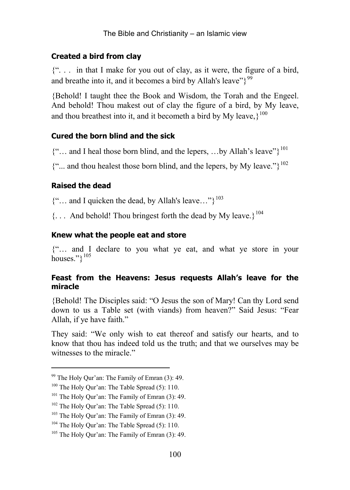#### **Created a bird from clay**

{". . . in that I make for you out of clay, as it were, the figure of a bird, and breathe into it, and it becomes a bird by Allah's leave" $3^{99}$ 

{Behold! I taught thee the Book and Wisdom, the Torah and the Engeel. And behold! Thou makest out of clay the figure of a bird, by My leave, and thou breathest into it, and it becometh a bird by My leave,  $\frac{100}{100}$ 

#### **Cured the born blind and the sick**

 ${``...}$  and I heal those born blind, and the lepers, ... by Allah's leave" $1^{101}$ 

 ${``...}$  and thou healest those born blind, and the lepers, by My leave." ${^{102}}$ 

#### **Raised the dead**

 $\overline{a}$ 

 ${``...}$  and I quicken the dead, by Allah's leave..." ${^{103}}$ 

 ${...}$  And behold! Thou bringest forth the dead by My leave. $1^{104}$ 

#### **Knew what the people eat and store**

{"… and I declare to you what ye eat, and what ye store in your houses." $\}$ <sup>105</sup>

#### **Feast from the Heavens: Jesus requests Allah's leave for the miracle**

{Behold! The Disciples said: "O Jesus the son of Mary! Can thy Lord send down to us a Table set (with viands) from heaven?" Said Jesus: "Fear Allah, if ye have faith."

They said: "We only wish to eat thereof and satisfy our hearts, and to know that thou has indeed told us the truth; and that we ourselves may be witnesses to the miracle."

<sup>99</sup> The Holy Qur'an: The Family of Emran (3): 49.

 $100$  The Holy Our'an: The Table Spread (5): 110.

<sup>&</sup>lt;sup>101</sup> The Holy Our'an: The Family of Emran (3): 49.

<sup>&</sup>lt;sup>102</sup> The Holy Our'an: The Table Spread (5): 110.

<sup>&</sup>lt;sup>103</sup> The Holy Our'an: The Family of Emran (3): 49.

<sup>104</sup> The Holy Qur'an: The Table Spread (5): 110.

<sup>&</sup>lt;sup>105</sup> The Holy Our'an: The Family of Emran (3): 49.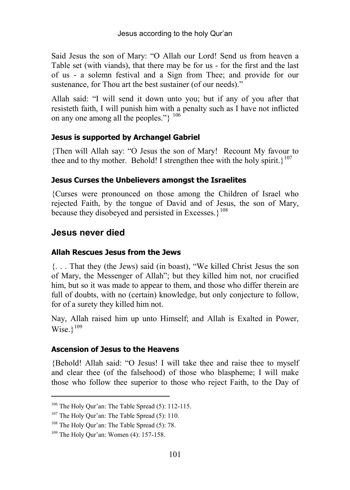Said Jesus the son of Mary: "O Allah our Lord! Send us from heaven a Table set (with viands), that there may be for us - for the first and the last of us - a solemn festival and a Sign from Thee; and provide for our sustenance, for Thou art the best sustainer (of our needs)."

Allah said: "I will send it down unto you; but if any of you after that resisteth faith, I will punish him with a penalty such as I have not inflicted on any one among all the peoples." $\}$ <sup>106</sup>

#### **Jesus is supported by Archangel Gabriel**

{Then will Allah say: "O Jesus the son of Mary! Recount My favour to thee and to thy mother. Behold! I strengthen thee with the holy spirit.}<sup>107</sup>

#### **Jesus Curses the Unbelievers amongst the Israelites**

{Curses were pronounced on those among the Children of Israel who rejected Faith, by the tongue of David and of Jesus, the son of Mary, because they disobeyed and persisted in Excesses. $3^{108}$ 

# **Jesus never died**

## **Allah Rescues Jesus from the Jews**

{. . . That they (the Jews) said (in boast), "We killed Christ Jesus the son of Mary, the Messenger of Allah"; but they killed him not, nor crucified him, but so it was made to appear to them, and those who differ therein are full of doubts, with no (certain) knowledge, but only conjecture to follow, for of a surety they killed him not.

Nay, Allah raised him up unto Himself; and Allah is Exalted in Power, Wise. $3^{109}$ 

#### **Ascension of Jesus to the Heavens**

{Behold! Allah said: "O Jesus! I will take thee and raise thee to myself and clear thee (of the falsehood) of those who blaspheme; I will make those who follow thee superior to those who reject Faith, to the Day of

 $106$  The Holy Our'an: The Table Spread (5): 112-115.

<sup>&</sup>lt;sup>107</sup> The Holy Our'an: The Table Spread (5): 110.

<sup>108</sup> The Holy Qur'an: The Table Spread (5): 78.

<sup>109</sup> The Holy Qur'an: Women (4): 157-158.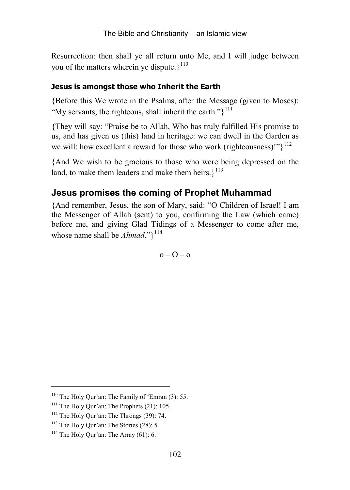Resurrection: then shall ye all return unto Me, and I will judge between you of the matters wherein ye dispute. $3^{110}$ 

#### **Jesus is amongst those who Inherit the Earth**

{Before this We wrote in the Psalms, after the Message (given to Moses): "My servants, the righteous, shall inherit the earth." $1^{111}$ 

{They will say: "Praise be to Allah, Who has truly fulfilled His promise to us, and has given us (this) land in heritage: we can dwell in the Garden as we will: how excellent a reward for those who work (righteousness)!" $\}$ <sup>112</sup>

{And We wish to be gracious to those who were being depressed on the land, to make them leaders and make them heirs. $3^{113}$ 

# **Jesus promises the coming of Prophet Muhammad**

{And remember, Jesus, the son of Mary, said: "O Children of Israel! I am the Messenger of Allah (sent) to you, confirming the Law (which came) before me, and giving Glad Tidings of a Messenger to come after me, whose name shall be *Ahmad*."<sup>{114}</sup>

 $o - O - o$ 

<sup>110</sup> The Holy Qur'an: The Family of 'Emran (3): 55.

<sup>&</sup>lt;sup>111</sup> The Holy Our'an: The Prophets (21): 105.

<sup>112</sup> The Holy Qur'an: The Throngs (39): 74.

<sup>113</sup> The Holy Qur'an: The Stories (28): 5.

 $114$  The Holy Our'an: The Array (61): 6.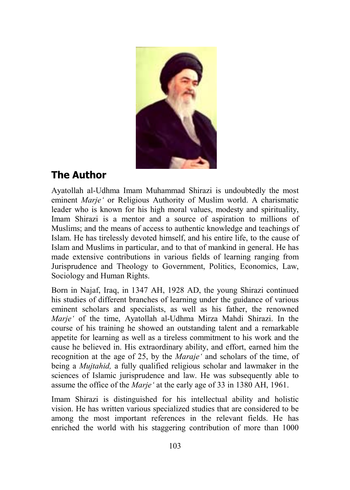

# **The Author**

Ayatollah al-Udhma Imam Muhammad Shirazi is undoubtedly the most eminent *Marje'* or Religious Authority of Muslim world. A charismatic leader who is known for his high moral values, modesty and spirituality, Imam Shirazi is a mentor and a source of aspiration to millions of Muslims; and the means of access to authentic knowledge and teachings of Islam. He has tirelessly devoted himself, and his entire life, to the cause of Islam and Muslims in particular, and to that of mankind in general. He has made extensive contributions in various fields of learning ranging from Jurisprudence and Theology to Government, Politics, Economics, Law, Sociology and Human Rights.

Born in Najaf, Iraq, in 1347 AH, 1928 AD, the young Shirazi continued his studies of different branches of learning under the guidance of various eminent scholars and specialists, as well as his father, the renowned *Marje'* of the time, Ayatollah al-Udhma Mirza Mahdi Shirazi. In the course of his training he showed an outstanding talent and a remarkable appetite for learning as well as a tireless commitment to his work and the cause he believed in. His extraordinary ability, and effort, earned him the recognition at the age of 25, by the *Maraje'* and scholars of the time, of being a *Mujtahid,* a fully qualified religious scholar and lawmaker in the sciences of Islamic jurisprudence and law. He was subsequently able to assume the office of the *Marje'* at the early age of 33 in 1380 AH, 1961.

Imam Shirazi is distinguished for his intellectual ability and holistic vision. He has written various specialized studies that are considered to be among the most important references in the relevant fields. He has enriched the world with his staggering contribution of more than 1000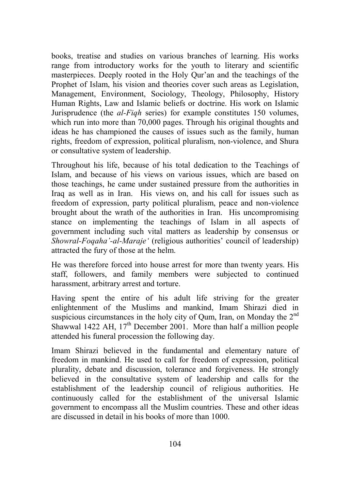books, treatise and studies on various branches of learning. His works range from introductory works for the youth to literary and scientific masterpieces. Deeply rooted in the Holy Qur'an and the teachings of the Prophet of Islam, his vision and theories cover such areas as Legislation, Management, Environment, Sociology, Theology, Philosophy, History Human Rights, Law and Islamic beliefs or doctrine. His work on Islamic Jurisprudence (the *al-Fiqh* series) for example constitutes 150 volumes, which run into more than 70,000 pages. Through his original thoughts and ideas he has championed the causes of issues such as the family, human rights, freedom of expression, political pluralism, non-violence, and Shura or consultative system of leadership.

Throughout his life, because of his total dedication to the Teachings of Islam, and because of his views on various issues, which are based on those teachings, he came under sustained pressure from the authorities in Iraq as well as in Iran. His views on, and his call for issues such as freedom of expression, party political pluralism, peace and non-violence brought about the wrath of the authorities in Iran. His uncompromising stance on implementing the teachings of Islam in all aspects of government including such vital matters as leadership by consensus or *Showral-Foqaha'-al-Maraje'* (religious authorities' council of leadership) attracted the fury of those at the helm.

He was therefore forced into house arrest for more than twenty years. His staff, followers, and family members were subjected to continued harassment, arbitrary arrest and torture.

Having spent the entire of his adult life striving for the greater enlightenment of the Muslims and mankind, Imam Shirazi died in suspicious circumstances in the holy city of Oum, Iran, on Monday the  $2<sup>nd</sup>$ Shawwal 1422 AH,  $17<sup>th</sup>$  December 2001. More than half a million people attended his funeral procession the following day.

Imam Shirazi believed in the fundamental and elementary nature of freedom in mankind. He used to call for freedom of expression, political plurality, debate and discussion, tolerance and forgiveness. He strongly believed in the consultative system of leadership and calls for the establishment of the leadership council of religious authorities. He continuously called for the establishment of the universal Islamic government to encompass all the Muslim countries. These and other ideas are discussed in detail in his books of more than 1000.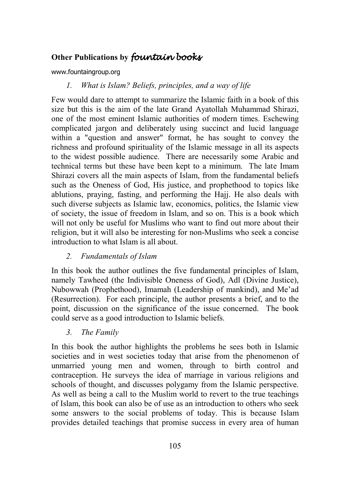## **Other Publications by fountain books**

#### www.fountaingroup.org

### *1. What is Islam? Beliefs, principles, and a way of life*

Few would dare to attempt to summarize the Islamic faith in a book of this size but this is the aim of the late Grand Ayatollah Muhammad Shirazi, one of the most eminent Islamic authorities of modern times. Eschewing complicated jargon and deliberately using succinct and lucid language within a "question and answer" format, he has sought to convey the richness and profound spirituality of the Islamic message in all its aspects to the widest possible audience. There are necessarily some Arabic and technical terms but these have been kept to a minimum. The late Imam Shirazi covers all the main aspects of Islam, from the fundamental beliefs such as the Oneness of God, His justice, and prophethood to topics like ablutions, praying, fasting, and performing the Hajj. He also deals with such diverse subjects as Islamic law, economics, politics, the Islamic view of society, the issue of freedom in Islam, and so on. This is a book which will not only be useful for Muslims who want to find out more about their religion, but it will also be interesting for non-Muslims who seek a concise introduction to what Islam is all about.

## *2. Fundamentals of Islam*

In this book the author outlines the five fundamental principles of Islam, namely Tawheed (the Indivisible Oneness of God), Adl (Divine Justice), Nubowwah (Prophethood), Imamah (Leadership of mankind), and Me'ad (Resurrection). For each principle, the author presents a brief, and to the point, discussion on the significance of the issue concerned. The book could serve as a good introduction to Islamic beliefs.

## *3. The Family*

In this book the author highlights the problems he sees both in Islamic societies and in west societies today that arise from the phenomenon of unmarried young men and women, through to birth control and contraception. He surveys the idea of marriage in various religions and schools of thought, and discusses polygamy from the Islamic perspective. As well as being a call to the Muslim world to revert to the true teachings of Islam, this book can also be of use as an introduction to others who seek some answers to the social problems of today. This is because Islam provides detailed teachings that promise success in every area of human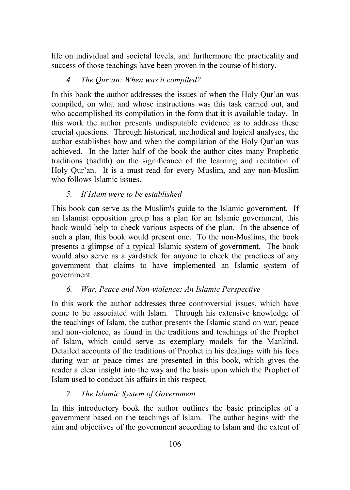life on individual and societal levels, and furthermore the practicality and success of those teachings have been proven in the course of history.

#### *4. The Qur'an: When was it compiled?*

In this book the author addresses the issues of when the Holy Qur'an was compiled, on what and whose instructions was this task carried out, and who accomplished its compilation in the form that it is available today. In this work the author presents undisputable evidence as to address these crucial questions. Through historical, methodical and logical analyses, the author establishes how and when the compilation of the Holy Qur'an was achieved. In the latter half of the book the author cites many Prophetic traditions (hadith) on the significance of the learning and recitation of Holy Qur'an. It is a must read for every Muslim, and any non-Muslim who follows Islamic issues.

## *5. If Islam were to be established*

This book can serve as the Muslim's guide to the Islamic government. If an Islamist opposition group has a plan for an Islamic government, this book would help to check various aspects of the plan. In the absence of such a plan, this book would present one. To the non-Muslims, the book presents a glimpse of a typical Islamic system of government. The book would also serve as a yardstick for anyone to check the practices of any government that claims to have implemented an Islamic system of government.

#### *6. War, Peace and Non-violence: An Islamic Perspective*

In this work the author addresses three controversial issues, which have come to be associated with Islam. Through his extensive knowledge of the teachings of Islam, the author presents the Islamic stand on war, peace and non-violence, as found in the traditions and teachings of the Prophet of Islam, which could serve as exemplary models for the Mankind. Detailed accounts of the traditions of Prophet in his dealings with his foes during war or peace times are presented in this book, which gives the reader a clear insight into the way and the basis upon which the Prophet of Islam used to conduct his affairs in this respect.

#### *7. The Islamic System of Government*

In this introductory book the author outlines the basic principles of a government based on the teachings of Islam. The author begins with the aim and objectives of the government according to Islam and the extent of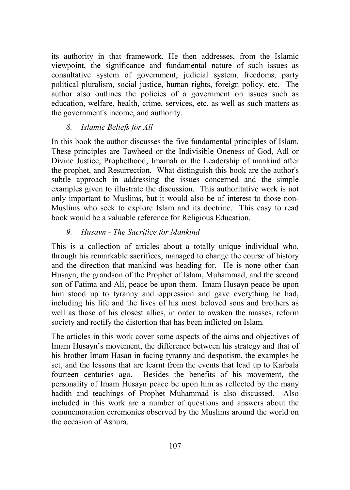its authority in that framework. He then addresses, from the Islamic viewpoint, the significance and fundamental nature of such issues as consultative system of government, judicial system, freedoms, party political pluralism, social justice, human rights, foreign policy, etc. The author also outlines the policies of a government on issues such as education, welfare, health, crime, services, etc. as well as such matters as the government's income, and authority.

## *8. Islamic Beliefs for All*

In this book the author discusses the five fundamental principles of Islam. These principles are Tawheed or the Indivisible Oneness of God, Adl or Divine Justice, Prophethood, Imamah or the Leadership of mankind after the prophet, and Resurrection. What distinguish this book are the author's subtle approach in addressing the issues concerned and the simple examples given to illustrate the discussion. This authoritative work is not only important to Muslims, but it would also be of interest to those non-Muslims who seek to explore Islam and its doctrine. This easy to read book would be a valuable reference for Religious Education.

## *9. Husayn - The Sacrifice for Mankind*

This is a collection of articles about a totally unique individual who, through his remarkable sacrifices, managed to change the course of history and the direction that mankind was heading for. He is none other than Husayn, the grandson of the Prophet of Islam, Muhammad, and the second son of Fatima and Ali, peace be upon them. Imam Husayn peace be upon him stood up to tyranny and oppression and gave everything he had, including his life and the lives of his most beloved sons and brothers as well as those of his closest allies, in order to awaken the masses, reform society and rectify the distortion that has been inflicted on Islam.

The articles in this work cover some aspects of the aims and objectives of Imam Husayn's movement, the difference between his strategy and that of his brother Imam Hasan in facing tyranny and despotism, the examples he set, and the lessons that are learnt from the events that lead up to Karbala fourteen centuries ago. Besides the benefits of his movement, the personality of Imam Husayn peace be upon him as reflected by the many hadith and teachings of Prophet Muhammad is also discussed. Also included in this work are a number of questions and answers about the commemoration ceremonies observed by the Muslims around the world on the occasion of Ashura.